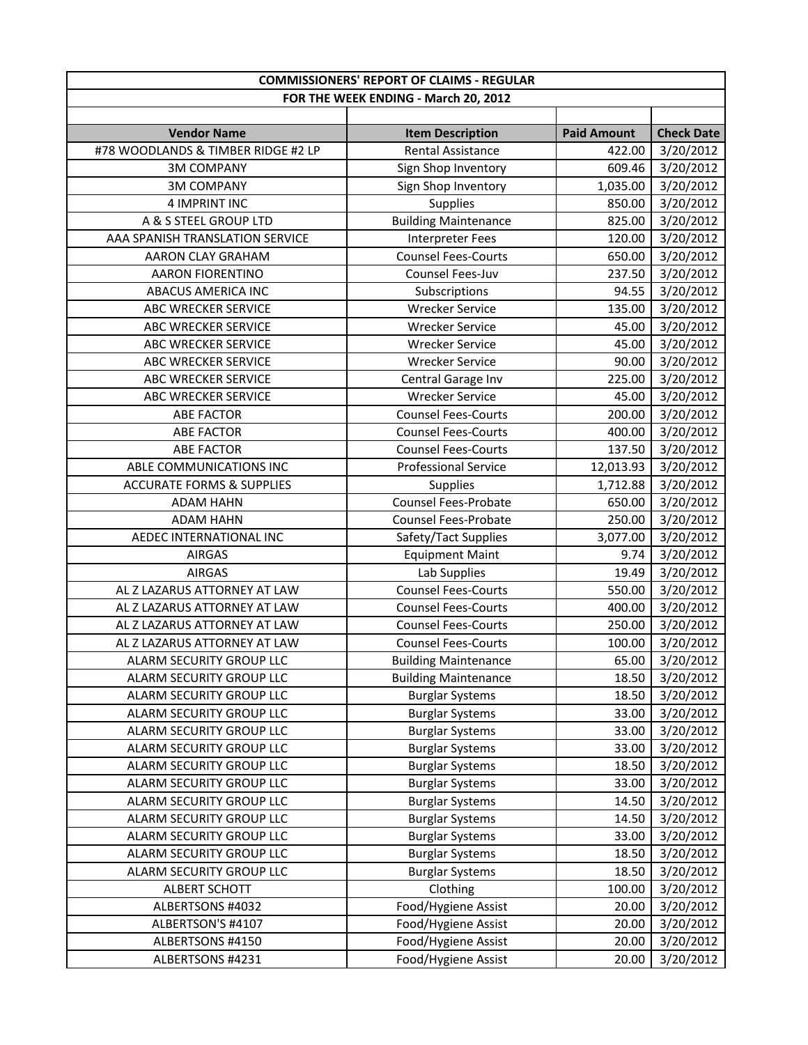|                                      | <b>COMMISSIONERS' REPORT OF CLAIMS - REGULAR</b> |                    |                   |
|--------------------------------------|--------------------------------------------------|--------------------|-------------------|
|                                      | FOR THE WEEK ENDING - March 20, 2012             |                    |                   |
|                                      |                                                  |                    |                   |
| <b>Vendor Name</b>                   | <b>Item Description</b>                          | <b>Paid Amount</b> | <b>Check Date</b> |
| #78 WOODLANDS & TIMBER RIDGE #2 LP   | <b>Rental Assistance</b>                         | 422.00             | 3/20/2012         |
| <b>3M COMPANY</b>                    | Sign Shop Inventory                              | 609.46             | 3/20/2012         |
| <b>3M COMPANY</b>                    | Sign Shop Inventory                              | 1,035.00           | 3/20/2012         |
| 4 IMPRINT INC                        | Supplies                                         | 850.00             | 3/20/2012         |
| A & S STEEL GROUP LTD                | <b>Building Maintenance</b>                      | 825.00             | 3/20/2012         |
| AAA SPANISH TRANSLATION SERVICE      | <b>Interpreter Fees</b>                          | 120.00             | 3/20/2012         |
| AARON CLAY GRAHAM                    | <b>Counsel Fees-Courts</b>                       | 650.00             | 3/20/2012         |
| <b>AARON FIORENTINO</b>              | Counsel Fees-Juv                                 | 237.50             | 3/20/2012         |
| <b>ABACUS AMERICA INC</b>            | Subscriptions                                    | 94.55              | 3/20/2012         |
| ABC WRECKER SERVICE                  | <b>Wrecker Service</b>                           | 135.00             | 3/20/2012         |
| ABC WRECKER SERVICE                  | <b>Wrecker Service</b>                           | 45.00              | 3/20/2012         |
| ABC WRECKER SERVICE                  | <b>Wrecker Service</b>                           | 45.00              | 3/20/2012         |
| ABC WRECKER SERVICE                  | <b>Wrecker Service</b>                           | 90.00              | 3/20/2012         |
| <b>ABC WRECKER SERVICE</b>           | Central Garage Inv                               | 225.00             | 3/20/2012         |
| <b>ABC WRECKER SERVICE</b>           | <b>Wrecker Service</b>                           | 45.00              | 3/20/2012         |
| <b>ABE FACTOR</b>                    | <b>Counsel Fees-Courts</b>                       | 200.00             | 3/20/2012         |
| <b>ABE FACTOR</b>                    | <b>Counsel Fees-Courts</b>                       | 400.00             | 3/20/2012         |
| <b>ABE FACTOR</b>                    | <b>Counsel Fees-Courts</b>                       | 137.50             | 3/20/2012         |
| ABLE COMMUNICATIONS INC              | <b>Professional Service</b>                      | 12,013.93          | 3/20/2012         |
| <b>ACCURATE FORMS &amp; SUPPLIES</b> | Supplies                                         | 1,712.88           | 3/20/2012         |
| <b>ADAM HAHN</b>                     | Counsel Fees-Probate                             | 650.00             | 3/20/2012         |
| <b>ADAM HAHN</b>                     | <b>Counsel Fees-Probate</b>                      | 250.00             | 3/20/2012         |
| AEDEC INTERNATIONAL INC              | Safety/Tact Supplies                             | 3,077.00           | 3/20/2012         |
| <b>AIRGAS</b>                        | <b>Equipment Maint</b>                           | 9.74               | 3/20/2012         |
| <b>AIRGAS</b>                        | Lab Supplies                                     | 19.49              | 3/20/2012         |
| AL Z LAZARUS ATTORNEY AT LAW         | <b>Counsel Fees-Courts</b>                       | 550.00             | 3/20/2012         |
| AL Z LAZARUS ATTORNEY AT LAW         | <b>Counsel Fees-Courts</b>                       | 400.00             | 3/20/2012         |
| AL Z LAZARUS ATTORNEY AT LAW         | <b>Counsel Fees-Courts</b>                       | 250.00             | 3/20/2012         |
| AL Z LAZARUS ATTORNEY AT LAW         | <b>Counsel Fees-Courts</b>                       | 100.00             | 3/20/2012         |
| ALARM SECURITY GROUP LLC             | <b>Building Maintenance</b>                      | 65.00              | 3/20/2012         |
| ALARM SECURITY GROUP LLC             | <b>Building Maintenance</b>                      | 18.50              | 3/20/2012         |
| ALARM SECURITY GROUP LLC             | <b>Burglar Systems</b>                           | 18.50              | 3/20/2012         |
| ALARM SECURITY GROUP LLC             | <b>Burglar Systems</b>                           | 33.00              | 3/20/2012         |
| ALARM SECURITY GROUP LLC             | <b>Burglar Systems</b>                           | 33.00              | 3/20/2012         |
| ALARM SECURITY GROUP LLC             | <b>Burglar Systems</b>                           | 33.00              | 3/20/2012         |
| ALARM SECURITY GROUP LLC             | <b>Burglar Systems</b>                           | 18.50              | 3/20/2012         |
| ALARM SECURITY GROUP LLC             | <b>Burglar Systems</b>                           | 33.00              | 3/20/2012         |
| ALARM SECURITY GROUP LLC             | <b>Burglar Systems</b>                           | 14.50              | 3/20/2012         |
| ALARM SECURITY GROUP LLC             | <b>Burglar Systems</b>                           | 14.50              | 3/20/2012         |
| ALARM SECURITY GROUP LLC             | <b>Burglar Systems</b>                           | 33.00              | 3/20/2012         |
| ALARM SECURITY GROUP LLC             | <b>Burglar Systems</b>                           | 18.50              | 3/20/2012         |
| ALARM SECURITY GROUP LLC             | <b>Burglar Systems</b>                           | 18.50              | 3/20/2012         |
| <b>ALBERT SCHOTT</b>                 | Clothing                                         | 100.00             | 3/20/2012         |
| ALBERTSONS #4032                     | Food/Hygiene Assist                              | 20.00              | 3/20/2012         |
| ALBERTSON'S #4107                    | Food/Hygiene Assist                              | 20.00              | 3/20/2012         |
| ALBERTSONS #4150                     | Food/Hygiene Assist                              | 20.00              | 3/20/2012         |
| ALBERTSONS #4231                     | Food/Hygiene Assist                              | 20.00              | 3/20/2012         |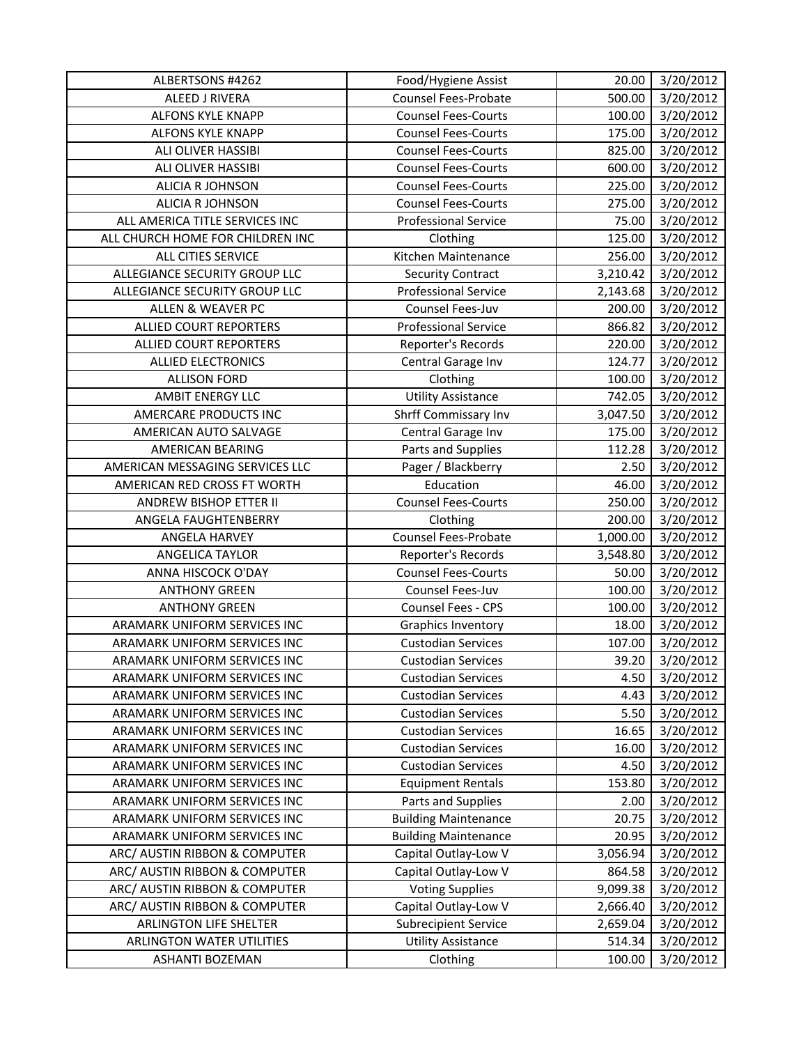| ALBERTSONS #4262                 | Food/Hygiene Assist         | 20.00    | 3/20/2012 |
|----------------------------------|-----------------------------|----------|-----------|
| ALEED J RIVERA                   | <b>Counsel Fees-Probate</b> | 500.00   | 3/20/2012 |
| <b>ALFONS KYLE KNAPP</b>         | <b>Counsel Fees-Courts</b>  | 100.00   | 3/20/2012 |
| <b>ALFONS KYLE KNAPP</b>         | <b>Counsel Fees-Courts</b>  | 175.00   | 3/20/2012 |
| <b>ALI OLIVER HASSIBI</b>        | <b>Counsel Fees-Courts</b>  | 825.00   | 3/20/2012 |
| ALI OLIVER HASSIBI               | <b>Counsel Fees-Courts</b>  | 600.00   | 3/20/2012 |
| ALICIA R JOHNSON                 | <b>Counsel Fees-Courts</b>  | 225.00   | 3/20/2012 |
| <b>ALICIA R JOHNSON</b>          | <b>Counsel Fees-Courts</b>  | 275.00   | 3/20/2012 |
| ALL AMERICA TITLE SERVICES INC   | <b>Professional Service</b> | 75.00    | 3/20/2012 |
| ALL CHURCH HOME FOR CHILDREN INC | Clothing                    | 125.00   | 3/20/2012 |
| <b>ALL CITIES SERVICE</b>        | Kitchen Maintenance         | 256.00   | 3/20/2012 |
| ALLEGIANCE SECURITY GROUP LLC    | <b>Security Contract</b>    | 3,210.42 | 3/20/2012 |
| ALLEGIANCE SECURITY GROUP LLC    | <b>Professional Service</b> | 2,143.68 | 3/20/2012 |
| ALLEN & WEAVER PC                | Counsel Fees-Juv            | 200.00   | 3/20/2012 |
| <b>ALLIED COURT REPORTERS</b>    | <b>Professional Service</b> | 866.82   | 3/20/2012 |
| <b>ALLIED COURT REPORTERS</b>    | Reporter's Records          | 220.00   | 3/20/2012 |
| <b>ALLIED ELECTRONICS</b>        | Central Garage Inv          | 124.77   | 3/20/2012 |
| <b>ALLISON FORD</b>              | Clothing                    | 100.00   | 3/20/2012 |
| <b>AMBIT ENERGY LLC</b>          | <b>Utility Assistance</b>   | 742.05   | 3/20/2012 |
| AMERCARE PRODUCTS INC            | Shrff Commissary Inv        | 3,047.50 | 3/20/2012 |
| AMERICAN AUTO SALVAGE            | Central Garage Inv          | 175.00   | 3/20/2012 |
| <b>AMERICAN BEARING</b>          | Parts and Supplies          | 112.28   | 3/20/2012 |
| AMERICAN MESSAGING SERVICES LLC  | Pager / Blackberry          | 2.50     | 3/20/2012 |
| AMERICAN RED CROSS FT WORTH      | Education                   | 46.00    | 3/20/2012 |
| ANDREW BISHOP ETTER II           | <b>Counsel Fees-Courts</b>  | 250.00   | 3/20/2012 |
| ANGELA FAUGHTENBERRY             | Clothing                    | 200.00   | 3/20/2012 |
| ANGELA HARVEY                    | <b>Counsel Fees-Probate</b> | 1,000.00 | 3/20/2012 |
| ANGELICA TAYLOR                  | Reporter's Records          | 3,548.80 | 3/20/2012 |
| ANNA HISCOCK O'DAY               | <b>Counsel Fees-Courts</b>  | 50.00    | 3/20/2012 |
| <b>ANTHONY GREEN</b>             | Counsel Fees-Juv            | 100.00   | 3/20/2012 |
| <b>ANTHONY GREEN</b>             | Counsel Fees - CPS          | 100.00   | 3/20/2012 |
| ARAMARK UNIFORM SERVICES INC     | <b>Graphics Inventory</b>   | 18.00    | 3/20/2012 |
| ARAMARK UNIFORM SERVICES INC     | <b>Custodian Services</b>   | 107.00   | 3/20/2012 |
| ARAMARK UNIFORM SERVICES INC     | <b>Custodian Services</b>   | 39.20    | 3/20/2012 |
| ARAMARK UNIFORM SERVICES INC     | <b>Custodian Services</b>   | 4.50     | 3/20/2012 |
| ARAMARK UNIFORM SERVICES INC     | <b>Custodian Services</b>   | 4.43     | 3/20/2012 |
| ARAMARK UNIFORM SERVICES INC     | <b>Custodian Services</b>   | 5.50     | 3/20/2012 |
| ARAMARK UNIFORM SERVICES INC     | <b>Custodian Services</b>   | 16.65    | 3/20/2012 |
| ARAMARK UNIFORM SERVICES INC     | <b>Custodian Services</b>   | 16.00    | 3/20/2012 |
| ARAMARK UNIFORM SERVICES INC     | <b>Custodian Services</b>   | 4.50     | 3/20/2012 |
| ARAMARK UNIFORM SERVICES INC     | <b>Equipment Rentals</b>    | 153.80   | 3/20/2012 |
| ARAMARK UNIFORM SERVICES INC     | Parts and Supplies          | 2.00     | 3/20/2012 |
| ARAMARK UNIFORM SERVICES INC     | <b>Building Maintenance</b> | 20.75    | 3/20/2012 |
| ARAMARK UNIFORM SERVICES INC     | <b>Building Maintenance</b> | 20.95    | 3/20/2012 |
| ARC/ AUSTIN RIBBON & COMPUTER    | Capital Outlay-Low V        | 3,056.94 | 3/20/2012 |
| ARC/ AUSTIN RIBBON & COMPUTER    | Capital Outlay-Low V        | 864.58   | 3/20/2012 |
| ARC/ AUSTIN RIBBON & COMPUTER    | <b>Voting Supplies</b>      | 9,099.38 | 3/20/2012 |
| ARC/ AUSTIN RIBBON & COMPUTER    | Capital Outlay-Low V        | 2,666.40 | 3/20/2012 |
| ARLINGTON LIFE SHELTER           | <b>Subrecipient Service</b> | 2,659.04 | 3/20/2012 |
| ARLINGTON WATER UTILITIES        | <b>Utility Assistance</b>   | 514.34   | 3/20/2012 |
| ASHANTI BOZEMAN                  | Clothing                    | 100.00   | 3/20/2012 |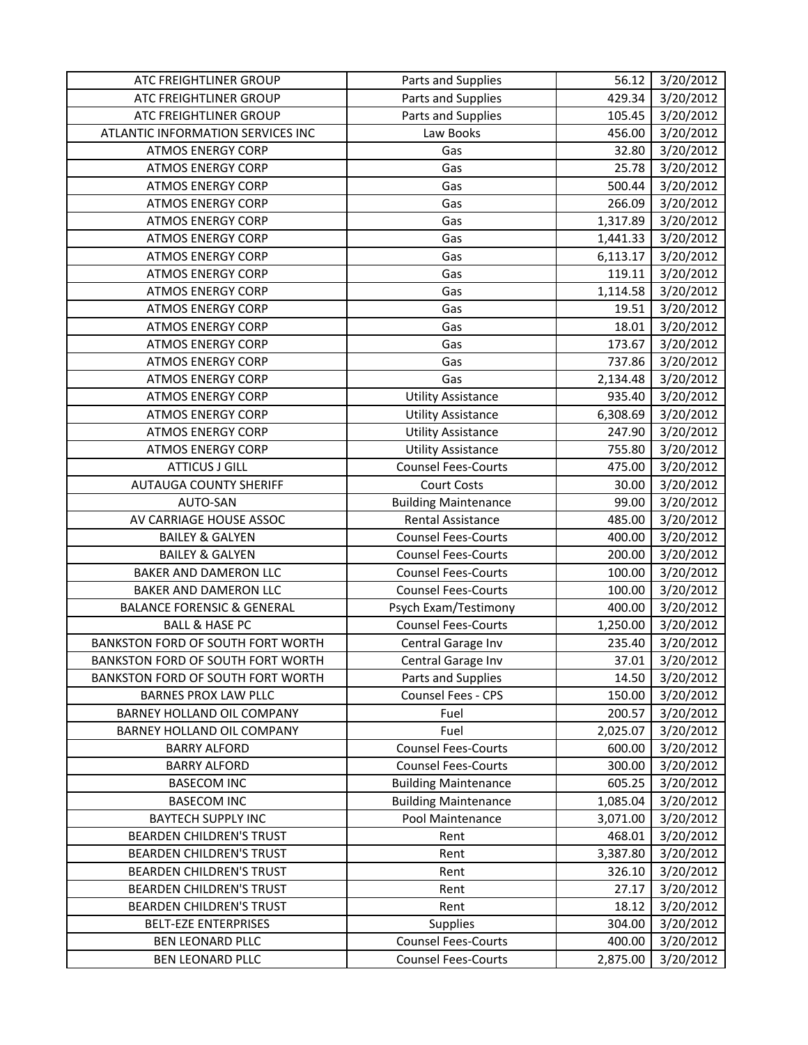| ATC FREIGHTLINER GROUP                   | Parts and Supplies          | 56.12    | 3/20/2012 |
|------------------------------------------|-----------------------------|----------|-----------|
| ATC FREIGHTLINER GROUP                   | Parts and Supplies          | 429.34   | 3/20/2012 |
| ATC FREIGHTLINER GROUP                   | Parts and Supplies          | 105.45   | 3/20/2012 |
| ATLANTIC INFORMATION SERVICES INC        | Law Books                   | 456.00   | 3/20/2012 |
| <b>ATMOS ENERGY CORP</b>                 | Gas                         | 32.80    | 3/20/2012 |
| <b>ATMOS ENERGY CORP</b>                 | Gas                         | 25.78    | 3/20/2012 |
| <b>ATMOS ENERGY CORP</b>                 | Gas                         | 500.44   | 3/20/2012 |
| <b>ATMOS ENERGY CORP</b>                 | Gas                         | 266.09   | 3/20/2012 |
| <b>ATMOS ENERGY CORP</b>                 | Gas                         | 1,317.89 | 3/20/2012 |
| <b>ATMOS ENERGY CORP</b>                 | Gas                         | 1,441.33 | 3/20/2012 |
| <b>ATMOS ENERGY CORP</b>                 | Gas                         | 6,113.17 | 3/20/2012 |
| <b>ATMOS ENERGY CORP</b>                 | Gas                         | 119.11   | 3/20/2012 |
| <b>ATMOS ENERGY CORP</b>                 | Gas                         | 1,114.58 | 3/20/2012 |
| <b>ATMOS ENERGY CORP</b>                 | Gas                         | 19.51    | 3/20/2012 |
| <b>ATMOS ENERGY CORP</b>                 | Gas                         | 18.01    | 3/20/2012 |
| <b>ATMOS ENERGY CORP</b>                 | Gas                         | 173.67   | 3/20/2012 |
| <b>ATMOS ENERGY CORP</b>                 | Gas                         | 737.86   | 3/20/2012 |
| <b>ATMOS ENERGY CORP</b>                 | Gas                         | 2,134.48 | 3/20/2012 |
| <b>ATMOS ENERGY CORP</b>                 | <b>Utility Assistance</b>   | 935.40   | 3/20/2012 |
| <b>ATMOS ENERGY CORP</b>                 | <b>Utility Assistance</b>   | 6,308.69 | 3/20/2012 |
| <b>ATMOS ENERGY CORP</b>                 | <b>Utility Assistance</b>   | 247.90   | 3/20/2012 |
| <b>ATMOS ENERGY CORP</b>                 | <b>Utility Assistance</b>   | 755.80   | 3/20/2012 |
| <b>ATTICUS J GILL</b>                    | <b>Counsel Fees-Courts</b>  | 475.00   | 3/20/2012 |
| <b>AUTAUGA COUNTY SHERIFF</b>            | <b>Court Costs</b>          | 30.00    | 3/20/2012 |
| AUTO-SAN                                 | <b>Building Maintenance</b> | 99.00    | 3/20/2012 |
| AV CARRIAGE HOUSE ASSOC                  | Rental Assistance           | 485.00   | 3/20/2012 |
| <b>BAILEY &amp; GALYEN</b>               | <b>Counsel Fees-Courts</b>  | 400.00   | 3/20/2012 |
| <b>BAILEY &amp; GALYEN</b>               | <b>Counsel Fees-Courts</b>  | 200.00   | 3/20/2012 |
| BAKER AND DAMERON LLC                    | <b>Counsel Fees-Courts</b>  | 100.00   | 3/20/2012 |
| BAKER AND DAMERON LLC                    | <b>Counsel Fees-Courts</b>  | 100.00   | 3/20/2012 |
| <b>BALANCE FORENSIC &amp; GENERAL</b>    | Psych Exam/Testimony        | 400.00   | 3/20/2012 |
| <b>BALL &amp; HASE PC</b>                | <b>Counsel Fees-Courts</b>  | 1,250.00 | 3/20/2012 |
| BANKSTON FORD OF SOUTH FORT WORTH        | Central Garage Inv          | 235.40   | 3/20/2012 |
| <b>BANKSTON FORD OF SOUTH FORT WORTH</b> | Central Garage Inv          | 37.01    | 3/20/2012 |
| BANKSTON FORD OF SOUTH FORT WORTH        | Parts and Supplies          | 14.50    | 3/20/2012 |
| <b>BARNES PROX LAW PLLC</b>              | Counsel Fees - CPS          | 150.00   | 3/20/2012 |
| BARNEY HOLLAND OIL COMPANY               | Fuel                        | 200.57   | 3/20/2012 |
| BARNEY HOLLAND OIL COMPANY               | Fuel                        | 2,025.07 | 3/20/2012 |
| <b>BARRY ALFORD</b>                      | <b>Counsel Fees-Courts</b>  | 600.00   | 3/20/2012 |
| <b>BARRY ALFORD</b>                      | <b>Counsel Fees-Courts</b>  | 300.00   | 3/20/2012 |
| <b>BASECOM INC</b>                       | <b>Building Maintenance</b> | 605.25   | 3/20/2012 |
| <b>BASECOM INC</b>                       | <b>Building Maintenance</b> | 1,085.04 | 3/20/2012 |
| <b>BAYTECH SUPPLY INC</b>                | Pool Maintenance            | 3,071.00 | 3/20/2012 |
| <b>BEARDEN CHILDREN'S TRUST</b>          | Rent                        | 468.01   | 3/20/2012 |
| <b>BEARDEN CHILDREN'S TRUST</b>          | Rent                        | 3,387.80 | 3/20/2012 |
| <b>BEARDEN CHILDREN'S TRUST</b>          | Rent                        | 326.10   | 3/20/2012 |
| <b>BEARDEN CHILDREN'S TRUST</b>          | Rent                        | 27.17    | 3/20/2012 |
| <b>BEARDEN CHILDREN'S TRUST</b>          | Rent                        | 18.12    | 3/20/2012 |
| <b>BELT-EZE ENTERPRISES</b>              | Supplies                    | 304.00   | 3/20/2012 |
| <b>BEN LEONARD PLLC</b>                  | <b>Counsel Fees-Courts</b>  | 400.00   | 3/20/2012 |
| BEN LEONARD PLLC                         | <b>Counsel Fees-Courts</b>  | 2,875.00 | 3/20/2012 |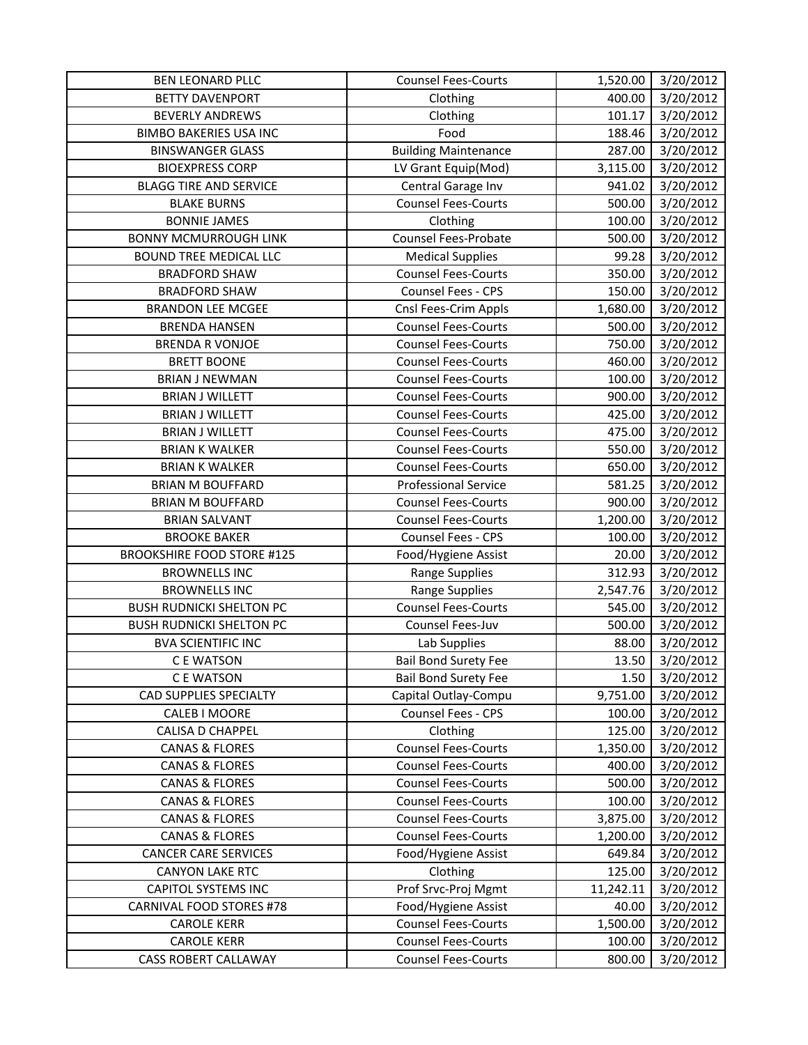| 400.00<br>3/20/2012<br><b>BETTY DAVENPORT</b><br>Clothing<br>3/20/2012<br>101.17<br><b>BEVERLY ANDREWS</b><br>Clothing<br><b>BIMBO BAKERIES USA INC</b><br>Food<br>188.46<br>3/20/2012<br><b>Building Maintenance</b><br><b>BINSWANGER GLASS</b><br>287.00<br>3/20/2012<br>3,115.00<br><b>BIOEXPRESS CORP</b><br>LV Grant Equip(Mod)<br>3/20/2012<br><b>BLAGG TIRE AND SERVICE</b><br>Central Garage Inv<br>941.02<br>3/20/2012<br><b>BLAKE BURNS</b><br><b>Counsel Fees-Courts</b><br>500.00<br>3/20/2012<br><b>BONNIE JAMES</b><br>100.00<br>3/20/2012<br>Clothing<br><b>Counsel Fees-Probate</b><br>3/20/2012<br>500.00<br><b>BONNY MCMURROUGH LINK</b><br>3/20/2012<br><b>BOUND TREE MEDICAL LLC</b><br><b>Medical Supplies</b><br>99.28<br>3/20/2012<br><b>Counsel Fees-Courts</b><br>350.00<br><b>BRADFORD SHAW</b><br>Counsel Fees - CPS<br>3/20/2012<br><b>BRADFORD SHAW</b><br>150.00<br>3/20/2012<br><b>BRANDON LEE MCGEE</b><br>Cnsl Fees-Crim Appls<br>1,680.00<br><b>Counsel Fees-Courts</b><br>3/20/2012<br><b>BRENDA HANSEN</b><br>500.00<br>3/20/2012<br><b>BRENDA R VONJOE</b><br><b>Counsel Fees-Courts</b><br>750.00<br><b>BRETT BOONE</b><br><b>Counsel Fees-Courts</b><br>460.00<br>3/20/2012<br><b>Counsel Fees-Courts</b><br>100.00<br>3/20/2012<br><b>BRIAN J NEWMAN</b><br>3/20/2012<br><b>Counsel Fees-Courts</b><br>900.00<br><b>BRIAN J WILLETT</b><br><b>Counsel Fees-Courts</b><br>3/20/2012<br><b>BRIAN J WILLETT</b><br>425.00<br>3/20/2012<br><b>BRIAN J WILLETT</b><br><b>Counsel Fees-Courts</b><br>475.00<br>550.00<br>3/20/2012<br><b>BRIAN K WALKER</b><br><b>Counsel Fees-Courts</b><br><b>BRIAN K WALKER</b><br><b>Counsel Fees-Courts</b><br>650.00<br>3/20/2012<br><b>Professional Service</b><br>3/20/2012<br><b>BRIAN M BOUFFARD</b><br>581.25<br><b>Counsel Fees-Courts</b><br>3/20/2012<br><b>BRIAN M BOUFFARD</b><br>900.00<br>1,200.00<br>3/20/2012<br><b>BRIAN SALVANT</b><br><b>Counsel Fees-Courts</b><br>Counsel Fees - CPS<br>100.00<br>3/20/2012<br><b>BROOKE BAKER</b><br>3/20/2012<br><b>BROOKSHIRE FOOD STORE #125</b><br>Food/Hygiene Assist<br>20.00<br><b>BROWNELLS INC</b><br><b>Range Supplies</b><br>312.93<br>3/20/2012<br>2,547.76<br>3/20/2012<br><b>BROWNELLS INC</b><br><b>Range Supplies</b><br><b>BUSH RUDNICKI SHELTON PC</b><br><b>Counsel Fees-Courts</b><br>545.00<br>3/20/2012<br><b>BUSH RUDNICKI SHELTON PC</b><br>Counsel Fees-Juv<br>500.00<br>3/20/2012<br>3/20/2012<br><b>BVA SCIENTIFIC INC</b><br>Lab Supplies<br>88.00<br>3/20/2012<br><b>Bail Bond Surety Fee</b><br>13.50<br>C E WATSON<br>3/20/2012<br><b>Bail Bond Surety Fee</b><br>1.50<br>C E WATSON<br>9,751.00<br>3/20/2012<br><b>CAD SUPPLIES SPECIALTY</b><br>Capital Outlay-Compu<br>Counsel Fees - CPS<br>CALEB I MOORE<br>100.00<br>3/20/2012<br>3/20/2012<br>CALISA D CHAPPEL<br>Clothing<br>125.00<br><b>CANAS &amp; FLORES</b><br><b>Counsel Fees-Courts</b><br>1,350.00<br>3/20/2012<br><b>CANAS &amp; FLORES</b><br><b>Counsel Fees-Courts</b><br>400.00<br>3/20/2012<br><b>CANAS &amp; FLORES</b><br><b>Counsel Fees-Courts</b><br>500.00<br>3/20/2012<br><b>CANAS &amp; FLORES</b><br><b>Counsel Fees-Courts</b><br>100.00<br>3/20/2012<br><b>Counsel Fees-Courts</b><br>3,875.00<br>3/20/2012<br><b>CANAS &amp; FLORES</b><br><b>CANAS &amp; FLORES</b><br><b>Counsel Fees-Courts</b><br>3/20/2012<br>1,200.00<br><b>CANCER CARE SERVICES</b><br>Food/Hygiene Assist<br>649.84<br>3/20/2012<br><b>CANYON LAKE RTC</b><br>125.00<br>3/20/2012<br>Clothing<br><b>CAPITOL SYSTEMS INC</b><br>Prof Srvc-Proj Mgmt<br>11,242.11<br>3/20/2012<br>CARNIVAL FOOD STORES #78<br>Food/Hygiene Assist<br>3/20/2012<br>40.00<br><b>Counsel Fees-Courts</b><br>1,500.00<br><b>CAROLE KERR</b><br>3/20/2012<br><b>CAROLE KERR</b><br><b>Counsel Fees-Courts</b><br>100.00<br>3/20/2012<br><b>Counsel Fees-Courts</b><br><b>CASS ROBERT CALLAWAY</b><br>800.00<br>3/20/2012 | BEN LEONARD PLLC | <b>Counsel Fees-Courts</b> | 1,520.00 | 3/20/2012 |
|------------------------------------------------------------------------------------------------------------------------------------------------------------------------------------------------------------------------------------------------------------------------------------------------------------------------------------------------------------------------------------------------------------------------------------------------------------------------------------------------------------------------------------------------------------------------------------------------------------------------------------------------------------------------------------------------------------------------------------------------------------------------------------------------------------------------------------------------------------------------------------------------------------------------------------------------------------------------------------------------------------------------------------------------------------------------------------------------------------------------------------------------------------------------------------------------------------------------------------------------------------------------------------------------------------------------------------------------------------------------------------------------------------------------------------------------------------------------------------------------------------------------------------------------------------------------------------------------------------------------------------------------------------------------------------------------------------------------------------------------------------------------------------------------------------------------------------------------------------------------------------------------------------------------------------------------------------------------------------------------------------------------------------------------------------------------------------------------------------------------------------------------------------------------------------------------------------------------------------------------------------------------------------------------------------------------------------------------------------------------------------------------------------------------------------------------------------------------------------------------------------------------------------------------------------------------------------------------------------------------------------------------------------------------------------------------------------------------------------------------------------------------------------------------------------------------------------------------------------------------------------------------------------------------------------------------------------------------------------------------------------------------------------------------------------------------------------------------------------------------------------------------------------------------------------------------------------------------------------------------------------------------------------------------------------------------------------------------------------------------------------------------------------------------------------------------------------------------------------------------------------------------------------------------------------------------------------------------------------------------------------------------------------------------------------------------------------------------------------------------------------------------------------------------------------------------------------------------------------------------------------------------------------------------|------------------|----------------------------|----------|-----------|
|                                                                                                                                                                                                                                                                                                                                                                                                                                                                                                                                                                                                                                                                                                                                                                                                                                                                                                                                                                                                                                                                                                                                                                                                                                                                                                                                                                                                                                                                                                                                                                                                                                                                                                                                                                                                                                                                                                                                                                                                                                                                                                                                                                                                                                                                                                                                                                                                                                                                                                                                                                                                                                                                                                                                                                                                                                                                                                                                                                                                                                                                                                                                                                                                                                                                                                                                                                                                                                                                                                                                                                                                                                                                                                                                                                                                                                                                                                                        |                  |                            |          |           |
|                                                                                                                                                                                                                                                                                                                                                                                                                                                                                                                                                                                                                                                                                                                                                                                                                                                                                                                                                                                                                                                                                                                                                                                                                                                                                                                                                                                                                                                                                                                                                                                                                                                                                                                                                                                                                                                                                                                                                                                                                                                                                                                                                                                                                                                                                                                                                                                                                                                                                                                                                                                                                                                                                                                                                                                                                                                                                                                                                                                                                                                                                                                                                                                                                                                                                                                                                                                                                                                                                                                                                                                                                                                                                                                                                                                                                                                                                                                        |                  |                            |          |           |
|                                                                                                                                                                                                                                                                                                                                                                                                                                                                                                                                                                                                                                                                                                                                                                                                                                                                                                                                                                                                                                                                                                                                                                                                                                                                                                                                                                                                                                                                                                                                                                                                                                                                                                                                                                                                                                                                                                                                                                                                                                                                                                                                                                                                                                                                                                                                                                                                                                                                                                                                                                                                                                                                                                                                                                                                                                                                                                                                                                                                                                                                                                                                                                                                                                                                                                                                                                                                                                                                                                                                                                                                                                                                                                                                                                                                                                                                                                                        |                  |                            |          |           |
|                                                                                                                                                                                                                                                                                                                                                                                                                                                                                                                                                                                                                                                                                                                                                                                                                                                                                                                                                                                                                                                                                                                                                                                                                                                                                                                                                                                                                                                                                                                                                                                                                                                                                                                                                                                                                                                                                                                                                                                                                                                                                                                                                                                                                                                                                                                                                                                                                                                                                                                                                                                                                                                                                                                                                                                                                                                                                                                                                                                                                                                                                                                                                                                                                                                                                                                                                                                                                                                                                                                                                                                                                                                                                                                                                                                                                                                                                                                        |                  |                            |          |           |
|                                                                                                                                                                                                                                                                                                                                                                                                                                                                                                                                                                                                                                                                                                                                                                                                                                                                                                                                                                                                                                                                                                                                                                                                                                                                                                                                                                                                                                                                                                                                                                                                                                                                                                                                                                                                                                                                                                                                                                                                                                                                                                                                                                                                                                                                                                                                                                                                                                                                                                                                                                                                                                                                                                                                                                                                                                                                                                                                                                                                                                                                                                                                                                                                                                                                                                                                                                                                                                                                                                                                                                                                                                                                                                                                                                                                                                                                                                                        |                  |                            |          |           |
|                                                                                                                                                                                                                                                                                                                                                                                                                                                                                                                                                                                                                                                                                                                                                                                                                                                                                                                                                                                                                                                                                                                                                                                                                                                                                                                                                                                                                                                                                                                                                                                                                                                                                                                                                                                                                                                                                                                                                                                                                                                                                                                                                                                                                                                                                                                                                                                                                                                                                                                                                                                                                                                                                                                                                                                                                                                                                                                                                                                                                                                                                                                                                                                                                                                                                                                                                                                                                                                                                                                                                                                                                                                                                                                                                                                                                                                                                                                        |                  |                            |          |           |
|                                                                                                                                                                                                                                                                                                                                                                                                                                                                                                                                                                                                                                                                                                                                                                                                                                                                                                                                                                                                                                                                                                                                                                                                                                                                                                                                                                                                                                                                                                                                                                                                                                                                                                                                                                                                                                                                                                                                                                                                                                                                                                                                                                                                                                                                                                                                                                                                                                                                                                                                                                                                                                                                                                                                                                                                                                                                                                                                                                                                                                                                                                                                                                                                                                                                                                                                                                                                                                                                                                                                                                                                                                                                                                                                                                                                                                                                                                                        |                  |                            |          |           |
|                                                                                                                                                                                                                                                                                                                                                                                                                                                                                                                                                                                                                                                                                                                                                                                                                                                                                                                                                                                                                                                                                                                                                                                                                                                                                                                                                                                                                                                                                                                                                                                                                                                                                                                                                                                                                                                                                                                                                                                                                                                                                                                                                                                                                                                                                                                                                                                                                                                                                                                                                                                                                                                                                                                                                                                                                                                                                                                                                                                                                                                                                                                                                                                                                                                                                                                                                                                                                                                                                                                                                                                                                                                                                                                                                                                                                                                                                                                        |                  |                            |          |           |
|                                                                                                                                                                                                                                                                                                                                                                                                                                                                                                                                                                                                                                                                                                                                                                                                                                                                                                                                                                                                                                                                                                                                                                                                                                                                                                                                                                                                                                                                                                                                                                                                                                                                                                                                                                                                                                                                                                                                                                                                                                                                                                                                                                                                                                                                                                                                                                                                                                                                                                                                                                                                                                                                                                                                                                                                                                                                                                                                                                                                                                                                                                                                                                                                                                                                                                                                                                                                                                                                                                                                                                                                                                                                                                                                                                                                                                                                                                                        |                  |                            |          |           |
|                                                                                                                                                                                                                                                                                                                                                                                                                                                                                                                                                                                                                                                                                                                                                                                                                                                                                                                                                                                                                                                                                                                                                                                                                                                                                                                                                                                                                                                                                                                                                                                                                                                                                                                                                                                                                                                                                                                                                                                                                                                                                                                                                                                                                                                                                                                                                                                                                                                                                                                                                                                                                                                                                                                                                                                                                                                                                                                                                                                                                                                                                                                                                                                                                                                                                                                                                                                                                                                                                                                                                                                                                                                                                                                                                                                                                                                                                                                        |                  |                            |          |           |
|                                                                                                                                                                                                                                                                                                                                                                                                                                                                                                                                                                                                                                                                                                                                                                                                                                                                                                                                                                                                                                                                                                                                                                                                                                                                                                                                                                                                                                                                                                                                                                                                                                                                                                                                                                                                                                                                                                                                                                                                                                                                                                                                                                                                                                                                                                                                                                                                                                                                                                                                                                                                                                                                                                                                                                                                                                                                                                                                                                                                                                                                                                                                                                                                                                                                                                                                                                                                                                                                                                                                                                                                                                                                                                                                                                                                                                                                                                                        |                  |                            |          |           |
|                                                                                                                                                                                                                                                                                                                                                                                                                                                                                                                                                                                                                                                                                                                                                                                                                                                                                                                                                                                                                                                                                                                                                                                                                                                                                                                                                                                                                                                                                                                                                                                                                                                                                                                                                                                                                                                                                                                                                                                                                                                                                                                                                                                                                                                                                                                                                                                                                                                                                                                                                                                                                                                                                                                                                                                                                                                                                                                                                                                                                                                                                                                                                                                                                                                                                                                                                                                                                                                                                                                                                                                                                                                                                                                                                                                                                                                                                                                        |                  |                            |          |           |
|                                                                                                                                                                                                                                                                                                                                                                                                                                                                                                                                                                                                                                                                                                                                                                                                                                                                                                                                                                                                                                                                                                                                                                                                                                                                                                                                                                                                                                                                                                                                                                                                                                                                                                                                                                                                                                                                                                                                                                                                                                                                                                                                                                                                                                                                                                                                                                                                                                                                                                                                                                                                                                                                                                                                                                                                                                                                                                                                                                                                                                                                                                                                                                                                                                                                                                                                                                                                                                                                                                                                                                                                                                                                                                                                                                                                                                                                                                                        |                  |                            |          |           |
|                                                                                                                                                                                                                                                                                                                                                                                                                                                                                                                                                                                                                                                                                                                                                                                                                                                                                                                                                                                                                                                                                                                                                                                                                                                                                                                                                                                                                                                                                                                                                                                                                                                                                                                                                                                                                                                                                                                                                                                                                                                                                                                                                                                                                                                                                                                                                                                                                                                                                                                                                                                                                                                                                                                                                                                                                                                                                                                                                                                                                                                                                                                                                                                                                                                                                                                                                                                                                                                                                                                                                                                                                                                                                                                                                                                                                                                                                                                        |                  |                            |          |           |
|                                                                                                                                                                                                                                                                                                                                                                                                                                                                                                                                                                                                                                                                                                                                                                                                                                                                                                                                                                                                                                                                                                                                                                                                                                                                                                                                                                                                                                                                                                                                                                                                                                                                                                                                                                                                                                                                                                                                                                                                                                                                                                                                                                                                                                                                                                                                                                                                                                                                                                                                                                                                                                                                                                                                                                                                                                                                                                                                                                                                                                                                                                                                                                                                                                                                                                                                                                                                                                                                                                                                                                                                                                                                                                                                                                                                                                                                                                                        |                  |                            |          |           |
|                                                                                                                                                                                                                                                                                                                                                                                                                                                                                                                                                                                                                                                                                                                                                                                                                                                                                                                                                                                                                                                                                                                                                                                                                                                                                                                                                                                                                                                                                                                                                                                                                                                                                                                                                                                                                                                                                                                                                                                                                                                                                                                                                                                                                                                                                                                                                                                                                                                                                                                                                                                                                                                                                                                                                                                                                                                                                                                                                                                                                                                                                                                                                                                                                                                                                                                                                                                                                                                                                                                                                                                                                                                                                                                                                                                                                                                                                                                        |                  |                            |          |           |
|                                                                                                                                                                                                                                                                                                                                                                                                                                                                                                                                                                                                                                                                                                                                                                                                                                                                                                                                                                                                                                                                                                                                                                                                                                                                                                                                                                                                                                                                                                                                                                                                                                                                                                                                                                                                                                                                                                                                                                                                                                                                                                                                                                                                                                                                                                                                                                                                                                                                                                                                                                                                                                                                                                                                                                                                                                                                                                                                                                                                                                                                                                                                                                                                                                                                                                                                                                                                                                                                                                                                                                                                                                                                                                                                                                                                                                                                                                                        |                  |                            |          |           |
|                                                                                                                                                                                                                                                                                                                                                                                                                                                                                                                                                                                                                                                                                                                                                                                                                                                                                                                                                                                                                                                                                                                                                                                                                                                                                                                                                                                                                                                                                                                                                                                                                                                                                                                                                                                                                                                                                                                                                                                                                                                                                                                                                                                                                                                                                                                                                                                                                                                                                                                                                                                                                                                                                                                                                                                                                                                                                                                                                                                                                                                                                                                                                                                                                                                                                                                                                                                                                                                                                                                                                                                                                                                                                                                                                                                                                                                                                                                        |                  |                            |          |           |
|                                                                                                                                                                                                                                                                                                                                                                                                                                                                                                                                                                                                                                                                                                                                                                                                                                                                                                                                                                                                                                                                                                                                                                                                                                                                                                                                                                                                                                                                                                                                                                                                                                                                                                                                                                                                                                                                                                                                                                                                                                                                                                                                                                                                                                                                                                                                                                                                                                                                                                                                                                                                                                                                                                                                                                                                                                                                                                                                                                                                                                                                                                                                                                                                                                                                                                                                                                                                                                                                                                                                                                                                                                                                                                                                                                                                                                                                                                                        |                  |                            |          |           |
|                                                                                                                                                                                                                                                                                                                                                                                                                                                                                                                                                                                                                                                                                                                                                                                                                                                                                                                                                                                                                                                                                                                                                                                                                                                                                                                                                                                                                                                                                                                                                                                                                                                                                                                                                                                                                                                                                                                                                                                                                                                                                                                                                                                                                                                                                                                                                                                                                                                                                                                                                                                                                                                                                                                                                                                                                                                                                                                                                                                                                                                                                                                                                                                                                                                                                                                                                                                                                                                                                                                                                                                                                                                                                                                                                                                                                                                                                                                        |                  |                            |          |           |
|                                                                                                                                                                                                                                                                                                                                                                                                                                                                                                                                                                                                                                                                                                                                                                                                                                                                                                                                                                                                                                                                                                                                                                                                                                                                                                                                                                                                                                                                                                                                                                                                                                                                                                                                                                                                                                                                                                                                                                                                                                                                                                                                                                                                                                                                                                                                                                                                                                                                                                                                                                                                                                                                                                                                                                                                                                                                                                                                                                                                                                                                                                                                                                                                                                                                                                                                                                                                                                                                                                                                                                                                                                                                                                                                                                                                                                                                                                                        |                  |                            |          |           |
|                                                                                                                                                                                                                                                                                                                                                                                                                                                                                                                                                                                                                                                                                                                                                                                                                                                                                                                                                                                                                                                                                                                                                                                                                                                                                                                                                                                                                                                                                                                                                                                                                                                                                                                                                                                                                                                                                                                                                                                                                                                                                                                                                                                                                                                                                                                                                                                                                                                                                                                                                                                                                                                                                                                                                                                                                                                                                                                                                                                                                                                                                                                                                                                                                                                                                                                                                                                                                                                                                                                                                                                                                                                                                                                                                                                                                                                                                                                        |                  |                            |          |           |
|                                                                                                                                                                                                                                                                                                                                                                                                                                                                                                                                                                                                                                                                                                                                                                                                                                                                                                                                                                                                                                                                                                                                                                                                                                                                                                                                                                                                                                                                                                                                                                                                                                                                                                                                                                                                                                                                                                                                                                                                                                                                                                                                                                                                                                                                                                                                                                                                                                                                                                                                                                                                                                                                                                                                                                                                                                                                                                                                                                                                                                                                                                                                                                                                                                                                                                                                                                                                                                                                                                                                                                                                                                                                                                                                                                                                                                                                                                                        |                  |                            |          |           |
|                                                                                                                                                                                                                                                                                                                                                                                                                                                                                                                                                                                                                                                                                                                                                                                                                                                                                                                                                                                                                                                                                                                                                                                                                                                                                                                                                                                                                                                                                                                                                                                                                                                                                                                                                                                                                                                                                                                                                                                                                                                                                                                                                                                                                                                                                                                                                                                                                                                                                                                                                                                                                                                                                                                                                                                                                                                                                                                                                                                                                                                                                                                                                                                                                                                                                                                                                                                                                                                                                                                                                                                                                                                                                                                                                                                                                                                                                                                        |                  |                            |          |           |
|                                                                                                                                                                                                                                                                                                                                                                                                                                                                                                                                                                                                                                                                                                                                                                                                                                                                                                                                                                                                                                                                                                                                                                                                                                                                                                                                                                                                                                                                                                                                                                                                                                                                                                                                                                                                                                                                                                                                                                                                                                                                                                                                                                                                                                                                                                                                                                                                                                                                                                                                                                                                                                                                                                                                                                                                                                                                                                                                                                                                                                                                                                                                                                                                                                                                                                                                                                                                                                                                                                                                                                                                                                                                                                                                                                                                                                                                                                                        |                  |                            |          |           |
|                                                                                                                                                                                                                                                                                                                                                                                                                                                                                                                                                                                                                                                                                                                                                                                                                                                                                                                                                                                                                                                                                                                                                                                                                                                                                                                                                                                                                                                                                                                                                                                                                                                                                                                                                                                                                                                                                                                                                                                                                                                                                                                                                                                                                                                                                                                                                                                                                                                                                                                                                                                                                                                                                                                                                                                                                                                                                                                                                                                                                                                                                                                                                                                                                                                                                                                                                                                                                                                                                                                                                                                                                                                                                                                                                                                                                                                                                                                        |                  |                            |          |           |
|                                                                                                                                                                                                                                                                                                                                                                                                                                                                                                                                                                                                                                                                                                                                                                                                                                                                                                                                                                                                                                                                                                                                                                                                                                                                                                                                                                                                                                                                                                                                                                                                                                                                                                                                                                                                                                                                                                                                                                                                                                                                                                                                                                                                                                                                                                                                                                                                                                                                                                                                                                                                                                                                                                                                                                                                                                                                                                                                                                                                                                                                                                                                                                                                                                                                                                                                                                                                                                                                                                                                                                                                                                                                                                                                                                                                                                                                                                                        |                  |                            |          |           |
|                                                                                                                                                                                                                                                                                                                                                                                                                                                                                                                                                                                                                                                                                                                                                                                                                                                                                                                                                                                                                                                                                                                                                                                                                                                                                                                                                                                                                                                                                                                                                                                                                                                                                                                                                                                                                                                                                                                                                                                                                                                                                                                                                                                                                                                                                                                                                                                                                                                                                                                                                                                                                                                                                                                                                                                                                                                                                                                                                                                                                                                                                                                                                                                                                                                                                                                                                                                                                                                                                                                                                                                                                                                                                                                                                                                                                                                                                                                        |                  |                            |          |           |
|                                                                                                                                                                                                                                                                                                                                                                                                                                                                                                                                                                                                                                                                                                                                                                                                                                                                                                                                                                                                                                                                                                                                                                                                                                                                                                                                                                                                                                                                                                                                                                                                                                                                                                                                                                                                                                                                                                                                                                                                                                                                                                                                                                                                                                                                                                                                                                                                                                                                                                                                                                                                                                                                                                                                                                                                                                                                                                                                                                                                                                                                                                                                                                                                                                                                                                                                                                                                                                                                                                                                                                                                                                                                                                                                                                                                                                                                                                                        |                  |                            |          |           |
|                                                                                                                                                                                                                                                                                                                                                                                                                                                                                                                                                                                                                                                                                                                                                                                                                                                                                                                                                                                                                                                                                                                                                                                                                                                                                                                                                                                                                                                                                                                                                                                                                                                                                                                                                                                                                                                                                                                                                                                                                                                                                                                                                                                                                                                                                                                                                                                                                                                                                                                                                                                                                                                                                                                                                                                                                                                                                                                                                                                                                                                                                                                                                                                                                                                                                                                                                                                                                                                                                                                                                                                                                                                                                                                                                                                                                                                                                                                        |                  |                            |          |           |
|                                                                                                                                                                                                                                                                                                                                                                                                                                                                                                                                                                                                                                                                                                                                                                                                                                                                                                                                                                                                                                                                                                                                                                                                                                                                                                                                                                                                                                                                                                                                                                                                                                                                                                                                                                                                                                                                                                                                                                                                                                                                                                                                                                                                                                                                                                                                                                                                                                                                                                                                                                                                                                                                                                                                                                                                                                                                                                                                                                                                                                                                                                                                                                                                                                                                                                                                                                                                                                                                                                                                                                                                                                                                                                                                                                                                                                                                                                                        |                  |                            |          |           |
|                                                                                                                                                                                                                                                                                                                                                                                                                                                                                                                                                                                                                                                                                                                                                                                                                                                                                                                                                                                                                                                                                                                                                                                                                                                                                                                                                                                                                                                                                                                                                                                                                                                                                                                                                                                                                                                                                                                                                                                                                                                                                                                                                                                                                                                                                                                                                                                                                                                                                                                                                                                                                                                                                                                                                                                                                                                                                                                                                                                                                                                                                                                                                                                                                                                                                                                                                                                                                                                                                                                                                                                                                                                                                                                                                                                                                                                                                                                        |                  |                            |          |           |
|                                                                                                                                                                                                                                                                                                                                                                                                                                                                                                                                                                                                                                                                                                                                                                                                                                                                                                                                                                                                                                                                                                                                                                                                                                                                                                                                                                                                                                                                                                                                                                                                                                                                                                                                                                                                                                                                                                                                                                                                                                                                                                                                                                                                                                                                                                                                                                                                                                                                                                                                                                                                                                                                                                                                                                                                                                                                                                                                                                                                                                                                                                                                                                                                                                                                                                                                                                                                                                                                                                                                                                                                                                                                                                                                                                                                                                                                                                                        |                  |                            |          |           |
|                                                                                                                                                                                                                                                                                                                                                                                                                                                                                                                                                                                                                                                                                                                                                                                                                                                                                                                                                                                                                                                                                                                                                                                                                                                                                                                                                                                                                                                                                                                                                                                                                                                                                                                                                                                                                                                                                                                                                                                                                                                                                                                                                                                                                                                                                                                                                                                                                                                                                                                                                                                                                                                                                                                                                                                                                                                                                                                                                                                                                                                                                                                                                                                                                                                                                                                                                                                                                                                                                                                                                                                                                                                                                                                                                                                                                                                                                                                        |                  |                            |          |           |
|                                                                                                                                                                                                                                                                                                                                                                                                                                                                                                                                                                                                                                                                                                                                                                                                                                                                                                                                                                                                                                                                                                                                                                                                                                                                                                                                                                                                                                                                                                                                                                                                                                                                                                                                                                                                                                                                                                                                                                                                                                                                                                                                                                                                                                                                                                                                                                                                                                                                                                                                                                                                                                                                                                                                                                                                                                                                                                                                                                                                                                                                                                                                                                                                                                                                                                                                                                                                                                                                                                                                                                                                                                                                                                                                                                                                                                                                                                                        |                  |                            |          |           |
|                                                                                                                                                                                                                                                                                                                                                                                                                                                                                                                                                                                                                                                                                                                                                                                                                                                                                                                                                                                                                                                                                                                                                                                                                                                                                                                                                                                                                                                                                                                                                                                                                                                                                                                                                                                                                                                                                                                                                                                                                                                                                                                                                                                                                                                                                                                                                                                                                                                                                                                                                                                                                                                                                                                                                                                                                                                                                                                                                                                                                                                                                                                                                                                                                                                                                                                                                                                                                                                                                                                                                                                                                                                                                                                                                                                                                                                                                                                        |                  |                            |          |           |
|                                                                                                                                                                                                                                                                                                                                                                                                                                                                                                                                                                                                                                                                                                                                                                                                                                                                                                                                                                                                                                                                                                                                                                                                                                                                                                                                                                                                                                                                                                                                                                                                                                                                                                                                                                                                                                                                                                                                                                                                                                                                                                                                                                                                                                                                                                                                                                                                                                                                                                                                                                                                                                                                                                                                                                                                                                                                                                                                                                                                                                                                                                                                                                                                                                                                                                                                                                                                                                                                                                                                                                                                                                                                                                                                                                                                                                                                                                                        |                  |                            |          |           |
|                                                                                                                                                                                                                                                                                                                                                                                                                                                                                                                                                                                                                                                                                                                                                                                                                                                                                                                                                                                                                                                                                                                                                                                                                                                                                                                                                                                                                                                                                                                                                                                                                                                                                                                                                                                                                                                                                                                                                                                                                                                                                                                                                                                                                                                                                                                                                                                                                                                                                                                                                                                                                                                                                                                                                                                                                                                                                                                                                                                                                                                                                                                                                                                                                                                                                                                                                                                                                                                                                                                                                                                                                                                                                                                                                                                                                                                                                                                        |                  |                            |          |           |
|                                                                                                                                                                                                                                                                                                                                                                                                                                                                                                                                                                                                                                                                                                                                                                                                                                                                                                                                                                                                                                                                                                                                                                                                                                                                                                                                                                                                                                                                                                                                                                                                                                                                                                                                                                                                                                                                                                                                                                                                                                                                                                                                                                                                                                                                                                                                                                                                                                                                                                                                                                                                                                                                                                                                                                                                                                                                                                                                                                                                                                                                                                                                                                                                                                                                                                                                                                                                                                                                                                                                                                                                                                                                                                                                                                                                                                                                                                                        |                  |                            |          |           |
|                                                                                                                                                                                                                                                                                                                                                                                                                                                                                                                                                                                                                                                                                                                                                                                                                                                                                                                                                                                                                                                                                                                                                                                                                                                                                                                                                                                                                                                                                                                                                                                                                                                                                                                                                                                                                                                                                                                                                                                                                                                                                                                                                                                                                                                                                                                                                                                                                                                                                                                                                                                                                                                                                                                                                                                                                                                                                                                                                                                                                                                                                                                                                                                                                                                                                                                                                                                                                                                                                                                                                                                                                                                                                                                                                                                                                                                                                                                        |                  |                            |          |           |
|                                                                                                                                                                                                                                                                                                                                                                                                                                                                                                                                                                                                                                                                                                                                                                                                                                                                                                                                                                                                                                                                                                                                                                                                                                                                                                                                                                                                                                                                                                                                                                                                                                                                                                                                                                                                                                                                                                                                                                                                                                                                                                                                                                                                                                                                                                                                                                                                                                                                                                                                                                                                                                                                                                                                                                                                                                                                                                                                                                                                                                                                                                                                                                                                                                                                                                                                                                                                                                                                                                                                                                                                                                                                                                                                                                                                                                                                                                                        |                  |                            |          |           |
|                                                                                                                                                                                                                                                                                                                                                                                                                                                                                                                                                                                                                                                                                                                                                                                                                                                                                                                                                                                                                                                                                                                                                                                                                                                                                                                                                                                                                                                                                                                                                                                                                                                                                                                                                                                                                                                                                                                                                                                                                                                                                                                                                                                                                                                                                                                                                                                                                                                                                                                                                                                                                                                                                                                                                                                                                                                                                                                                                                                                                                                                                                                                                                                                                                                                                                                                                                                                                                                                                                                                                                                                                                                                                                                                                                                                                                                                                                                        |                  |                            |          |           |
|                                                                                                                                                                                                                                                                                                                                                                                                                                                                                                                                                                                                                                                                                                                                                                                                                                                                                                                                                                                                                                                                                                                                                                                                                                                                                                                                                                                                                                                                                                                                                                                                                                                                                                                                                                                                                                                                                                                                                                                                                                                                                                                                                                                                                                                                                                                                                                                                                                                                                                                                                                                                                                                                                                                                                                                                                                                                                                                                                                                                                                                                                                                                                                                                                                                                                                                                                                                                                                                                                                                                                                                                                                                                                                                                                                                                                                                                                                                        |                  |                            |          |           |
|                                                                                                                                                                                                                                                                                                                                                                                                                                                                                                                                                                                                                                                                                                                                                                                                                                                                                                                                                                                                                                                                                                                                                                                                                                                                                                                                                                                                                                                                                                                                                                                                                                                                                                                                                                                                                                                                                                                                                                                                                                                                                                                                                                                                                                                                                                                                                                                                                                                                                                                                                                                                                                                                                                                                                                                                                                                                                                                                                                                                                                                                                                                                                                                                                                                                                                                                                                                                                                                                                                                                                                                                                                                                                                                                                                                                                                                                                                                        |                  |                            |          |           |
|                                                                                                                                                                                                                                                                                                                                                                                                                                                                                                                                                                                                                                                                                                                                                                                                                                                                                                                                                                                                                                                                                                                                                                                                                                                                                                                                                                                                                                                                                                                                                                                                                                                                                                                                                                                                                                                                                                                                                                                                                                                                                                                                                                                                                                                                                                                                                                                                                                                                                                                                                                                                                                                                                                                                                                                                                                                                                                                                                                                                                                                                                                                                                                                                                                                                                                                                                                                                                                                                                                                                                                                                                                                                                                                                                                                                                                                                                                                        |                  |                            |          |           |
|                                                                                                                                                                                                                                                                                                                                                                                                                                                                                                                                                                                                                                                                                                                                                                                                                                                                                                                                                                                                                                                                                                                                                                                                                                                                                                                                                                                                                                                                                                                                                                                                                                                                                                                                                                                                                                                                                                                                                                                                                                                                                                                                                                                                                                                                                                                                                                                                                                                                                                                                                                                                                                                                                                                                                                                                                                                                                                                                                                                                                                                                                                                                                                                                                                                                                                                                                                                                                                                                                                                                                                                                                                                                                                                                                                                                                                                                                                                        |                  |                            |          |           |
|                                                                                                                                                                                                                                                                                                                                                                                                                                                                                                                                                                                                                                                                                                                                                                                                                                                                                                                                                                                                                                                                                                                                                                                                                                                                                                                                                                                                                                                                                                                                                                                                                                                                                                                                                                                                                                                                                                                                                                                                                                                                                                                                                                                                                                                                                                                                                                                                                                                                                                                                                                                                                                                                                                                                                                                                                                                                                                                                                                                                                                                                                                                                                                                                                                                                                                                                                                                                                                                                                                                                                                                                                                                                                                                                                                                                                                                                                                                        |                  |                            |          |           |
|                                                                                                                                                                                                                                                                                                                                                                                                                                                                                                                                                                                                                                                                                                                                                                                                                                                                                                                                                                                                                                                                                                                                                                                                                                                                                                                                                                                                                                                                                                                                                                                                                                                                                                                                                                                                                                                                                                                                                                                                                                                                                                                                                                                                                                                                                                                                                                                                                                                                                                                                                                                                                                                                                                                                                                                                                                                                                                                                                                                                                                                                                                                                                                                                                                                                                                                                                                                                                                                                                                                                                                                                                                                                                                                                                                                                                                                                                                                        |                  |                            |          |           |
|                                                                                                                                                                                                                                                                                                                                                                                                                                                                                                                                                                                                                                                                                                                                                                                                                                                                                                                                                                                                                                                                                                                                                                                                                                                                                                                                                                                                                                                                                                                                                                                                                                                                                                                                                                                                                                                                                                                                                                                                                                                                                                                                                                                                                                                                                                                                                                                                                                                                                                                                                                                                                                                                                                                                                                                                                                                                                                                                                                                                                                                                                                                                                                                                                                                                                                                                                                                                                                                                                                                                                                                                                                                                                                                                                                                                                                                                                                                        |                  |                            |          |           |
|                                                                                                                                                                                                                                                                                                                                                                                                                                                                                                                                                                                                                                                                                                                                                                                                                                                                                                                                                                                                                                                                                                                                                                                                                                                                                                                                                                                                                                                                                                                                                                                                                                                                                                                                                                                                                                                                                                                                                                                                                                                                                                                                                                                                                                                                                                                                                                                                                                                                                                                                                                                                                                                                                                                                                                                                                                                                                                                                                                                                                                                                                                                                                                                                                                                                                                                                                                                                                                                                                                                                                                                                                                                                                                                                                                                                                                                                                                                        |                  |                            |          |           |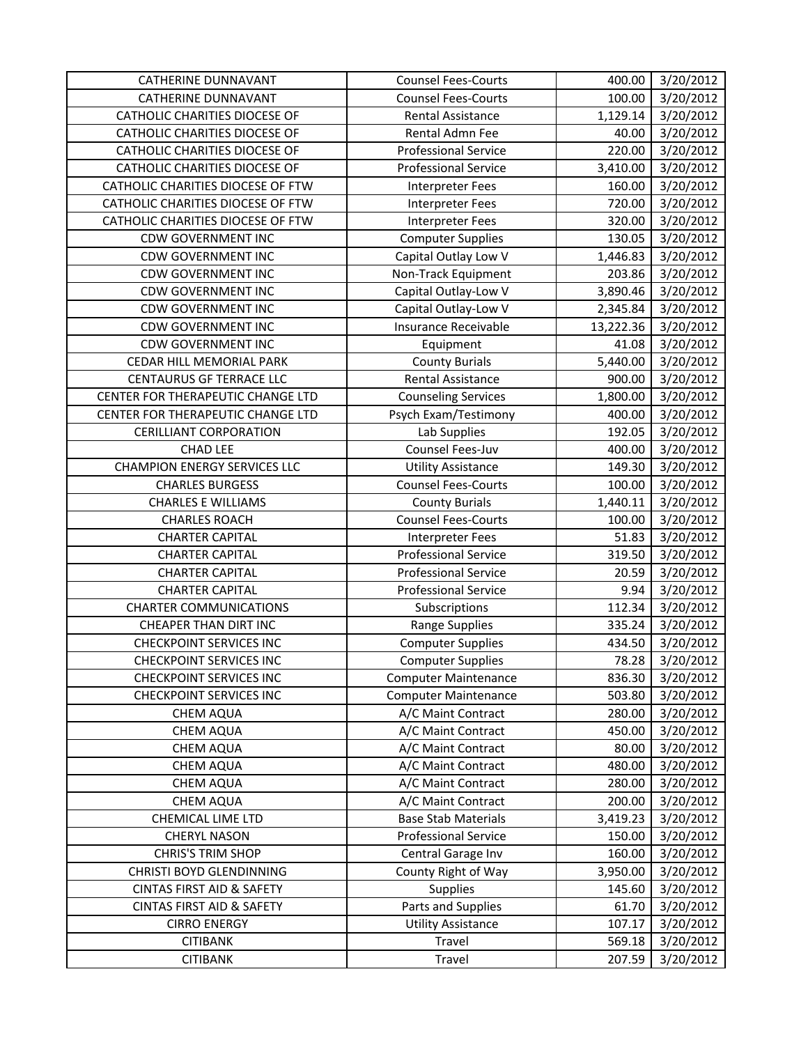| <b>CATHERINE DUNNAVANT</b>           | <b>Counsel Fees-Courts</b>  | 400.00    | 3/20/2012 |
|--------------------------------------|-----------------------------|-----------|-----------|
| <b>CATHERINE DUNNAVANT</b>           | <b>Counsel Fees-Courts</b>  | 100.00    | 3/20/2012 |
| CATHOLIC CHARITIES DIOCESE OF        | Rental Assistance           | 1,129.14  | 3/20/2012 |
| CATHOLIC CHARITIES DIOCESE OF        | Rental Admn Fee             | 40.00     | 3/20/2012 |
| CATHOLIC CHARITIES DIOCESE OF        | <b>Professional Service</b> | 220.00    | 3/20/2012 |
| CATHOLIC CHARITIES DIOCESE OF        | <b>Professional Service</b> | 3,410.00  | 3/20/2012 |
| CATHOLIC CHARITIES DIOCESE OF FTW    | Interpreter Fees            | 160.00    | 3/20/2012 |
| CATHOLIC CHARITIES DIOCESE OF FTW    | <b>Interpreter Fees</b>     | 720.00    | 3/20/2012 |
| CATHOLIC CHARITIES DIOCESE OF FTW    | <b>Interpreter Fees</b>     | 320.00    | 3/20/2012 |
| <b>CDW GOVERNMENT INC</b>            | <b>Computer Supplies</b>    | 130.05    | 3/20/2012 |
| <b>CDW GOVERNMENT INC</b>            | Capital Outlay Low V        | 1,446.83  | 3/20/2012 |
| <b>CDW GOVERNMENT INC</b>            | Non-Track Equipment         | 203.86    | 3/20/2012 |
| <b>CDW GOVERNMENT INC</b>            | Capital Outlay-Low V        | 3,890.46  | 3/20/2012 |
| <b>CDW GOVERNMENT INC</b>            | Capital Outlay-Low V        | 2,345.84  | 3/20/2012 |
| <b>CDW GOVERNMENT INC</b>            | Insurance Receivable        | 13,222.36 | 3/20/2012 |
| <b>CDW GOVERNMENT INC</b>            | Equipment                   | 41.08     | 3/20/2012 |
| CEDAR HILL MEMORIAL PARK             | <b>County Burials</b>       | 5,440.00  | 3/20/2012 |
| <b>CENTAURUS GF TERRACE LLC</b>      | <b>Rental Assistance</b>    | 900.00    | 3/20/2012 |
| CENTER FOR THERAPEUTIC CHANGE LTD    | <b>Counseling Services</b>  | 1,800.00  | 3/20/2012 |
| CENTER FOR THERAPEUTIC CHANGE LTD    | Psych Exam/Testimony        | 400.00    | 3/20/2012 |
| <b>CERILLIANT CORPORATION</b>        | Lab Supplies                | 192.05    | 3/20/2012 |
| <b>CHAD LEE</b>                      | Counsel Fees-Juv            | 400.00    | 3/20/2012 |
| <b>CHAMPION ENERGY SERVICES LLC</b>  | <b>Utility Assistance</b>   | 149.30    | 3/20/2012 |
| <b>CHARLES BURGESS</b>               | <b>Counsel Fees-Courts</b>  | 100.00    | 3/20/2012 |
| <b>CHARLES E WILLIAMS</b>            | <b>County Burials</b>       | 1,440.11  | 3/20/2012 |
| <b>CHARLES ROACH</b>                 | <b>Counsel Fees-Courts</b>  | 100.00    | 3/20/2012 |
| <b>CHARTER CAPITAL</b>               | Interpreter Fees            | 51.83     | 3/20/2012 |
| <b>CHARTER CAPITAL</b>               | <b>Professional Service</b> | 319.50    | 3/20/2012 |
| <b>CHARTER CAPITAL</b>               | <b>Professional Service</b> | 20.59     | 3/20/2012 |
| <b>CHARTER CAPITAL</b>               | <b>Professional Service</b> | 9.94      | 3/20/2012 |
| <b>CHARTER COMMUNICATIONS</b>        | Subscriptions               | 112.34    | 3/20/2012 |
| <b>CHEAPER THAN DIRT INC</b>         | <b>Range Supplies</b>       | 335.24    | 3/20/2012 |
| <b>CHECKPOINT SERVICES INC</b>       | <b>Computer Supplies</b>    | 434.50    | 3/20/2012 |
| <b>CHECKPOINT SERVICES INC</b>       | <b>Computer Supplies</b>    | 78.28     | 3/20/2012 |
| <b>CHECKPOINT SERVICES INC</b>       | <b>Computer Maintenance</b> | 836.30    | 3/20/2012 |
| <b>CHECKPOINT SERVICES INC</b>       | <b>Computer Maintenance</b> | 503.80    | 3/20/2012 |
| <b>CHEM AQUA</b>                     | A/C Maint Contract          | 280.00    | 3/20/2012 |
| CHEM AQUA                            | A/C Maint Contract          | 450.00    | 3/20/2012 |
| <b>CHEM AQUA</b>                     | A/C Maint Contract          | 80.00     | 3/20/2012 |
| <b>CHEM AQUA</b>                     | A/C Maint Contract          | 480.00    | 3/20/2012 |
| <b>CHEM AQUA</b>                     | A/C Maint Contract          | 280.00    | 3/20/2012 |
| <b>CHEM AQUA</b>                     | A/C Maint Contract          | 200.00    | 3/20/2012 |
| CHEMICAL LIME LTD                    | <b>Base Stab Materials</b>  | 3,419.23  | 3/20/2012 |
| <b>CHERYL NASON</b>                  | <b>Professional Service</b> | 150.00    | 3/20/2012 |
| <b>CHRIS'S TRIM SHOP</b>             | Central Garage Inv          | 160.00    | 3/20/2012 |
| <b>CHRISTI BOYD GLENDINNING</b>      | County Right of Way         | 3,950.00  | 3/20/2012 |
| CINTAS FIRST AID & SAFETY            | <b>Supplies</b>             | 145.60    | 3/20/2012 |
| <b>CINTAS FIRST AID &amp; SAFETY</b> | Parts and Supplies          | 61.70     | 3/20/2012 |
| <b>CIRRO ENERGY</b>                  | <b>Utility Assistance</b>   | 107.17    | 3/20/2012 |
| <b>CITIBANK</b>                      | Travel                      | 569.18    | 3/20/2012 |
| <b>CITIBANK</b>                      | Travel                      | 207.59    | 3/20/2012 |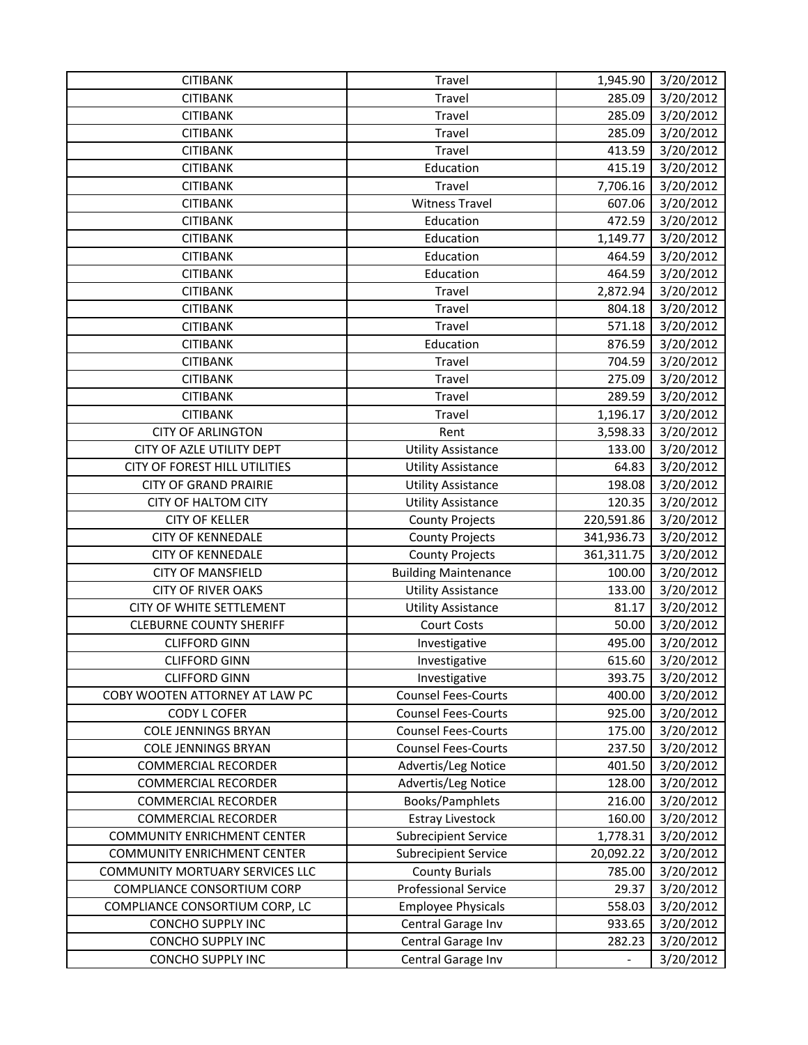| <b>CITIBANK</b>                    | Travel                      | 1,945.90   | 3/20/2012 |
|------------------------------------|-----------------------------|------------|-----------|
| <b>CITIBANK</b>                    | Travel                      | 285.09     | 3/20/2012 |
| <b>CITIBANK</b>                    | Travel                      | 285.09     | 3/20/2012 |
| <b>CITIBANK</b>                    | <b>Travel</b>               | 285.09     | 3/20/2012 |
| <b>CITIBANK</b>                    | Travel                      | 413.59     | 3/20/2012 |
| <b>CITIBANK</b>                    | Education                   | 415.19     | 3/20/2012 |
| <b>CITIBANK</b>                    | Travel                      | 7,706.16   | 3/20/2012 |
| <b>CITIBANK</b>                    | <b>Witness Travel</b>       | 607.06     | 3/20/2012 |
| <b>CITIBANK</b>                    | Education                   | 472.59     | 3/20/2012 |
| <b>CITIBANK</b>                    | Education                   | 1,149.77   | 3/20/2012 |
| <b>CITIBANK</b>                    | Education                   | 464.59     | 3/20/2012 |
| <b>CITIBANK</b>                    | Education                   | 464.59     | 3/20/2012 |
| <b>CITIBANK</b>                    | Travel                      | 2,872.94   | 3/20/2012 |
| <b>CITIBANK</b>                    | Travel                      | 804.18     | 3/20/2012 |
| <b>CITIBANK</b>                    | Travel                      | 571.18     | 3/20/2012 |
| <b>CITIBANK</b>                    | Education                   | 876.59     | 3/20/2012 |
| <b>CITIBANK</b>                    | Travel                      | 704.59     | 3/20/2012 |
| <b>CITIBANK</b>                    | Travel                      | 275.09     | 3/20/2012 |
| <b>CITIBANK</b>                    | Travel                      | 289.59     | 3/20/2012 |
| <b>CITIBANK</b>                    | Travel                      | 1,196.17   | 3/20/2012 |
| <b>CITY OF ARLINGTON</b>           | Rent                        | 3,598.33   | 3/20/2012 |
| CITY OF AZLE UTILITY DEPT          | <b>Utility Assistance</b>   | 133.00     | 3/20/2012 |
| CITY OF FOREST HILL UTILITIES      | <b>Utility Assistance</b>   | 64.83      | 3/20/2012 |
| <b>CITY OF GRAND PRAIRIE</b>       | <b>Utility Assistance</b>   | 198.08     | 3/20/2012 |
| CITY OF HALTOM CITY                | <b>Utility Assistance</b>   | 120.35     | 3/20/2012 |
| <b>CITY OF KELLER</b>              | <b>County Projects</b>      | 220,591.86 | 3/20/2012 |
| <b>CITY OF KENNEDALE</b>           | <b>County Projects</b>      | 341,936.73 | 3/20/2012 |
| <b>CITY OF KENNEDALE</b>           | <b>County Projects</b>      | 361,311.75 | 3/20/2012 |
| <b>CITY OF MANSFIELD</b>           | <b>Building Maintenance</b> | 100.00     | 3/20/2012 |
| <b>CITY OF RIVER OAKS</b>          | <b>Utility Assistance</b>   | 133.00     | 3/20/2012 |
| CITY OF WHITE SETTLEMENT           | <b>Utility Assistance</b>   | 81.17      | 3/20/2012 |
| <b>CLEBURNE COUNTY SHERIFF</b>     | <b>Court Costs</b>          | 50.00      | 3/20/2012 |
| <b>CLIFFORD GINN</b>               | Investigative               | 495.00     | 3/20/2012 |
| <b>CLIFFORD GINN</b>               | Investigative               | 615.60     | 3/20/2012 |
| <b>CLIFFORD GINN</b>               | Investigative               | 393.75     | 3/20/2012 |
| COBY WOOTEN ATTORNEY AT LAW PC     | <b>Counsel Fees-Courts</b>  | 400.00     | 3/20/2012 |
| <b>CODY L COFER</b>                | <b>Counsel Fees-Courts</b>  | 925.00     | 3/20/2012 |
| <b>COLE JENNINGS BRYAN</b>         | <b>Counsel Fees-Courts</b>  | 175.00     | 3/20/2012 |
| <b>COLE JENNINGS BRYAN</b>         | <b>Counsel Fees-Courts</b>  | 237.50     | 3/20/2012 |
| <b>COMMERCIAL RECORDER</b>         | Advertis/Leg Notice         | 401.50     | 3/20/2012 |
| <b>COMMERCIAL RECORDER</b>         | Advertis/Leg Notice         | 128.00     | 3/20/2012 |
| <b>COMMERCIAL RECORDER</b>         | Books/Pamphlets             | 216.00     | 3/20/2012 |
| <b>COMMERCIAL RECORDER</b>         | <b>Estray Livestock</b>     | 160.00     | 3/20/2012 |
| <b>COMMUNITY ENRICHMENT CENTER</b> | Subrecipient Service        | 1,778.31   | 3/20/2012 |
| <b>COMMUNITY ENRICHMENT CENTER</b> | <b>Subrecipient Service</b> | 20,092.22  | 3/20/2012 |
| COMMUNITY MORTUARY SERVICES LLC    | <b>County Burials</b>       | 785.00     | 3/20/2012 |
| COMPLIANCE CONSORTIUM CORP         | <b>Professional Service</b> | 29.37      | 3/20/2012 |
| COMPLIANCE CONSORTIUM CORP, LC     | <b>Employee Physicals</b>   | 558.03     | 3/20/2012 |
| <b>CONCHO SUPPLY INC</b>           | Central Garage Inv          | 933.65     | 3/20/2012 |
| <b>CONCHO SUPPLY INC</b>           | Central Garage Inv          | 282.23     | 3/20/2012 |
| CONCHO SUPPLY INC                  | Central Garage Inv          |            | 3/20/2012 |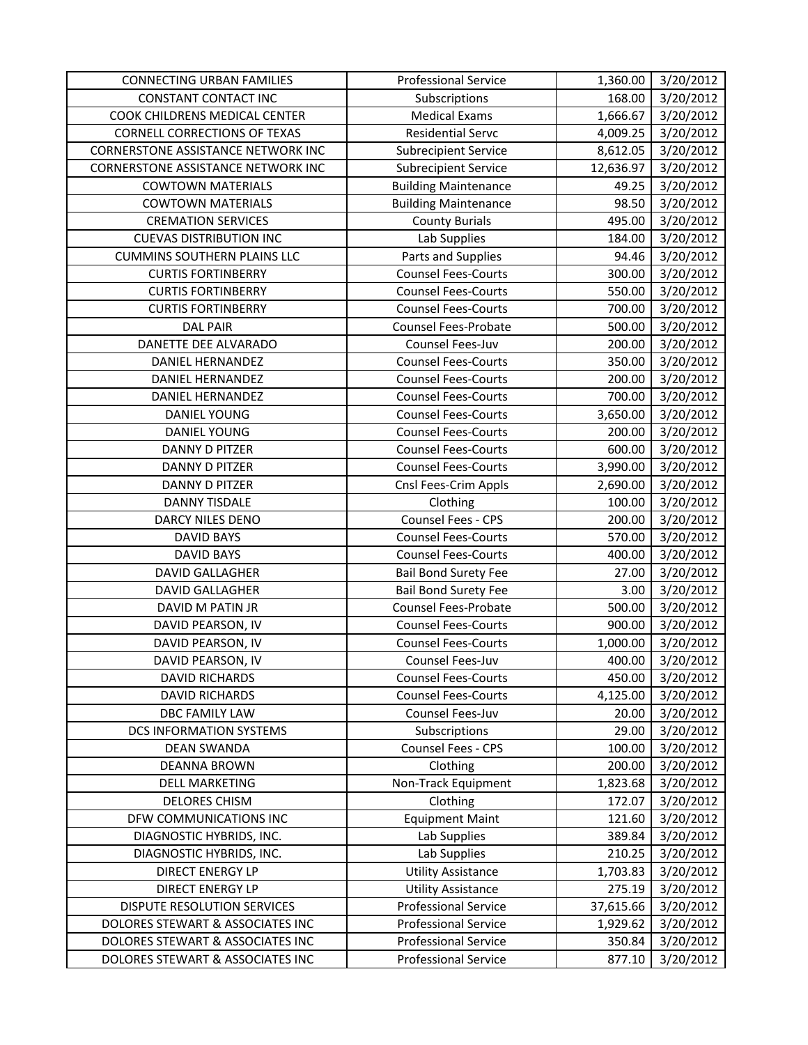| <b>CONNECTING URBAN FAMILIES</b>    | <b>Professional Service</b> | 1,360.00  | 3/20/2012 |
|-------------------------------------|-----------------------------|-----------|-----------|
| CONSTANT CONTACT INC                | Subscriptions               | 168.00    | 3/20/2012 |
| COOK CHILDRENS MEDICAL CENTER       | <b>Medical Exams</b>        | 1,666.67  | 3/20/2012 |
| <b>CORNELL CORRECTIONS OF TEXAS</b> | <b>Residential Servc</b>    | 4,009.25  | 3/20/2012 |
| CORNERSTONE ASSISTANCE NETWORK INC  | <b>Subrecipient Service</b> | 8,612.05  | 3/20/2012 |
| CORNERSTONE ASSISTANCE NETWORK INC  | <b>Subrecipient Service</b> | 12,636.97 | 3/20/2012 |
| <b>COWTOWN MATERIALS</b>            | <b>Building Maintenance</b> | 49.25     | 3/20/2012 |
| <b>COWTOWN MATERIALS</b>            | <b>Building Maintenance</b> | 98.50     | 3/20/2012 |
| <b>CREMATION SERVICES</b>           | <b>County Burials</b>       | 495.00    | 3/20/2012 |
| <b>CUEVAS DISTRIBUTION INC</b>      | Lab Supplies                | 184.00    | 3/20/2012 |
| <b>CUMMINS SOUTHERN PLAINS LLC</b>  | Parts and Supplies          | 94.46     | 3/20/2012 |
| <b>CURTIS FORTINBERRY</b>           | <b>Counsel Fees-Courts</b>  | 300.00    | 3/20/2012 |
| <b>CURTIS FORTINBERRY</b>           | <b>Counsel Fees-Courts</b>  | 550.00    | 3/20/2012 |
| <b>CURTIS FORTINBERRY</b>           | <b>Counsel Fees-Courts</b>  | 700.00    | 3/20/2012 |
| <b>DAL PAIR</b>                     | <b>Counsel Fees-Probate</b> | 500.00    | 3/20/2012 |
| DANETTE DEE ALVARADO                | Counsel Fees-Juv            | 200.00    | 3/20/2012 |
| <b>DANIEL HERNANDEZ</b>             | <b>Counsel Fees-Courts</b>  | 350.00    | 3/20/2012 |
| DANIEL HERNANDEZ                    | <b>Counsel Fees-Courts</b>  | 200.00    | 3/20/2012 |
| <b>DANIEL HERNANDEZ</b>             | <b>Counsel Fees-Courts</b>  | 700.00    | 3/20/2012 |
| DANIEL YOUNG                        | <b>Counsel Fees-Courts</b>  | 3,650.00  | 3/20/2012 |
| <b>DANIEL YOUNG</b>                 | <b>Counsel Fees-Courts</b>  | 200.00    | 3/20/2012 |
| DANNY D PITZER                      | <b>Counsel Fees-Courts</b>  | 600.00    | 3/20/2012 |
| <b>DANNY D PITZER</b>               | <b>Counsel Fees-Courts</b>  | 3,990.00  | 3/20/2012 |
| DANNY D PITZER                      | Cnsl Fees-Crim Appls        | 2,690.00  | 3/20/2012 |
| <b>DANNY TISDALE</b>                | Clothing                    | 100.00    | 3/20/2012 |
| <b>DARCY NILES DENO</b>             | Counsel Fees - CPS          | 200.00    | 3/20/2012 |
| <b>DAVID BAYS</b>                   | <b>Counsel Fees-Courts</b>  | 570.00    | 3/20/2012 |
| <b>DAVID BAYS</b>                   | <b>Counsel Fees-Courts</b>  | 400.00    | 3/20/2012 |
| <b>DAVID GALLAGHER</b>              | <b>Bail Bond Surety Fee</b> | 27.00     | 3/20/2012 |
| <b>DAVID GALLAGHER</b>              | <b>Bail Bond Surety Fee</b> | 3.00      | 3/20/2012 |
| DAVID M PATIN JR                    | Counsel Fees-Probate        | 500.00    | 3/20/2012 |
| DAVID PEARSON, IV                   | <b>Counsel Fees-Courts</b>  | 900.00    | 3/20/2012 |
| DAVID PEARSON, IV                   | <b>Counsel Fees-Courts</b>  | 1,000.00  | 3/20/2012 |
| DAVID PEARSON, IV                   | Counsel Fees-Juv            | 400.00    | 3/20/2012 |
| <b>DAVID RICHARDS</b>               | <b>Counsel Fees-Courts</b>  | 450.00    | 3/20/2012 |
| <b>DAVID RICHARDS</b>               | <b>Counsel Fees-Courts</b>  | 4,125.00  | 3/20/2012 |
| DBC FAMILY LAW                      | Counsel Fees-Juv            | 20.00     | 3/20/2012 |
| DCS INFORMATION SYSTEMS             | Subscriptions               | 29.00     | 3/20/2012 |
| <b>DEAN SWANDA</b>                  | Counsel Fees - CPS          | 100.00    | 3/20/2012 |
| <b>DEANNA BROWN</b>                 | Clothing                    | 200.00    | 3/20/2012 |
| <b>DELL MARKETING</b>               | Non-Track Equipment         | 1,823.68  | 3/20/2012 |
| <b>DELORES CHISM</b>                | Clothing                    | 172.07    | 3/20/2012 |
| DFW COMMUNICATIONS INC              | <b>Equipment Maint</b>      | 121.60    | 3/20/2012 |
| DIAGNOSTIC HYBRIDS, INC.            | Lab Supplies                | 389.84    | 3/20/2012 |
| DIAGNOSTIC HYBRIDS, INC.            | Lab Supplies                | 210.25    | 3/20/2012 |
| DIRECT ENERGY LP                    | <b>Utility Assistance</b>   | 1,703.83  | 3/20/2012 |
| DIRECT ENERGY LP                    | <b>Utility Assistance</b>   | 275.19    | 3/20/2012 |
| DISPUTE RESOLUTION SERVICES         | <b>Professional Service</b> | 37,615.66 | 3/20/2012 |
| DOLORES STEWART & ASSOCIATES INC    | <b>Professional Service</b> | 1,929.62  | 3/20/2012 |
| DOLORES STEWART & ASSOCIATES INC    | <b>Professional Service</b> | 350.84    | 3/20/2012 |
| DOLORES STEWART & ASSOCIATES INC    | <b>Professional Service</b> | 877.10    | 3/20/2012 |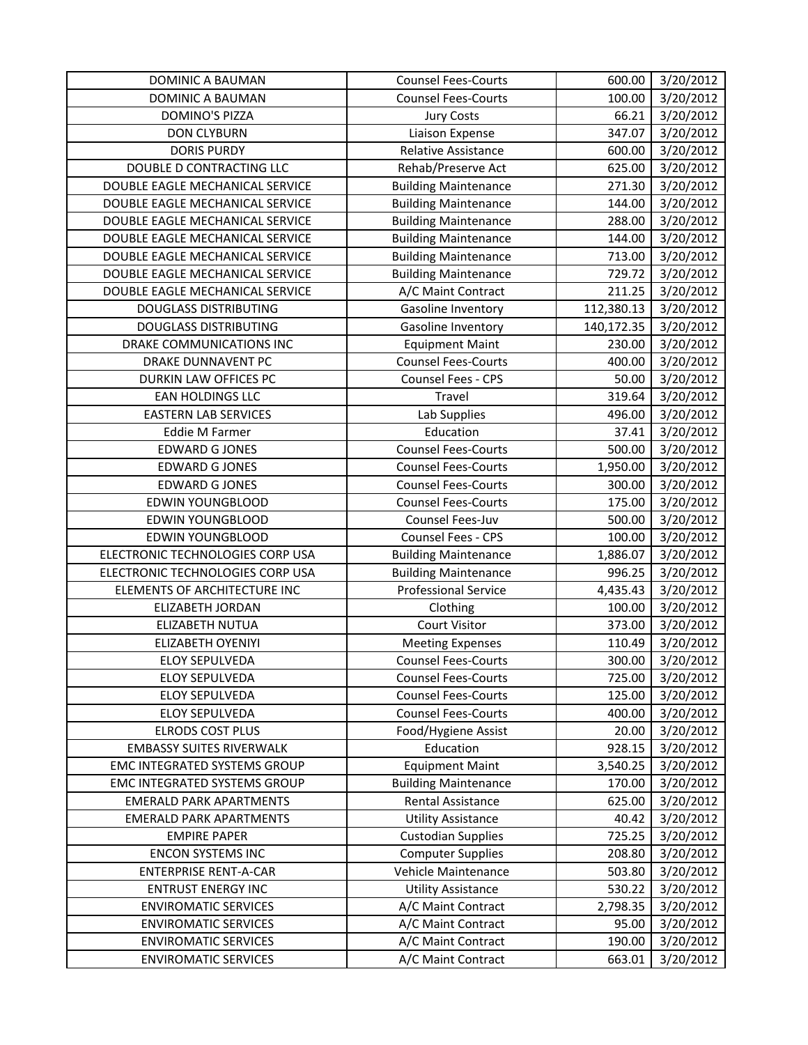| DOMINIC A BAUMAN                 | <b>Counsel Fees-Courts</b>  | 600.00     | 3/20/2012 |
|----------------------------------|-----------------------------|------------|-----------|
| <b>DOMINIC A BAUMAN</b>          | <b>Counsel Fees-Courts</b>  | 100.00     | 3/20/2012 |
| <b>DOMINO'S PIZZA</b>            | <b>Jury Costs</b>           | 66.21      | 3/20/2012 |
| <b>DON CLYBURN</b>               | Liaison Expense             | 347.07     | 3/20/2012 |
| <b>DORIS PURDY</b>               | <b>Relative Assistance</b>  | 600.00     | 3/20/2012 |
| DOUBLE D CONTRACTING LLC         | Rehab/Preserve Act          | 625.00     | 3/20/2012 |
| DOUBLE EAGLE MECHANICAL SERVICE  | <b>Building Maintenance</b> | 271.30     | 3/20/2012 |
| DOUBLE EAGLE MECHANICAL SERVICE  | <b>Building Maintenance</b> | 144.00     | 3/20/2012 |
| DOUBLE EAGLE MECHANICAL SERVICE  | <b>Building Maintenance</b> | 288.00     | 3/20/2012 |
| DOUBLE EAGLE MECHANICAL SERVICE  | <b>Building Maintenance</b> | 144.00     | 3/20/2012 |
| DOUBLE EAGLE MECHANICAL SERVICE  | <b>Building Maintenance</b> | 713.00     | 3/20/2012 |
| DOUBLE EAGLE MECHANICAL SERVICE  | <b>Building Maintenance</b> | 729.72     | 3/20/2012 |
| DOUBLE EAGLE MECHANICAL SERVICE  | A/C Maint Contract          | 211.25     | 3/20/2012 |
| <b>DOUGLASS DISTRIBUTING</b>     | Gasoline Inventory          | 112,380.13 | 3/20/2012 |
| <b>DOUGLASS DISTRIBUTING</b>     | Gasoline Inventory          | 140,172.35 | 3/20/2012 |
| DRAKE COMMUNICATIONS INC         | <b>Equipment Maint</b>      | 230.00     | 3/20/2012 |
| DRAKE DUNNAVENT PC               | <b>Counsel Fees-Courts</b>  | 400.00     | 3/20/2012 |
| DURKIN LAW OFFICES PC            | Counsel Fees - CPS          | 50.00      | 3/20/2012 |
| <b>EAN HOLDINGS LLC</b>          | Travel                      | 319.64     | 3/20/2012 |
| <b>EASTERN LAB SERVICES</b>      | Lab Supplies                | 496.00     | 3/20/2012 |
| Eddie M Farmer                   | Education                   | 37.41      | 3/20/2012 |
| <b>EDWARD G JONES</b>            | <b>Counsel Fees-Courts</b>  | 500.00     | 3/20/2012 |
| <b>EDWARD G JONES</b>            | <b>Counsel Fees-Courts</b>  | 1,950.00   | 3/20/2012 |
| <b>EDWARD GJONES</b>             | <b>Counsel Fees-Courts</b>  | 300.00     | 3/20/2012 |
| <b>EDWIN YOUNGBLOOD</b>          | <b>Counsel Fees-Courts</b>  | 175.00     | 3/20/2012 |
| <b>EDWIN YOUNGBLOOD</b>          | Counsel Fees-Juv            | 500.00     | 3/20/2012 |
| <b>EDWIN YOUNGBLOOD</b>          | Counsel Fees - CPS          | 100.00     | 3/20/2012 |
| ELECTRONIC TECHNOLOGIES CORP USA | <b>Building Maintenance</b> | 1,886.07   | 3/20/2012 |
| ELECTRONIC TECHNOLOGIES CORP USA | <b>Building Maintenance</b> | 996.25     | 3/20/2012 |
| ELEMENTS OF ARCHITECTURE INC     | <b>Professional Service</b> | 4,435.43   | 3/20/2012 |
| <b>ELIZABETH JORDAN</b>          | Clothing                    | 100.00     | 3/20/2012 |
| ELIZABETH NUTUA                  | <b>Court Visitor</b>        | 373.00     | 3/20/2012 |
| <b>ELIZABETH OYENIYI</b>         | <b>Meeting Expenses</b>     | 110.49     | 3/20/2012 |
| ELOY SEPULVEDA                   | <b>Counsel Fees-Courts</b>  | 300.00     | 3/20/2012 |
| <b>ELOY SEPULVEDA</b>            | <b>Counsel Fees-Courts</b>  | 725.00     | 3/20/2012 |
| <b>ELOY SEPULVEDA</b>            | <b>Counsel Fees-Courts</b>  | 125.00     | 3/20/2012 |
| <b>ELOY SEPULVEDA</b>            | <b>Counsel Fees-Courts</b>  | 400.00     | 3/20/2012 |
| <b>ELRODS COST PLUS</b>          | Food/Hygiene Assist         | 20.00      | 3/20/2012 |
| <b>EMBASSY SUITES RIVERWALK</b>  | Education                   | 928.15     | 3/20/2012 |
| EMC INTEGRATED SYSTEMS GROUP     | <b>Equipment Maint</b>      | 3,540.25   | 3/20/2012 |
| EMC INTEGRATED SYSTEMS GROUP     | <b>Building Maintenance</b> | 170.00     | 3/20/2012 |
| <b>EMERALD PARK APARTMENTS</b>   | Rental Assistance           | 625.00     | 3/20/2012 |
| <b>EMERALD PARK APARTMENTS</b>   | <b>Utility Assistance</b>   | 40.42      | 3/20/2012 |
| <b>EMPIRE PAPER</b>              | <b>Custodian Supplies</b>   | 725.25     | 3/20/2012 |
| <b>ENCON SYSTEMS INC</b>         | <b>Computer Supplies</b>    | 208.80     | 3/20/2012 |
| <b>ENTERPRISE RENT-A-CAR</b>     | Vehicle Maintenance         | 503.80     | 3/20/2012 |
| <b>ENTRUST ENERGY INC</b>        | <b>Utility Assistance</b>   | 530.22     | 3/20/2012 |
| <b>ENVIROMATIC SERVICES</b>      | A/C Maint Contract          | 2,798.35   | 3/20/2012 |
| <b>ENVIROMATIC SERVICES</b>      | A/C Maint Contract          | 95.00      | 3/20/2012 |
| <b>ENVIROMATIC SERVICES</b>      | A/C Maint Contract          | 190.00     | 3/20/2012 |
| <b>ENVIROMATIC SERVICES</b>      | A/C Maint Contract          | 663.01     | 3/20/2012 |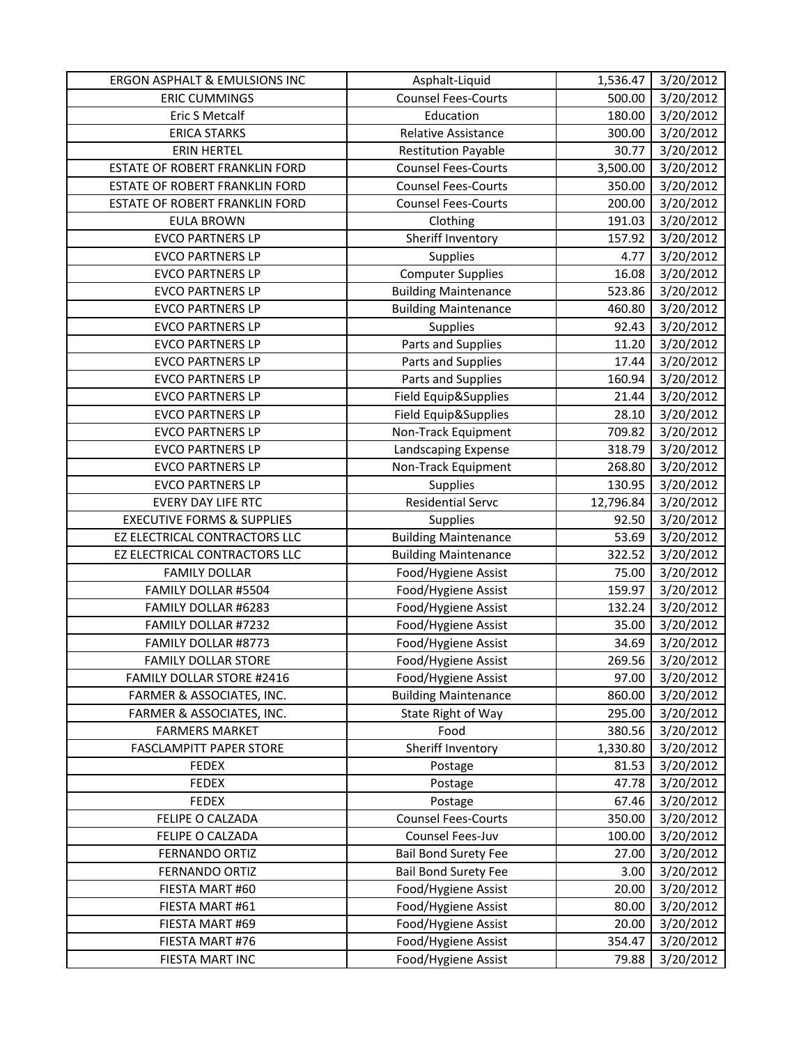| ERGON ASPHALT & EMULSIONS INC         | Asphalt-Liquid              | 1,536.47  | 3/20/2012 |
|---------------------------------------|-----------------------------|-----------|-----------|
| <b>ERIC CUMMINGS</b>                  | Counsel Fees-Courts         | 500.00    | 3/20/2012 |
| Eric S Metcalf                        | Education                   | 180.00    | 3/20/2012 |
| <b>ERICA STARKS</b>                   | Relative Assistance         | 300.00    | 3/20/2012 |
| <b>ERIN HERTEL</b>                    | <b>Restitution Payable</b>  | 30.77     | 3/20/2012 |
| <b>ESTATE OF ROBERT FRANKLIN FORD</b> | <b>Counsel Fees-Courts</b>  | 3,500.00  | 3/20/2012 |
| ESTATE OF ROBERT FRANKLIN FORD        | <b>Counsel Fees-Courts</b>  | 350.00    | 3/20/2012 |
| ESTATE OF ROBERT FRANKLIN FORD        | <b>Counsel Fees-Courts</b>  | 200.00    | 3/20/2012 |
| <b>EULA BROWN</b>                     | Clothing                    | 191.03    | 3/20/2012 |
| <b>EVCO PARTNERS LP</b>               | Sheriff Inventory           | 157.92    | 3/20/2012 |
| <b>EVCO PARTNERS LP</b>               | Supplies                    | 4.77      | 3/20/2012 |
| <b>EVCO PARTNERS LP</b>               | <b>Computer Supplies</b>    | 16.08     | 3/20/2012 |
| <b>EVCO PARTNERS LP</b>               | <b>Building Maintenance</b> | 523.86    | 3/20/2012 |
| <b>EVCO PARTNERS LP</b>               | <b>Building Maintenance</b> | 460.80    | 3/20/2012 |
| <b>EVCO PARTNERS LP</b>               | Supplies                    | 92.43     | 3/20/2012 |
| <b>EVCO PARTNERS LP</b>               | Parts and Supplies          | 11.20     | 3/20/2012 |
| <b>EVCO PARTNERS LP</b>               | Parts and Supplies          | 17.44     | 3/20/2012 |
| <b>EVCO PARTNERS LP</b>               | Parts and Supplies          | 160.94    | 3/20/2012 |
| <b>EVCO PARTNERS LP</b>               | Field Equip&Supplies        | 21.44     | 3/20/2012 |
| <b>EVCO PARTNERS LP</b>               | Field Equip&Supplies        | 28.10     | 3/20/2012 |
| <b>EVCO PARTNERS LP</b>               | Non-Track Equipment         | 709.82    | 3/20/2012 |
| <b>EVCO PARTNERS LP</b>               | Landscaping Expense         | 318.79    | 3/20/2012 |
| <b>EVCO PARTNERS LP</b>               | Non-Track Equipment         | 268.80    | 3/20/2012 |
| <b>EVCO PARTNERS LP</b>               | Supplies                    | 130.95    | 3/20/2012 |
| <b>EVERY DAY LIFE RTC</b>             | <b>Residential Servc</b>    | 12,796.84 | 3/20/2012 |
| <b>EXECUTIVE FORMS &amp; SUPPLIES</b> | <b>Supplies</b>             | 92.50     | 3/20/2012 |
| EZ ELECTRICAL CONTRACTORS LLC         | <b>Building Maintenance</b> | 53.69     | 3/20/2012 |
| EZ ELECTRICAL CONTRACTORS LLC         | <b>Building Maintenance</b> | 322.52    | 3/20/2012 |
| <b>FAMILY DOLLAR</b>                  | Food/Hygiene Assist         | 75.00     | 3/20/2012 |
| FAMILY DOLLAR #5504                   | Food/Hygiene Assist         | 159.97    | 3/20/2012 |
| FAMILY DOLLAR #6283                   | Food/Hygiene Assist         | 132.24    | 3/20/2012 |
| FAMILY DOLLAR #7232                   | Food/Hygiene Assist         | 35.00     | 3/20/2012 |
| FAMILY DOLLAR #8773                   | Food/Hygiene Assist         | 34.69     | 3/20/2012 |
| <b>FAMILY DOLLAR STORE</b>            | Food/Hygiene Assist         | 269.56    | 3/20/2012 |
| <b>FAMILY DOLLAR STORE #2416</b>      | Food/Hygiene Assist         | 97.00     | 3/20/2012 |
| FARMER & ASSOCIATES, INC.             | <b>Building Maintenance</b> | 860.00    | 3/20/2012 |
| FARMER & ASSOCIATES, INC.             | State Right of Way          | 295.00    | 3/20/2012 |
| <b>FARMERS MARKET</b>                 | Food                        | 380.56    | 3/20/2012 |
| <b>FASCLAMPITT PAPER STORE</b>        | Sheriff Inventory           | 1,330.80  | 3/20/2012 |
| <b>FEDEX</b>                          | Postage                     | 81.53     | 3/20/2012 |
| <b>FEDEX</b>                          | Postage                     | 47.78     | 3/20/2012 |
| <b>FEDEX</b>                          | Postage                     | 67.46     | 3/20/2012 |
| FELIPE O CALZADA                      | <b>Counsel Fees-Courts</b>  | 350.00    | 3/20/2012 |
| FELIPE O CALZADA                      | Counsel Fees-Juv            | 100.00    | 3/20/2012 |
| FERNANDO ORTIZ                        | <b>Bail Bond Surety Fee</b> | 27.00     | 3/20/2012 |
| FERNANDO ORTIZ                        | <b>Bail Bond Surety Fee</b> | 3.00      | 3/20/2012 |
| FIESTA MART #60                       | Food/Hygiene Assist         | 20.00     | 3/20/2012 |
| FIESTA MART #61                       | Food/Hygiene Assist         | 80.00     | 3/20/2012 |
| FIESTA MART #69                       | Food/Hygiene Assist         | 20.00     | 3/20/2012 |
| FIESTA MART #76                       | Food/Hygiene Assist         | 354.47    | 3/20/2012 |
| FIESTA MART INC                       | Food/Hygiene Assist         | 79.88     | 3/20/2012 |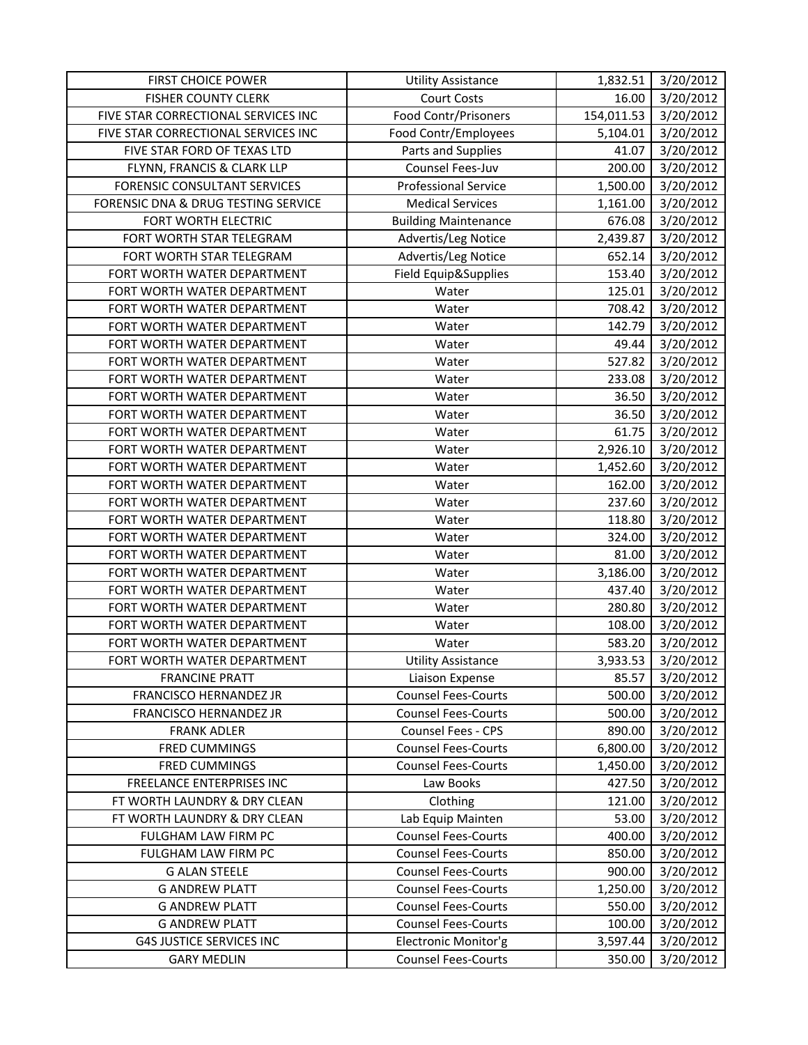| <b>FIRST CHOICE POWER</b>           | <b>Utility Assistance</b>   | 1,832.51   | 3/20/2012 |
|-------------------------------------|-----------------------------|------------|-----------|
| <b>FISHER COUNTY CLERK</b>          | <b>Court Costs</b>          | 16.00      | 3/20/2012 |
| FIVE STAR CORRECTIONAL SERVICES INC | Food Contr/Prisoners        | 154,011.53 | 3/20/2012 |
| FIVE STAR CORRECTIONAL SERVICES INC | Food Contr/Employees        | 5,104.01   | 3/20/2012 |
| FIVE STAR FORD OF TEXAS LTD         | Parts and Supplies          | 41.07      | 3/20/2012 |
| FLYNN, FRANCIS & CLARK LLP          | Counsel Fees-Juv            | 200.00     | 3/20/2012 |
| FORENSIC CONSULTANT SERVICES        | <b>Professional Service</b> | 1,500.00   | 3/20/2012 |
| FORENSIC DNA & DRUG TESTING SERVICE | <b>Medical Services</b>     | 1,161.00   | 3/20/2012 |
| FORT WORTH ELECTRIC                 | <b>Building Maintenance</b> | 676.08     | 3/20/2012 |
| FORT WORTH STAR TELEGRAM            | Advertis/Leg Notice         | 2,439.87   | 3/20/2012 |
| FORT WORTH STAR TELEGRAM            | Advertis/Leg Notice         | 652.14     | 3/20/2012 |
| FORT WORTH WATER DEPARTMENT         | Field Equip&Supplies        | 153.40     | 3/20/2012 |
| FORT WORTH WATER DEPARTMENT         | Water                       | 125.01     | 3/20/2012 |
| FORT WORTH WATER DEPARTMENT         | Water                       | 708.42     | 3/20/2012 |
| FORT WORTH WATER DEPARTMENT         | Water                       | 142.79     | 3/20/2012 |
| FORT WORTH WATER DEPARTMENT         | Water                       | 49.44      | 3/20/2012 |
| FORT WORTH WATER DEPARTMENT         | Water                       | 527.82     | 3/20/2012 |
| FORT WORTH WATER DEPARTMENT         | Water                       | 233.08     | 3/20/2012 |
| FORT WORTH WATER DEPARTMENT         | Water                       | 36.50      | 3/20/2012 |
| FORT WORTH WATER DEPARTMENT         | Water                       | 36.50      | 3/20/2012 |
| FORT WORTH WATER DEPARTMENT         | Water                       | 61.75      | 3/20/2012 |
| FORT WORTH WATER DEPARTMENT         | Water                       | 2,926.10   | 3/20/2012 |
| FORT WORTH WATER DEPARTMENT         | Water                       | 1,452.60   | 3/20/2012 |
| FORT WORTH WATER DEPARTMENT         | Water                       | 162.00     | 3/20/2012 |
| FORT WORTH WATER DEPARTMENT         | Water                       | 237.60     | 3/20/2012 |
| FORT WORTH WATER DEPARTMENT         | Water                       | 118.80     | 3/20/2012 |
| FORT WORTH WATER DEPARTMENT         | Water                       | 324.00     | 3/20/2012 |
| FORT WORTH WATER DEPARTMENT         | Water                       | 81.00      | 3/20/2012 |
| FORT WORTH WATER DEPARTMENT         | Water                       | 3,186.00   | 3/20/2012 |
| FORT WORTH WATER DEPARTMENT         | Water                       | 437.40     | 3/20/2012 |
| FORT WORTH WATER DEPARTMENT         | Water                       | 280.80     | 3/20/2012 |
| FORT WORTH WATER DEPARTMENT         | Water                       | 108.00     | 3/20/2012 |
| FORT WORTH WATER DEPARTMENT         | Water                       | 583.20     | 3/20/2012 |
| FORT WORTH WATER DEPARTMENT         | <b>Utility Assistance</b>   | 3,933.53   | 3/20/2012 |
| <b>FRANCINE PRATT</b>               | Liaison Expense             | 85.57      | 3/20/2012 |
| FRANCISCO HERNANDEZ JR              | <b>Counsel Fees-Courts</b>  | 500.00     | 3/20/2012 |
| FRANCISCO HERNANDEZ JR              | <b>Counsel Fees-Courts</b>  | 500.00     | 3/20/2012 |
| <b>FRANK ADLER</b>                  | Counsel Fees - CPS          | 890.00     | 3/20/2012 |
| FRED CUMMINGS                       | <b>Counsel Fees-Courts</b>  | 6,800.00   | 3/20/2012 |
| <b>FRED CUMMINGS</b>                | <b>Counsel Fees-Courts</b>  | 1,450.00   | 3/20/2012 |
| <b>FREELANCE ENTERPRISES INC</b>    | Law Books                   | 427.50     | 3/20/2012 |
| FT WORTH LAUNDRY & DRY CLEAN        | Clothing                    | 121.00     | 3/20/2012 |
| FT WORTH LAUNDRY & DRY CLEAN        | Lab Equip Mainten           | 53.00      | 3/20/2012 |
| FULGHAM LAW FIRM PC                 | <b>Counsel Fees-Courts</b>  | 400.00     | 3/20/2012 |
| FULGHAM LAW FIRM PC                 | <b>Counsel Fees-Courts</b>  | 850.00     | 3/20/2012 |
| <b>G ALAN STEELE</b>                | <b>Counsel Fees-Courts</b>  | 900.00     | 3/20/2012 |
| <b>G ANDREW PLATT</b>               | <b>Counsel Fees-Courts</b>  | 1,250.00   | 3/20/2012 |
| <b>G ANDREW PLATT</b>               | <b>Counsel Fees-Courts</b>  | 550.00     | 3/20/2012 |
| <b>G ANDREW PLATT</b>               | <b>Counsel Fees-Courts</b>  | 100.00     | 3/20/2012 |
| <b>G4S JUSTICE SERVICES INC</b>     | Electronic Monitor'g        | 3,597.44   | 3/20/2012 |
| <b>GARY MEDLIN</b>                  | <b>Counsel Fees-Courts</b>  | 350.00     | 3/20/2012 |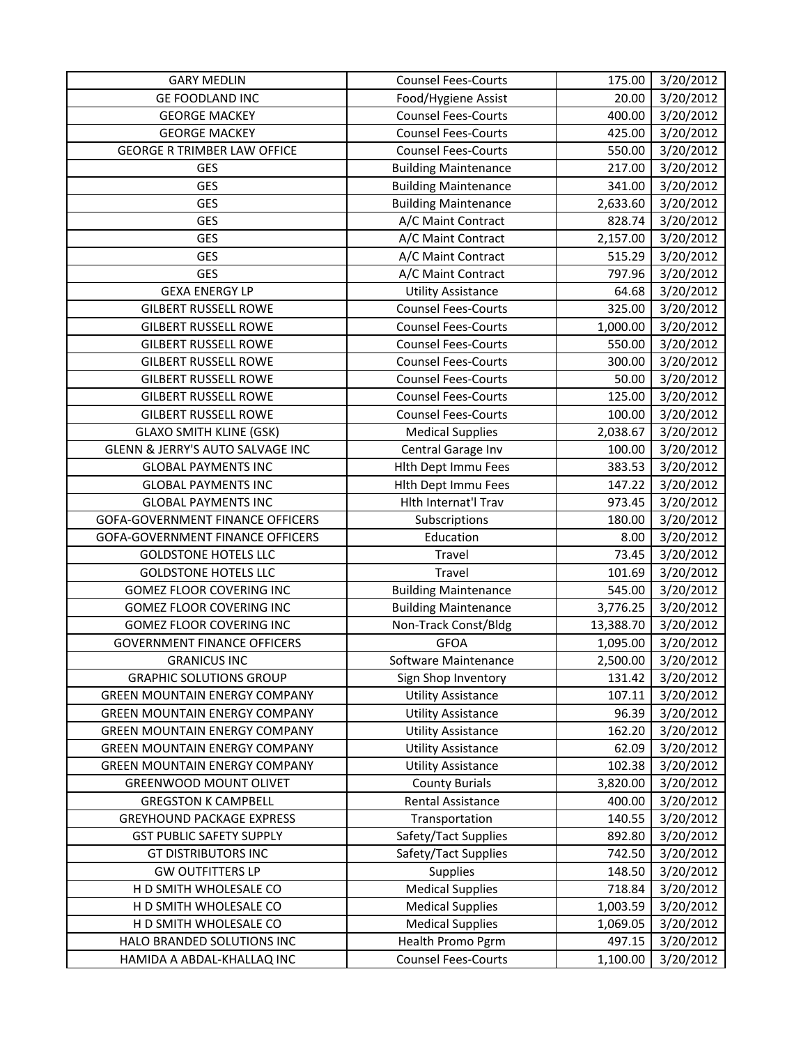| <b>GARY MEDLIN</b>                   | <b>Counsel Fees-Courts</b>  | 175.00    | 3/20/2012 |
|--------------------------------------|-----------------------------|-----------|-----------|
| <b>GE FOODLAND INC</b>               | Food/Hygiene Assist         | 20.00     | 3/20/2012 |
| <b>GEORGE MACKEY</b>                 | <b>Counsel Fees-Courts</b>  | 400.00    | 3/20/2012 |
| <b>GEORGE MACKEY</b>                 | <b>Counsel Fees-Courts</b>  | 425.00    | 3/20/2012 |
| <b>GEORGE R TRIMBER LAW OFFICE</b>   | <b>Counsel Fees-Courts</b>  | 550.00    | 3/20/2012 |
| GES                                  | <b>Building Maintenance</b> | 217.00    | 3/20/2012 |
| <b>GES</b>                           | <b>Building Maintenance</b> | 341.00    | 3/20/2012 |
| <b>GES</b>                           | <b>Building Maintenance</b> | 2,633.60  | 3/20/2012 |
| <b>GES</b>                           | A/C Maint Contract          | 828.74    | 3/20/2012 |
| <b>GES</b>                           | A/C Maint Contract          | 2,157.00  | 3/20/2012 |
| <b>GES</b>                           | A/C Maint Contract          | 515.29    | 3/20/2012 |
| <b>GES</b>                           | A/C Maint Contract          | 797.96    | 3/20/2012 |
| <b>GEXA ENERGY LP</b>                | <b>Utility Assistance</b>   | 64.68     | 3/20/2012 |
| <b>GILBERT RUSSELL ROWE</b>          | <b>Counsel Fees-Courts</b>  | 325.00    | 3/20/2012 |
| <b>GILBERT RUSSELL ROWE</b>          | <b>Counsel Fees-Courts</b>  | 1,000.00  | 3/20/2012 |
| <b>GILBERT RUSSELL ROWE</b>          | <b>Counsel Fees-Courts</b>  | 550.00    | 3/20/2012 |
| <b>GILBERT RUSSELL ROWE</b>          | <b>Counsel Fees-Courts</b>  | 300.00    | 3/20/2012 |
| <b>GILBERT RUSSELL ROWE</b>          | <b>Counsel Fees-Courts</b>  | 50.00     | 3/20/2012 |
| <b>GILBERT RUSSELL ROWE</b>          | <b>Counsel Fees-Courts</b>  | 125.00    | 3/20/2012 |
| <b>GILBERT RUSSELL ROWE</b>          | <b>Counsel Fees-Courts</b>  | 100.00    | 3/20/2012 |
| <b>GLAXO SMITH KLINE (GSK)</b>       | <b>Medical Supplies</b>     | 2,038.67  | 3/20/2012 |
| GLENN & JERRY'S AUTO SALVAGE INC     | Central Garage Inv          | 100.00    | 3/20/2012 |
| <b>GLOBAL PAYMENTS INC</b>           | Hith Dept Immu Fees         | 383.53    | 3/20/2012 |
| <b>GLOBAL PAYMENTS INC</b>           | Hith Dept Immu Fees         | 147.22    | 3/20/2012 |
| <b>GLOBAL PAYMENTS INC</b>           | Hlth Internat'l Trav        | 973.45    | 3/20/2012 |
| GOFA-GOVERNMENT FINANCE OFFICERS     | Subscriptions               | 180.00    | 3/20/2012 |
| GOFA-GOVERNMENT FINANCE OFFICERS     | Education                   | 8.00      | 3/20/2012 |
| <b>GOLDSTONE HOTELS LLC</b>          | Travel                      | 73.45     | 3/20/2012 |
| <b>GOLDSTONE HOTELS LLC</b>          | Travel                      | 101.69    | 3/20/2012 |
| <b>GOMEZ FLOOR COVERING INC</b>      | <b>Building Maintenance</b> | 545.00    | 3/20/2012 |
| <b>GOMEZ FLOOR COVERING INC</b>      | <b>Building Maintenance</b> | 3,776.25  | 3/20/2012 |
| <b>GOMEZ FLOOR COVERING INC</b>      | Non-Track Const/Bldg        | 13,388.70 | 3/20/2012 |
| <b>GOVERNMENT FINANCE OFFICERS</b>   | <b>GFOA</b>                 | 1,095.00  | 3/20/2012 |
| <b>GRANICUS INC</b>                  | Software Maintenance        | 2,500.00  | 3/20/2012 |
| <b>GRAPHIC SOLUTIONS GROUP</b>       | Sign Shop Inventory         | 131.42    | 3/20/2012 |
| <b>GREEN MOUNTAIN ENERGY COMPANY</b> | <b>Utility Assistance</b>   | 107.11    | 3/20/2012 |
| <b>GREEN MOUNTAIN ENERGY COMPANY</b> | <b>Utility Assistance</b>   | 96.39     | 3/20/2012 |
| <b>GREEN MOUNTAIN ENERGY COMPANY</b> | <b>Utility Assistance</b>   | 162.20    | 3/20/2012 |
| <b>GREEN MOUNTAIN ENERGY COMPANY</b> | <b>Utility Assistance</b>   | 62.09     | 3/20/2012 |
| <b>GREEN MOUNTAIN ENERGY COMPANY</b> | <b>Utility Assistance</b>   | 102.38    | 3/20/2012 |
| <b>GREENWOOD MOUNT OLIVET</b>        | <b>County Burials</b>       | 3,820.00  | 3/20/2012 |
| <b>GREGSTON K CAMPBELL</b>           | Rental Assistance           | 400.00    | 3/20/2012 |
| <b>GREYHOUND PACKAGE EXPRESS</b>     | Transportation              | 140.55    | 3/20/2012 |
| <b>GST PUBLIC SAFETY SUPPLY</b>      | Safety/Tact Supplies        | 892.80    | 3/20/2012 |
| <b>GT DISTRIBUTORS INC</b>           | Safety/Tact Supplies        | 742.50    | 3/20/2012 |
| <b>GW OUTFITTERS LP</b>              | Supplies                    | 148.50    | 3/20/2012 |
| H D SMITH WHOLESALE CO               | <b>Medical Supplies</b>     | 718.84    | 3/20/2012 |
| H D SMITH WHOLESALE CO               | <b>Medical Supplies</b>     | 1,003.59  | 3/20/2012 |
| H D SMITH WHOLESALE CO               | <b>Medical Supplies</b>     | 1,069.05  | 3/20/2012 |
| HALO BRANDED SOLUTIONS INC           | Health Promo Pgrm           | 497.15    | 3/20/2012 |
| HAMIDA A ABDAL-KHALLAQ INC           | <b>Counsel Fees-Courts</b>  | 1,100.00  | 3/20/2012 |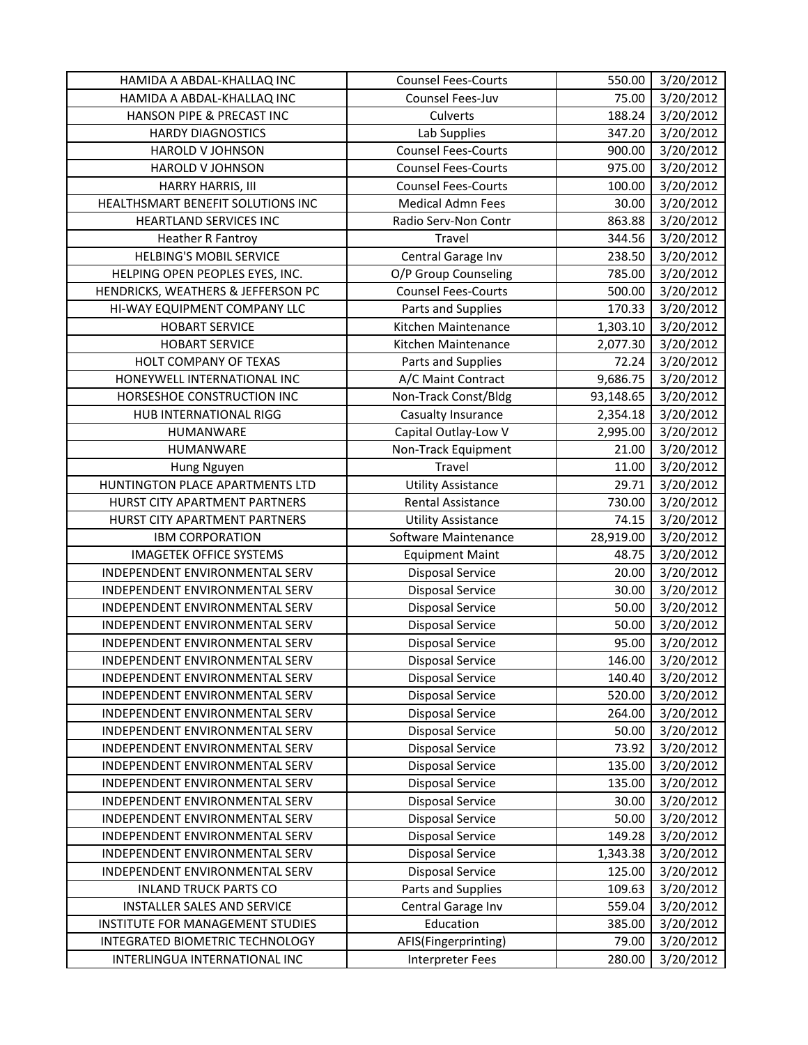| 75.00<br>3/20/2012<br>HAMIDA A ABDAL-KHALLAQ INC<br>Counsel Fees-Juv<br>3/20/2012<br>HANSON PIPE & PRECAST INC<br>Culverts<br>188.24<br>Lab Supplies<br><b>HARDY DIAGNOSTICS</b><br>3/20/2012<br>347.20<br>3/20/2012<br><b>HAROLD V JOHNSON</b><br><b>Counsel Fees-Courts</b><br>900.00<br><b>Counsel Fees-Courts</b><br>975.00<br>3/20/2012<br>HAROLD V JOHNSON<br>3/20/2012<br>HARRY HARRIS, III<br><b>Counsel Fees-Courts</b><br>100.00<br>HEALTHSMART BENEFIT SOLUTIONS INC<br><b>Medical Admn Fees</b><br>30.00<br>3/20/2012<br>863.88<br>3/20/2012<br>HEARTLAND SERVICES INC<br>Radio Serv-Non Contr<br>3/20/2012<br><b>Heather R Fantroy</b><br>Travel<br>344.56<br><b>HELBING'S MOBIL SERVICE</b><br>3/20/2012<br>Central Garage Inv<br>238.50<br>3/20/2012<br>HELPING OPEN PEOPLES EYES, INC.<br>O/P Group Counseling<br>785.00<br><b>Counsel Fees-Courts</b><br>HENDRICKS, WEATHERS & JEFFERSON PC<br>500.00<br>3/20/2012<br>HI-WAY EQUIPMENT COMPANY LLC<br>170.33<br>3/20/2012<br>Parts and Supplies<br><b>HOBART SERVICE</b><br>Kitchen Maintenance<br>3/20/2012<br>1,303.10<br>3/20/2012<br><b>HOBART SERVICE</b><br>Kitchen Maintenance<br>2,077.30<br>$\frac{1}{3}/20/2012$<br>HOLT COMPANY OF TEXAS<br>Parts and Supplies<br>72.24<br>9,686.75<br>HONEYWELL INTERNATIONAL INC<br>A/C Maint Contract<br>3/20/2012<br>Non-Track Const/Bldg<br>3/20/2012<br>HORSESHOE CONSTRUCTION INC<br>93,148.65<br>Casualty Insurance<br>3/20/2012<br>HUB INTERNATIONAL RIGG<br>2,354.18<br>Capital Outlay-Low V<br>3/20/2012<br>2,995.00<br>HUMANWARE<br>Non-Track Equipment<br>3/20/2012<br>HUMANWARE<br>21.00<br>3/20/2012<br>Travel<br>11.00<br>Hung Nguyen<br>3/20/2012<br>HUNTINGTON PLACE APARTMENTS LTD<br>29.71<br><b>Utility Assistance</b><br>3/20/2012<br>HURST CITY APARTMENT PARTNERS<br>Rental Assistance<br>730.00<br>HURST CITY APARTMENT PARTNERS<br>74.15<br>3/20/2012<br><b>Utility Assistance</b><br>28,919.00<br>Software Maintenance<br>3/20/2012<br><b>IBM CORPORATION</b><br>3/20/2012<br><b>IMAGETEK OFFICE SYSTEMS</b><br>48.75<br><b>Equipment Maint</b><br><b>Disposal Service</b><br>3/20/2012<br>INDEPENDENT ENVIRONMENTAL SERV<br>20.00<br><b>Disposal Service</b><br>3/20/2012<br>INDEPENDENT ENVIRONMENTAL SERV<br>30.00<br>50.00<br>3/20/2012<br>INDEPENDENT ENVIRONMENTAL SERV<br><b>Disposal Service</b><br><b>Disposal Service</b><br>50.00<br>3/20/2012<br>INDEPENDENT ENVIRONMENTAL SERV<br>3/20/2012<br><b>Disposal Service</b><br>INDEPENDENT ENVIRONMENTAL SERV<br>95.00<br>3/20/2012<br><b>Disposal Service</b><br>146.00<br>INDEPENDENT ENVIRONMENTAL SERV<br>3/20/2012<br>INDEPENDENT ENVIRONMENTAL SERV<br>140.40<br><b>Disposal Service</b><br>3/20/2012<br>INDEPENDENT ENVIRONMENTAL SERV<br><b>Disposal Service</b><br>520.00<br><b>Disposal Service</b><br>264.00<br>3/20/2012<br>INDEPENDENT ENVIRONMENTAL SERV<br><b>Disposal Service</b><br>3/20/2012<br>INDEPENDENT ENVIRONMENTAL SERV<br>50.00<br>INDEPENDENT ENVIRONMENTAL SERV<br><b>Disposal Service</b><br>73.92<br>3/20/2012<br>INDEPENDENT ENVIRONMENTAL SERV<br><b>Disposal Service</b><br>135.00<br>3/20/2012<br><b>Disposal Service</b><br>135.00<br>3/20/2012<br>INDEPENDENT ENVIRONMENTAL SERV<br><b>Disposal Service</b><br>3/20/2012<br>INDEPENDENT ENVIRONMENTAL SERV<br>30.00<br>Disposal Service<br>3/20/2012<br>INDEPENDENT ENVIRONMENTAL SERV<br>50.00<br>3/20/2012<br>INDEPENDENT ENVIRONMENTAL SERV<br><b>Disposal Service</b><br>149.28<br><b>Disposal Service</b><br>1,343.38<br>3/20/2012<br>INDEPENDENT ENVIRONMENTAL SERV<br><b>Disposal Service</b><br>3/20/2012<br>INDEPENDENT ENVIRONMENTAL SERV<br>125.00<br>Parts and Supplies<br><b>INLAND TRUCK PARTS CO</b><br>109.63<br>3/20/2012<br><b>INSTALLER SALES AND SERVICE</b><br>Central Garage Inv<br>559.04<br>3/20/2012<br>INSTITUTE FOR MANAGEMENT STUDIES<br>Education<br>385.00<br>3/20/2012<br>3/20/2012<br>INTEGRATED BIOMETRIC TECHNOLOGY<br>AFIS(Fingerprinting)<br>79.00<br><b>Interpreter Fees</b><br>3/20/2012<br>280.00<br>INTERLINGUA INTERNATIONAL INC | HAMIDA A ABDAL-KHALLAQ INC | <b>Counsel Fees-Courts</b> | 550.00 | 3/20/2012 |
|--------------------------------------------------------------------------------------------------------------------------------------------------------------------------------------------------------------------------------------------------------------------------------------------------------------------------------------------------------------------------------------------------------------------------------------------------------------------------------------------------------------------------------------------------------------------------------------------------------------------------------------------------------------------------------------------------------------------------------------------------------------------------------------------------------------------------------------------------------------------------------------------------------------------------------------------------------------------------------------------------------------------------------------------------------------------------------------------------------------------------------------------------------------------------------------------------------------------------------------------------------------------------------------------------------------------------------------------------------------------------------------------------------------------------------------------------------------------------------------------------------------------------------------------------------------------------------------------------------------------------------------------------------------------------------------------------------------------------------------------------------------------------------------------------------------------------------------------------------------------------------------------------------------------------------------------------------------------------------------------------------------------------------------------------------------------------------------------------------------------------------------------------------------------------------------------------------------------------------------------------------------------------------------------------------------------------------------------------------------------------------------------------------------------------------------------------------------------------------------------------------------------------------------------------------------------------------------------------------------------------------------------------------------------------------------------------------------------------------------------------------------------------------------------------------------------------------------------------------------------------------------------------------------------------------------------------------------------------------------------------------------------------------------------------------------------------------------------------------------------------------------------------------------------------------------------------------------------------------------------------------------------------------------------------------------------------------------------------------------------------------------------------------------------------------------------------------------------------------------------------------------------------------------------------------------------------------------------------------------------------------------------------------------------------------------------------------------------------------------------------------------------------------------------------------------------------------------------------------------------------------------------------------------------------------------------------------------------------------------------------------------------------------------------------------------|----------------------------|----------------------------|--------|-----------|
|                                                                                                                                                                                                                                                                                                                                                                                                                                                                                                                                                                                                                                                                                                                                                                                                                                                                                                                                                                                                                                                                                                                                                                                                                                                                                                                                                                                                                                                                                                                                                                                                                                                                                                                                                                                                                                                                                                                                                                                                                                                                                                                                                                                                                                                                                                                                                                                                                                                                                                                                                                                                                                                                                                                                                                                                                                                                                                                                                                                                                                                                                                                                                                                                                                                                                                                                                                                                                                                                                                                                                                                                                                                                                                                                                                                                                                                                                                                                                                                                                                                              |                            |                            |        |           |
|                                                                                                                                                                                                                                                                                                                                                                                                                                                                                                                                                                                                                                                                                                                                                                                                                                                                                                                                                                                                                                                                                                                                                                                                                                                                                                                                                                                                                                                                                                                                                                                                                                                                                                                                                                                                                                                                                                                                                                                                                                                                                                                                                                                                                                                                                                                                                                                                                                                                                                                                                                                                                                                                                                                                                                                                                                                                                                                                                                                                                                                                                                                                                                                                                                                                                                                                                                                                                                                                                                                                                                                                                                                                                                                                                                                                                                                                                                                                                                                                                                                              |                            |                            |        |           |
|                                                                                                                                                                                                                                                                                                                                                                                                                                                                                                                                                                                                                                                                                                                                                                                                                                                                                                                                                                                                                                                                                                                                                                                                                                                                                                                                                                                                                                                                                                                                                                                                                                                                                                                                                                                                                                                                                                                                                                                                                                                                                                                                                                                                                                                                                                                                                                                                                                                                                                                                                                                                                                                                                                                                                                                                                                                                                                                                                                                                                                                                                                                                                                                                                                                                                                                                                                                                                                                                                                                                                                                                                                                                                                                                                                                                                                                                                                                                                                                                                                                              |                            |                            |        |           |
|                                                                                                                                                                                                                                                                                                                                                                                                                                                                                                                                                                                                                                                                                                                                                                                                                                                                                                                                                                                                                                                                                                                                                                                                                                                                                                                                                                                                                                                                                                                                                                                                                                                                                                                                                                                                                                                                                                                                                                                                                                                                                                                                                                                                                                                                                                                                                                                                                                                                                                                                                                                                                                                                                                                                                                                                                                                                                                                                                                                                                                                                                                                                                                                                                                                                                                                                                                                                                                                                                                                                                                                                                                                                                                                                                                                                                                                                                                                                                                                                                                                              |                            |                            |        |           |
|                                                                                                                                                                                                                                                                                                                                                                                                                                                                                                                                                                                                                                                                                                                                                                                                                                                                                                                                                                                                                                                                                                                                                                                                                                                                                                                                                                                                                                                                                                                                                                                                                                                                                                                                                                                                                                                                                                                                                                                                                                                                                                                                                                                                                                                                                                                                                                                                                                                                                                                                                                                                                                                                                                                                                                                                                                                                                                                                                                                                                                                                                                                                                                                                                                                                                                                                                                                                                                                                                                                                                                                                                                                                                                                                                                                                                                                                                                                                                                                                                                                              |                            |                            |        |           |
|                                                                                                                                                                                                                                                                                                                                                                                                                                                                                                                                                                                                                                                                                                                                                                                                                                                                                                                                                                                                                                                                                                                                                                                                                                                                                                                                                                                                                                                                                                                                                                                                                                                                                                                                                                                                                                                                                                                                                                                                                                                                                                                                                                                                                                                                                                                                                                                                                                                                                                                                                                                                                                                                                                                                                                                                                                                                                                                                                                                                                                                                                                                                                                                                                                                                                                                                                                                                                                                                                                                                                                                                                                                                                                                                                                                                                                                                                                                                                                                                                                                              |                            |                            |        |           |
|                                                                                                                                                                                                                                                                                                                                                                                                                                                                                                                                                                                                                                                                                                                                                                                                                                                                                                                                                                                                                                                                                                                                                                                                                                                                                                                                                                                                                                                                                                                                                                                                                                                                                                                                                                                                                                                                                                                                                                                                                                                                                                                                                                                                                                                                                                                                                                                                                                                                                                                                                                                                                                                                                                                                                                                                                                                                                                                                                                                                                                                                                                                                                                                                                                                                                                                                                                                                                                                                                                                                                                                                                                                                                                                                                                                                                                                                                                                                                                                                                                                              |                            |                            |        |           |
|                                                                                                                                                                                                                                                                                                                                                                                                                                                                                                                                                                                                                                                                                                                                                                                                                                                                                                                                                                                                                                                                                                                                                                                                                                                                                                                                                                                                                                                                                                                                                                                                                                                                                                                                                                                                                                                                                                                                                                                                                                                                                                                                                                                                                                                                                                                                                                                                                                                                                                                                                                                                                                                                                                                                                                                                                                                                                                                                                                                                                                                                                                                                                                                                                                                                                                                                                                                                                                                                                                                                                                                                                                                                                                                                                                                                                                                                                                                                                                                                                                                              |                            |                            |        |           |
|                                                                                                                                                                                                                                                                                                                                                                                                                                                                                                                                                                                                                                                                                                                                                                                                                                                                                                                                                                                                                                                                                                                                                                                                                                                                                                                                                                                                                                                                                                                                                                                                                                                                                                                                                                                                                                                                                                                                                                                                                                                                                                                                                                                                                                                                                                                                                                                                                                                                                                                                                                                                                                                                                                                                                                                                                                                                                                                                                                                                                                                                                                                                                                                                                                                                                                                                                                                                                                                                                                                                                                                                                                                                                                                                                                                                                                                                                                                                                                                                                                                              |                            |                            |        |           |
|                                                                                                                                                                                                                                                                                                                                                                                                                                                                                                                                                                                                                                                                                                                                                                                                                                                                                                                                                                                                                                                                                                                                                                                                                                                                                                                                                                                                                                                                                                                                                                                                                                                                                                                                                                                                                                                                                                                                                                                                                                                                                                                                                                                                                                                                                                                                                                                                                                                                                                                                                                                                                                                                                                                                                                                                                                                                                                                                                                                                                                                                                                                                                                                                                                                                                                                                                                                                                                                                                                                                                                                                                                                                                                                                                                                                                                                                                                                                                                                                                                                              |                            |                            |        |           |
|                                                                                                                                                                                                                                                                                                                                                                                                                                                                                                                                                                                                                                                                                                                                                                                                                                                                                                                                                                                                                                                                                                                                                                                                                                                                                                                                                                                                                                                                                                                                                                                                                                                                                                                                                                                                                                                                                                                                                                                                                                                                                                                                                                                                                                                                                                                                                                                                                                                                                                                                                                                                                                                                                                                                                                                                                                                                                                                                                                                                                                                                                                                                                                                                                                                                                                                                                                                                                                                                                                                                                                                                                                                                                                                                                                                                                                                                                                                                                                                                                                                              |                            |                            |        |           |
|                                                                                                                                                                                                                                                                                                                                                                                                                                                                                                                                                                                                                                                                                                                                                                                                                                                                                                                                                                                                                                                                                                                                                                                                                                                                                                                                                                                                                                                                                                                                                                                                                                                                                                                                                                                                                                                                                                                                                                                                                                                                                                                                                                                                                                                                                                                                                                                                                                                                                                                                                                                                                                                                                                                                                                                                                                                                                                                                                                                                                                                                                                                                                                                                                                                                                                                                                                                                                                                                                                                                                                                                                                                                                                                                                                                                                                                                                                                                                                                                                                                              |                            |                            |        |           |
|                                                                                                                                                                                                                                                                                                                                                                                                                                                                                                                                                                                                                                                                                                                                                                                                                                                                                                                                                                                                                                                                                                                                                                                                                                                                                                                                                                                                                                                                                                                                                                                                                                                                                                                                                                                                                                                                                                                                                                                                                                                                                                                                                                                                                                                                                                                                                                                                                                                                                                                                                                                                                                                                                                                                                                                                                                                                                                                                                                                                                                                                                                                                                                                                                                                                                                                                                                                                                                                                                                                                                                                                                                                                                                                                                                                                                                                                                                                                                                                                                                                              |                            |                            |        |           |
|                                                                                                                                                                                                                                                                                                                                                                                                                                                                                                                                                                                                                                                                                                                                                                                                                                                                                                                                                                                                                                                                                                                                                                                                                                                                                                                                                                                                                                                                                                                                                                                                                                                                                                                                                                                                                                                                                                                                                                                                                                                                                                                                                                                                                                                                                                                                                                                                                                                                                                                                                                                                                                                                                                                                                                                                                                                                                                                                                                                                                                                                                                                                                                                                                                                                                                                                                                                                                                                                                                                                                                                                                                                                                                                                                                                                                                                                                                                                                                                                                                                              |                            |                            |        |           |
|                                                                                                                                                                                                                                                                                                                                                                                                                                                                                                                                                                                                                                                                                                                                                                                                                                                                                                                                                                                                                                                                                                                                                                                                                                                                                                                                                                                                                                                                                                                                                                                                                                                                                                                                                                                                                                                                                                                                                                                                                                                                                                                                                                                                                                                                                                                                                                                                                                                                                                                                                                                                                                                                                                                                                                                                                                                                                                                                                                                                                                                                                                                                                                                                                                                                                                                                                                                                                                                                                                                                                                                                                                                                                                                                                                                                                                                                                                                                                                                                                                                              |                            |                            |        |           |
|                                                                                                                                                                                                                                                                                                                                                                                                                                                                                                                                                                                                                                                                                                                                                                                                                                                                                                                                                                                                                                                                                                                                                                                                                                                                                                                                                                                                                                                                                                                                                                                                                                                                                                                                                                                                                                                                                                                                                                                                                                                                                                                                                                                                                                                                                                                                                                                                                                                                                                                                                                                                                                                                                                                                                                                                                                                                                                                                                                                                                                                                                                                                                                                                                                                                                                                                                                                                                                                                                                                                                                                                                                                                                                                                                                                                                                                                                                                                                                                                                                                              |                            |                            |        |           |
|                                                                                                                                                                                                                                                                                                                                                                                                                                                                                                                                                                                                                                                                                                                                                                                                                                                                                                                                                                                                                                                                                                                                                                                                                                                                                                                                                                                                                                                                                                                                                                                                                                                                                                                                                                                                                                                                                                                                                                                                                                                                                                                                                                                                                                                                                                                                                                                                                                                                                                                                                                                                                                                                                                                                                                                                                                                                                                                                                                                                                                                                                                                                                                                                                                                                                                                                                                                                                                                                                                                                                                                                                                                                                                                                                                                                                                                                                                                                                                                                                                                              |                            |                            |        |           |
|                                                                                                                                                                                                                                                                                                                                                                                                                                                                                                                                                                                                                                                                                                                                                                                                                                                                                                                                                                                                                                                                                                                                                                                                                                                                                                                                                                                                                                                                                                                                                                                                                                                                                                                                                                                                                                                                                                                                                                                                                                                                                                                                                                                                                                                                                                                                                                                                                                                                                                                                                                                                                                                                                                                                                                                                                                                                                                                                                                                                                                                                                                                                                                                                                                                                                                                                                                                                                                                                                                                                                                                                                                                                                                                                                                                                                                                                                                                                                                                                                                                              |                            |                            |        |           |
|                                                                                                                                                                                                                                                                                                                                                                                                                                                                                                                                                                                                                                                                                                                                                                                                                                                                                                                                                                                                                                                                                                                                                                                                                                                                                                                                                                                                                                                                                                                                                                                                                                                                                                                                                                                                                                                                                                                                                                                                                                                                                                                                                                                                                                                                                                                                                                                                                                                                                                                                                                                                                                                                                                                                                                                                                                                                                                                                                                                                                                                                                                                                                                                                                                                                                                                                                                                                                                                                                                                                                                                                                                                                                                                                                                                                                                                                                                                                                                                                                                                              |                            |                            |        |           |
|                                                                                                                                                                                                                                                                                                                                                                                                                                                                                                                                                                                                                                                                                                                                                                                                                                                                                                                                                                                                                                                                                                                                                                                                                                                                                                                                                                                                                                                                                                                                                                                                                                                                                                                                                                                                                                                                                                                                                                                                                                                                                                                                                                                                                                                                                                                                                                                                                                                                                                                                                                                                                                                                                                                                                                                                                                                                                                                                                                                                                                                                                                                                                                                                                                                                                                                                                                                                                                                                                                                                                                                                                                                                                                                                                                                                                                                                                                                                                                                                                                                              |                            |                            |        |           |
|                                                                                                                                                                                                                                                                                                                                                                                                                                                                                                                                                                                                                                                                                                                                                                                                                                                                                                                                                                                                                                                                                                                                                                                                                                                                                                                                                                                                                                                                                                                                                                                                                                                                                                                                                                                                                                                                                                                                                                                                                                                                                                                                                                                                                                                                                                                                                                                                                                                                                                                                                                                                                                                                                                                                                                                                                                                                                                                                                                                                                                                                                                                                                                                                                                                                                                                                                                                                                                                                                                                                                                                                                                                                                                                                                                                                                                                                                                                                                                                                                                                              |                            |                            |        |           |
|                                                                                                                                                                                                                                                                                                                                                                                                                                                                                                                                                                                                                                                                                                                                                                                                                                                                                                                                                                                                                                                                                                                                                                                                                                                                                                                                                                                                                                                                                                                                                                                                                                                                                                                                                                                                                                                                                                                                                                                                                                                                                                                                                                                                                                                                                                                                                                                                                                                                                                                                                                                                                                                                                                                                                                                                                                                                                                                                                                                                                                                                                                                                                                                                                                                                                                                                                                                                                                                                                                                                                                                                                                                                                                                                                                                                                                                                                                                                                                                                                                                              |                            |                            |        |           |
|                                                                                                                                                                                                                                                                                                                                                                                                                                                                                                                                                                                                                                                                                                                                                                                                                                                                                                                                                                                                                                                                                                                                                                                                                                                                                                                                                                                                                                                                                                                                                                                                                                                                                                                                                                                                                                                                                                                                                                                                                                                                                                                                                                                                                                                                                                                                                                                                                                                                                                                                                                                                                                                                                                                                                                                                                                                                                                                                                                                                                                                                                                                                                                                                                                                                                                                                                                                                                                                                                                                                                                                                                                                                                                                                                                                                                                                                                                                                                                                                                                                              |                            |                            |        |           |
|                                                                                                                                                                                                                                                                                                                                                                                                                                                                                                                                                                                                                                                                                                                                                                                                                                                                                                                                                                                                                                                                                                                                                                                                                                                                                                                                                                                                                                                                                                                                                                                                                                                                                                                                                                                                                                                                                                                                                                                                                                                                                                                                                                                                                                                                                                                                                                                                                                                                                                                                                                                                                                                                                                                                                                                                                                                                                                                                                                                                                                                                                                                                                                                                                                                                                                                                                                                                                                                                                                                                                                                                                                                                                                                                                                                                                                                                                                                                                                                                                                                              |                            |                            |        |           |
|                                                                                                                                                                                                                                                                                                                                                                                                                                                                                                                                                                                                                                                                                                                                                                                                                                                                                                                                                                                                                                                                                                                                                                                                                                                                                                                                                                                                                                                                                                                                                                                                                                                                                                                                                                                                                                                                                                                                                                                                                                                                                                                                                                                                                                                                                                                                                                                                                                                                                                                                                                                                                                                                                                                                                                                                                                                                                                                                                                                                                                                                                                                                                                                                                                                                                                                                                                                                                                                                                                                                                                                                                                                                                                                                                                                                                                                                                                                                                                                                                                                              |                            |                            |        |           |
|                                                                                                                                                                                                                                                                                                                                                                                                                                                                                                                                                                                                                                                                                                                                                                                                                                                                                                                                                                                                                                                                                                                                                                                                                                                                                                                                                                                                                                                                                                                                                                                                                                                                                                                                                                                                                                                                                                                                                                                                                                                                                                                                                                                                                                                                                                                                                                                                                                                                                                                                                                                                                                                                                                                                                                                                                                                                                                                                                                                                                                                                                                                                                                                                                                                                                                                                                                                                                                                                                                                                                                                                                                                                                                                                                                                                                                                                                                                                                                                                                                                              |                            |                            |        |           |
|                                                                                                                                                                                                                                                                                                                                                                                                                                                                                                                                                                                                                                                                                                                                                                                                                                                                                                                                                                                                                                                                                                                                                                                                                                                                                                                                                                                                                                                                                                                                                                                                                                                                                                                                                                                                                                                                                                                                                                                                                                                                                                                                                                                                                                                                                                                                                                                                                                                                                                                                                                                                                                                                                                                                                                                                                                                                                                                                                                                                                                                                                                                                                                                                                                                                                                                                                                                                                                                                                                                                                                                                                                                                                                                                                                                                                                                                                                                                                                                                                                                              |                            |                            |        |           |
|                                                                                                                                                                                                                                                                                                                                                                                                                                                                                                                                                                                                                                                                                                                                                                                                                                                                                                                                                                                                                                                                                                                                                                                                                                                                                                                                                                                                                                                                                                                                                                                                                                                                                                                                                                                                                                                                                                                                                                                                                                                                                                                                                                                                                                                                                                                                                                                                                                                                                                                                                                                                                                                                                                                                                                                                                                                                                                                                                                                                                                                                                                                                                                                                                                                                                                                                                                                                                                                                                                                                                                                                                                                                                                                                                                                                                                                                                                                                                                                                                                                              |                            |                            |        |           |
|                                                                                                                                                                                                                                                                                                                                                                                                                                                                                                                                                                                                                                                                                                                                                                                                                                                                                                                                                                                                                                                                                                                                                                                                                                                                                                                                                                                                                                                                                                                                                                                                                                                                                                                                                                                                                                                                                                                                                                                                                                                                                                                                                                                                                                                                                                                                                                                                                                                                                                                                                                                                                                                                                                                                                                                                                                                                                                                                                                                                                                                                                                                                                                                                                                                                                                                                                                                                                                                                                                                                                                                                                                                                                                                                                                                                                                                                                                                                                                                                                                                              |                            |                            |        |           |
|                                                                                                                                                                                                                                                                                                                                                                                                                                                                                                                                                                                                                                                                                                                                                                                                                                                                                                                                                                                                                                                                                                                                                                                                                                                                                                                                                                                                                                                                                                                                                                                                                                                                                                                                                                                                                                                                                                                                                                                                                                                                                                                                                                                                                                                                                                                                                                                                                                                                                                                                                                                                                                                                                                                                                                                                                                                                                                                                                                                                                                                                                                                                                                                                                                                                                                                                                                                                                                                                                                                                                                                                                                                                                                                                                                                                                                                                                                                                                                                                                                                              |                            |                            |        |           |
|                                                                                                                                                                                                                                                                                                                                                                                                                                                                                                                                                                                                                                                                                                                                                                                                                                                                                                                                                                                                                                                                                                                                                                                                                                                                                                                                                                                                                                                                                                                                                                                                                                                                                                                                                                                                                                                                                                                                                                                                                                                                                                                                                                                                                                                                                                                                                                                                                                                                                                                                                                                                                                                                                                                                                                                                                                                                                                                                                                                                                                                                                                                                                                                                                                                                                                                                                                                                                                                                                                                                                                                                                                                                                                                                                                                                                                                                                                                                                                                                                                                              |                            |                            |        |           |
|                                                                                                                                                                                                                                                                                                                                                                                                                                                                                                                                                                                                                                                                                                                                                                                                                                                                                                                                                                                                                                                                                                                                                                                                                                                                                                                                                                                                                                                                                                                                                                                                                                                                                                                                                                                                                                                                                                                                                                                                                                                                                                                                                                                                                                                                                                                                                                                                                                                                                                                                                                                                                                                                                                                                                                                                                                                                                                                                                                                                                                                                                                                                                                                                                                                                                                                                                                                                                                                                                                                                                                                                                                                                                                                                                                                                                                                                                                                                                                                                                                                              |                            |                            |        |           |
|                                                                                                                                                                                                                                                                                                                                                                                                                                                                                                                                                                                                                                                                                                                                                                                                                                                                                                                                                                                                                                                                                                                                                                                                                                                                                                                                                                                                                                                                                                                                                                                                                                                                                                                                                                                                                                                                                                                                                                                                                                                                                                                                                                                                                                                                                                                                                                                                                                                                                                                                                                                                                                                                                                                                                                                                                                                                                                                                                                                                                                                                                                                                                                                                                                                                                                                                                                                                                                                                                                                                                                                                                                                                                                                                                                                                                                                                                                                                                                                                                                                              |                            |                            |        |           |
|                                                                                                                                                                                                                                                                                                                                                                                                                                                                                                                                                                                                                                                                                                                                                                                                                                                                                                                                                                                                                                                                                                                                                                                                                                                                                                                                                                                                                                                                                                                                                                                                                                                                                                                                                                                                                                                                                                                                                                                                                                                                                                                                                                                                                                                                                                                                                                                                                                                                                                                                                                                                                                                                                                                                                                                                                                                                                                                                                                                                                                                                                                                                                                                                                                                                                                                                                                                                                                                                                                                                                                                                                                                                                                                                                                                                                                                                                                                                                                                                                                                              |                            |                            |        |           |
|                                                                                                                                                                                                                                                                                                                                                                                                                                                                                                                                                                                                                                                                                                                                                                                                                                                                                                                                                                                                                                                                                                                                                                                                                                                                                                                                                                                                                                                                                                                                                                                                                                                                                                                                                                                                                                                                                                                                                                                                                                                                                                                                                                                                                                                                                                                                                                                                                                                                                                                                                                                                                                                                                                                                                                                                                                                                                                                                                                                                                                                                                                                                                                                                                                                                                                                                                                                                                                                                                                                                                                                                                                                                                                                                                                                                                                                                                                                                                                                                                                                              |                            |                            |        |           |
|                                                                                                                                                                                                                                                                                                                                                                                                                                                                                                                                                                                                                                                                                                                                                                                                                                                                                                                                                                                                                                                                                                                                                                                                                                                                                                                                                                                                                                                                                                                                                                                                                                                                                                                                                                                                                                                                                                                                                                                                                                                                                                                                                                                                                                                                                                                                                                                                                                                                                                                                                                                                                                                                                                                                                                                                                                                                                                                                                                                                                                                                                                                                                                                                                                                                                                                                                                                                                                                                                                                                                                                                                                                                                                                                                                                                                                                                                                                                                                                                                                                              |                            |                            |        |           |
|                                                                                                                                                                                                                                                                                                                                                                                                                                                                                                                                                                                                                                                                                                                                                                                                                                                                                                                                                                                                                                                                                                                                                                                                                                                                                                                                                                                                                                                                                                                                                                                                                                                                                                                                                                                                                                                                                                                                                                                                                                                                                                                                                                                                                                                                                                                                                                                                                                                                                                                                                                                                                                                                                                                                                                                                                                                                                                                                                                                                                                                                                                                                                                                                                                                                                                                                                                                                                                                                                                                                                                                                                                                                                                                                                                                                                                                                                                                                                                                                                                                              |                            |                            |        |           |
|                                                                                                                                                                                                                                                                                                                                                                                                                                                                                                                                                                                                                                                                                                                                                                                                                                                                                                                                                                                                                                                                                                                                                                                                                                                                                                                                                                                                                                                                                                                                                                                                                                                                                                                                                                                                                                                                                                                                                                                                                                                                                                                                                                                                                                                                                                                                                                                                                                                                                                                                                                                                                                                                                                                                                                                                                                                                                                                                                                                                                                                                                                                                                                                                                                                                                                                                                                                                                                                                                                                                                                                                                                                                                                                                                                                                                                                                                                                                                                                                                                                              |                            |                            |        |           |
|                                                                                                                                                                                                                                                                                                                                                                                                                                                                                                                                                                                                                                                                                                                                                                                                                                                                                                                                                                                                                                                                                                                                                                                                                                                                                                                                                                                                                                                                                                                                                                                                                                                                                                                                                                                                                                                                                                                                                                                                                                                                                                                                                                                                                                                                                                                                                                                                                                                                                                                                                                                                                                                                                                                                                                                                                                                                                                                                                                                                                                                                                                                                                                                                                                                                                                                                                                                                                                                                                                                                                                                                                                                                                                                                                                                                                                                                                                                                                                                                                                                              |                            |                            |        |           |
|                                                                                                                                                                                                                                                                                                                                                                                                                                                                                                                                                                                                                                                                                                                                                                                                                                                                                                                                                                                                                                                                                                                                                                                                                                                                                                                                                                                                                                                                                                                                                                                                                                                                                                                                                                                                                                                                                                                                                                                                                                                                                                                                                                                                                                                                                                                                                                                                                                                                                                                                                                                                                                                                                                                                                                                                                                                                                                                                                                                                                                                                                                                                                                                                                                                                                                                                                                                                                                                                                                                                                                                                                                                                                                                                                                                                                                                                                                                                                                                                                                                              |                            |                            |        |           |
|                                                                                                                                                                                                                                                                                                                                                                                                                                                                                                                                                                                                                                                                                                                                                                                                                                                                                                                                                                                                                                                                                                                                                                                                                                                                                                                                                                                                                                                                                                                                                                                                                                                                                                                                                                                                                                                                                                                                                                                                                                                                                                                                                                                                                                                                                                                                                                                                                                                                                                                                                                                                                                                                                                                                                                                                                                                                                                                                                                                                                                                                                                                                                                                                                                                                                                                                                                                                                                                                                                                                                                                                                                                                                                                                                                                                                                                                                                                                                                                                                                                              |                            |                            |        |           |
|                                                                                                                                                                                                                                                                                                                                                                                                                                                                                                                                                                                                                                                                                                                                                                                                                                                                                                                                                                                                                                                                                                                                                                                                                                                                                                                                                                                                                                                                                                                                                                                                                                                                                                                                                                                                                                                                                                                                                                                                                                                                                                                                                                                                                                                                                                                                                                                                                                                                                                                                                                                                                                                                                                                                                                                                                                                                                                                                                                                                                                                                                                                                                                                                                                                                                                                                                                                                                                                                                                                                                                                                                                                                                                                                                                                                                                                                                                                                                                                                                                                              |                            |                            |        |           |
|                                                                                                                                                                                                                                                                                                                                                                                                                                                                                                                                                                                                                                                                                                                                                                                                                                                                                                                                                                                                                                                                                                                                                                                                                                                                                                                                                                                                                                                                                                                                                                                                                                                                                                                                                                                                                                                                                                                                                                                                                                                                                                                                                                                                                                                                                                                                                                                                                                                                                                                                                                                                                                                                                                                                                                                                                                                                                                                                                                                                                                                                                                                                                                                                                                                                                                                                                                                                                                                                                                                                                                                                                                                                                                                                                                                                                                                                                                                                                                                                                                                              |                            |                            |        |           |
|                                                                                                                                                                                                                                                                                                                                                                                                                                                                                                                                                                                                                                                                                                                                                                                                                                                                                                                                                                                                                                                                                                                                                                                                                                                                                                                                                                                                                                                                                                                                                                                                                                                                                                                                                                                                                                                                                                                                                                                                                                                                                                                                                                                                                                                                                                                                                                                                                                                                                                                                                                                                                                                                                                                                                                                                                                                                                                                                                                                                                                                                                                                                                                                                                                                                                                                                                                                                                                                                                                                                                                                                                                                                                                                                                                                                                                                                                                                                                                                                                                                              |                            |                            |        |           |
|                                                                                                                                                                                                                                                                                                                                                                                                                                                                                                                                                                                                                                                                                                                                                                                                                                                                                                                                                                                                                                                                                                                                                                                                                                                                                                                                                                                                                                                                                                                                                                                                                                                                                                                                                                                                                                                                                                                                                                                                                                                                                                                                                                                                                                                                                                                                                                                                                                                                                                                                                                                                                                                                                                                                                                                                                                                                                                                                                                                                                                                                                                                                                                                                                                                                                                                                                                                                                                                                                                                                                                                                                                                                                                                                                                                                                                                                                                                                                                                                                                                              |                            |                            |        |           |
|                                                                                                                                                                                                                                                                                                                                                                                                                                                                                                                                                                                                                                                                                                                                                                                                                                                                                                                                                                                                                                                                                                                                                                                                                                                                                                                                                                                                                                                                                                                                                                                                                                                                                                                                                                                                                                                                                                                                                                                                                                                                                                                                                                                                                                                                                                                                                                                                                                                                                                                                                                                                                                                                                                                                                                                                                                                                                                                                                                                                                                                                                                                                                                                                                                                                                                                                                                                                                                                                                                                                                                                                                                                                                                                                                                                                                                                                                                                                                                                                                                                              |                            |                            |        |           |
|                                                                                                                                                                                                                                                                                                                                                                                                                                                                                                                                                                                                                                                                                                                                                                                                                                                                                                                                                                                                                                                                                                                                                                                                                                                                                                                                                                                                                                                                                                                                                                                                                                                                                                                                                                                                                                                                                                                                                                                                                                                                                                                                                                                                                                                                                                                                                                                                                                                                                                                                                                                                                                                                                                                                                                                                                                                                                                                                                                                                                                                                                                                                                                                                                                                                                                                                                                                                                                                                                                                                                                                                                                                                                                                                                                                                                                                                                                                                                                                                                                                              |                            |                            |        |           |
|                                                                                                                                                                                                                                                                                                                                                                                                                                                                                                                                                                                                                                                                                                                                                                                                                                                                                                                                                                                                                                                                                                                                                                                                                                                                                                                                                                                                                                                                                                                                                                                                                                                                                                                                                                                                                                                                                                                                                                                                                                                                                                                                                                                                                                                                                                                                                                                                                                                                                                                                                                                                                                                                                                                                                                                                                                                                                                                                                                                                                                                                                                                                                                                                                                                                                                                                                                                                                                                                                                                                                                                                                                                                                                                                                                                                                                                                                                                                                                                                                                                              |                            |                            |        |           |
|                                                                                                                                                                                                                                                                                                                                                                                                                                                                                                                                                                                                                                                                                                                                                                                                                                                                                                                                                                                                                                                                                                                                                                                                                                                                                                                                                                                                                                                                                                                                                                                                                                                                                                                                                                                                                                                                                                                                                                                                                                                                                                                                                                                                                                                                                                                                                                                                                                                                                                                                                                                                                                                                                                                                                                                                                                                                                                                                                                                                                                                                                                                                                                                                                                                                                                                                                                                                                                                                                                                                                                                                                                                                                                                                                                                                                                                                                                                                                                                                                                                              |                            |                            |        |           |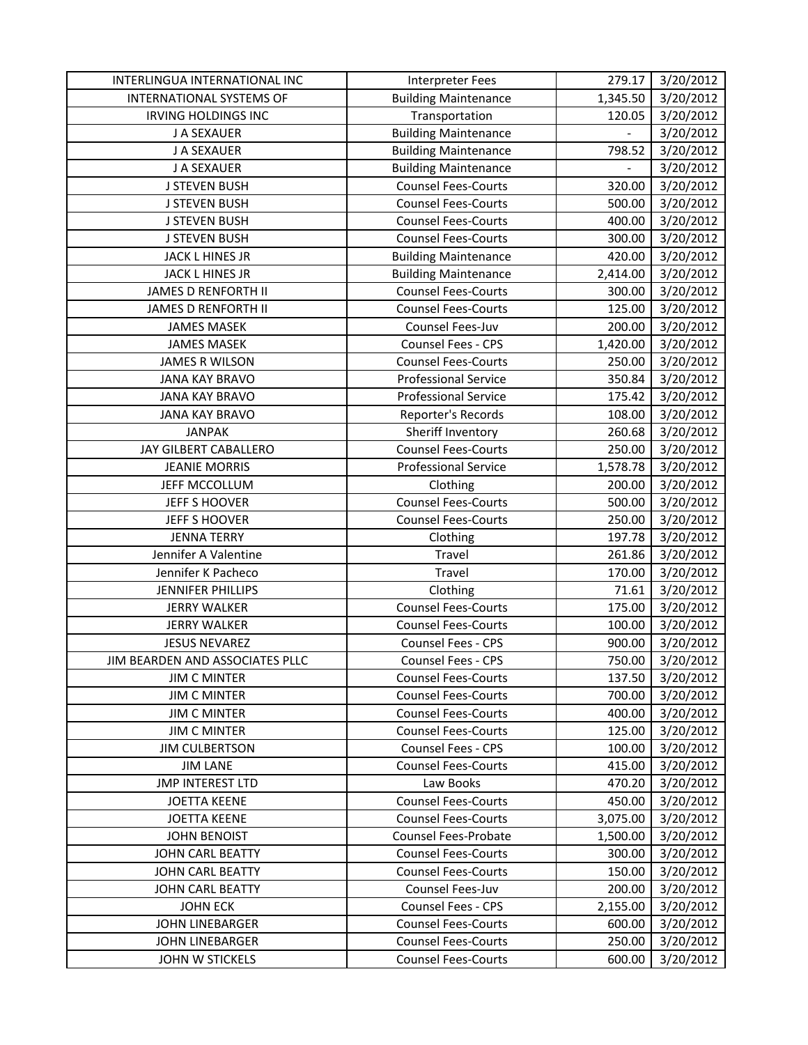| INTERLINGUA INTERNATIONAL INC   | Interpreter Fees            | 279.17                   | 3/20/2012 |
|---------------------------------|-----------------------------|--------------------------|-----------|
| <b>INTERNATIONAL SYSTEMS OF</b> | <b>Building Maintenance</b> | 1,345.50                 | 3/20/2012 |
| <b>IRVING HOLDINGS INC</b>      | Transportation              | 120.05                   | 3/20/2012 |
| J A SEXAUER                     | <b>Building Maintenance</b> | $\overline{\phantom{0}}$ | 3/20/2012 |
| J A SEXAUER                     | <b>Building Maintenance</b> | 798.52                   | 3/20/2012 |
| J A SEXAUER                     | <b>Building Maintenance</b> | $\qquad \qquad -$        | 3/20/2012 |
| <b>J STEVEN BUSH</b>            | <b>Counsel Fees-Courts</b>  | 320.00                   | 3/20/2012 |
| <b>J STEVEN BUSH</b>            | <b>Counsel Fees-Courts</b>  | 500.00                   | 3/20/2012 |
| <b>J STEVEN BUSH</b>            | <b>Counsel Fees-Courts</b>  | 400.00                   | 3/20/2012 |
| <b>J STEVEN BUSH</b>            | <b>Counsel Fees-Courts</b>  | 300.00                   | 3/20/2012 |
| JACK L HINES JR                 | <b>Building Maintenance</b> | 420.00                   | 3/20/2012 |
| JACK L HINES JR                 | <b>Building Maintenance</b> | 2,414.00                 | 3/20/2012 |
| JAMES D RENFORTH II             | <b>Counsel Fees-Courts</b>  | 300.00                   | 3/20/2012 |
| JAMES D RENFORTH II             | <b>Counsel Fees-Courts</b>  | 125.00                   | 3/20/2012 |
| <b>JAMES MASEK</b>              | Counsel Fees-Juv            | 200.00                   | 3/20/2012 |
| <b>JAMES MASEK</b>              | Counsel Fees - CPS          | 1,420.00                 | 3/20/2012 |
| <b>JAMES R WILSON</b>           | <b>Counsel Fees-Courts</b>  | 250.00                   | 3/20/2012 |
| <b>JANA KAY BRAVO</b>           | <b>Professional Service</b> | 350.84                   | 3/20/2012 |
| <b>JANA KAY BRAVO</b>           | Professional Service        | 175.42                   | 3/20/2012 |
| <b>JANA KAY BRAVO</b>           | Reporter's Records          | 108.00                   | 3/20/2012 |
| <b>JANPAK</b>                   | Sheriff Inventory           | 260.68                   | 3/20/2012 |
| JAY GILBERT CABALLERO           | <b>Counsel Fees-Courts</b>  | 250.00                   | 3/20/2012 |
| <b>JEANIE MORRIS</b>            | <b>Professional Service</b> | 1,578.78                 | 3/20/2012 |
| JEFF MCCOLLUM                   | Clothing                    | 200.00                   | 3/20/2012 |
| JEFF S HOOVER                   | <b>Counsel Fees-Courts</b>  | 500.00                   | 3/20/2012 |
| JEFF S HOOVER                   | <b>Counsel Fees-Courts</b>  | 250.00                   | 3/20/2012 |
| <b>JENNA TERRY</b>              | Clothing                    | 197.78                   | 3/20/2012 |
| Jennifer A Valentine            | Travel                      | 261.86                   | 3/20/2012 |
| Jennifer K Pacheco              | Travel                      | 170.00                   | 3/20/2012 |
| JENNIFER PHILLIPS               | Clothing                    | 71.61                    | 3/20/2012 |
| <b>JERRY WALKER</b>             | <b>Counsel Fees-Courts</b>  | 175.00                   | 3/20/2012 |
| <b>JERRY WALKER</b>             | <b>Counsel Fees-Courts</b>  | 100.00                   | 3/20/2012 |
| <b>JESUS NEVAREZ</b>            | Counsel Fees - CPS          | 900.00                   | 3/20/2012 |
| JIM BEARDEN AND ASSOCIATES PLLC | Counsel Fees - CPS          | 750.00                   | 3/20/2012 |
| <b>JIM C MINTER</b>             | <b>Counsel Fees-Courts</b>  | 137.50                   | 3/20/2012 |
| <b>JIM C MINTER</b>             | <b>Counsel Fees-Courts</b>  | 700.00                   | 3/20/2012 |
| <b>JIM C MINTER</b>             | <b>Counsel Fees-Courts</b>  | 400.00                   | 3/20/2012 |
| <b>JIM C MINTER</b>             | <b>Counsel Fees-Courts</b>  | 125.00                   | 3/20/2012 |
| <b>JIM CULBERTSON</b>           | Counsel Fees - CPS          | 100.00                   | 3/20/2012 |
| <b>JIM LANE</b>                 | <b>Counsel Fees-Courts</b>  | 415.00                   | 3/20/2012 |
| <b>JMP INTEREST LTD</b>         | Law Books                   | 470.20                   | 3/20/2012 |
| <b>JOETTA KEENE</b>             | <b>Counsel Fees-Courts</b>  | 450.00                   | 3/20/2012 |
| <b>JOETTA KEENE</b>             | <b>Counsel Fees-Courts</b>  | 3,075.00                 | 3/20/2012 |
| <b>JOHN BENOIST</b>             | <b>Counsel Fees-Probate</b> | 1,500.00                 | 3/20/2012 |
| JOHN CARL BEATTY                | <b>Counsel Fees-Courts</b>  | 300.00                   | 3/20/2012 |
| JOHN CARL BEATTY                | <b>Counsel Fees-Courts</b>  | 150.00                   | 3/20/2012 |
| JOHN CARL BEATTY                | Counsel Fees-Juv            | 200.00                   | 3/20/2012 |
| <b>JOHN ECK</b>                 | Counsel Fees - CPS          | 2,155.00                 | 3/20/2012 |
| <b>JOHN LINEBARGER</b>          | <b>Counsel Fees-Courts</b>  | 600.00                   | 3/20/2012 |
| <b>JOHN LINEBARGER</b>          | <b>Counsel Fees-Courts</b>  | 250.00                   | 3/20/2012 |
| JOHN W STICKELS                 | <b>Counsel Fees-Courts</b>  | 600.00                   | 3/20/2012 |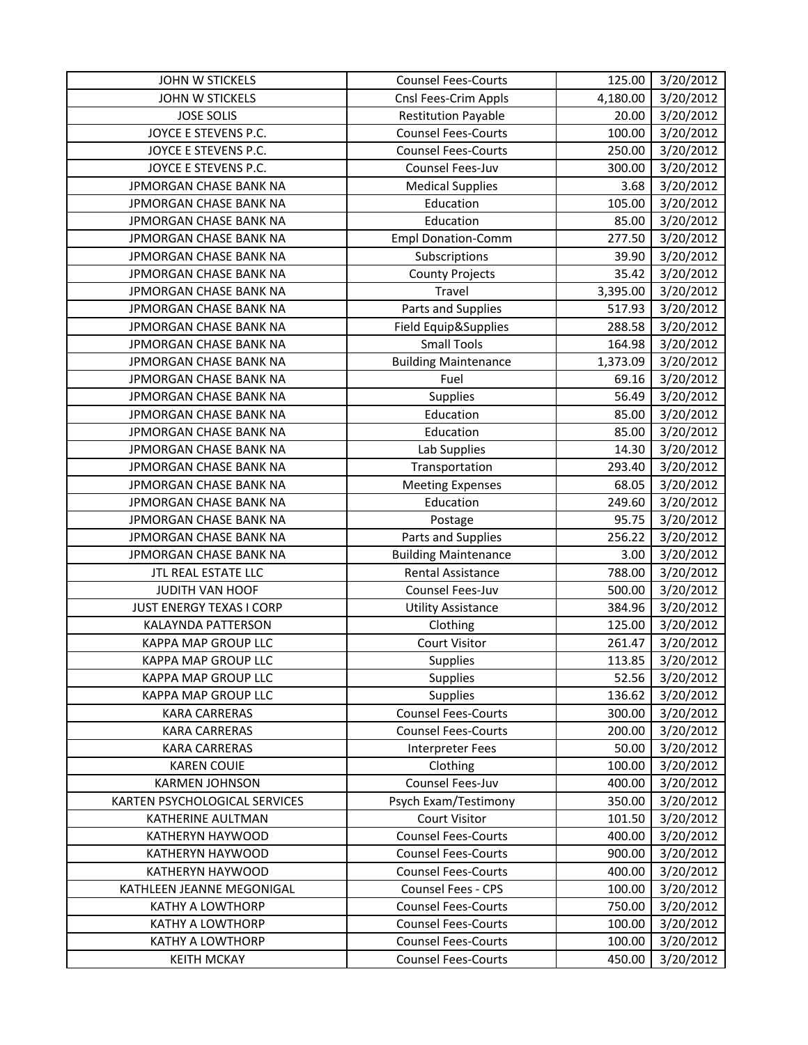| JOHN W STICKELS               | <b>Counsel Fees-Courts</b>  | 125.00   | 3/20/2012 |
|-------------------------------|-----------------------------|----------|-----------|
| <b>JOHN W STICKELS</b>        | Cnsl Fees-Crim Appls        | 4,180.00 | 3/20/2012 |
| <b>JOSE SOLIS</b>             | <b>Restitution Payable</b>  | 20.00    | 3/20/2012 |
| JOYCE E STEVENS P.C.          | <b>Counsel Fees-Courts</b>  | 100.00   | 3/20/2012 |
| JOYCE E STEVENS P.C.          | <b>Counsel Fees-Courts</b>  | 250.00   | 3/20/2012 |
| JOYCE E STEVENS P.C.          | Counsel Fees-Juv            | 300.00   | 3/20/2012 |
| JPMORGAN CHASE BANK NA        | <b>Medical Supplies</b>     | 3.68     | 3/20/2012 |
| JPMORGAN CHASE BANK NA        | Education                   | 105.00   | 3/20/2012 |
| JPMORGAN CHASE BANK NA        | Education                   | 85.00    | 3/20/2012 |
| JPMORGAN CHASE BANK NA        | <b>Empl Donation-Comm</b>   | 277.50   | 3/20/2012 |
| JPMORGAN CHASE BANK NA        | Subscriptions               | 39.90    | 3/20/2012 |
| JPMORGAN CHASE BANK NA        | <b>County Projects</b>      | 35.42    | 3/20/2012 |
| JPMORGAN CHASE BANK NA        | Travel                      | 3,395.00 | 3/20/2012 |
| JPMORGAN CHASE BANK NA        | Parts and Supplies          | 517.93   | 3/20/2012 |
| JPMORGAN CHASE BANK NA        | Field Equip&Supplies        | 288.58   | 3/20/2012 |
| JPMORGAN CHASE BANK NA        | <b>Small Tools</b>          | 164.98   | 3/20/2012 |
| JPMORGAN CHASE BANK NA        | <b>Building Maintenance</b> | 1,373.09 | 3/20/2012 |
| JPMORGAN CHASE BANK NA        | Fuel                        | 69.16    | 3/20/2012 |
| JPMORGAN CHASE BANK NA        | <b>Supplies</b>             | 56.49    | 3/20/2012 |
| JPMORGAN CHASE BANK NA        | Education                   | 85.00    | 3/20/2012 |
| JPMORGAN CHASE BANK NA        | Education                   | 85.00    | 3/20/2012 |
| JPMORGAN CHASE BANK NA        | Lab Supplies                | 14.30    | 3/20/2012 |
| JPMORGAN CHASE BANK NA        | Transportation              | 293.40   | 3/20/2012 |
| JPMORGAN CHASE BANK NA        | <b>Meeting Expenses</b>     | 68.05    | 3/20/2012 |
| JPMORGAN CHASE BANK NA        | Education                   | 249.60   | 3/20/2012 |
| JPMORGAN CHASE BANK NA        | Postage                     | 95.75    | 3/20/2012 |
| JPMORGAN CHASE BANK NA        | Parts and Supplies          | 256.22   | 3/20/2012 |
| JPMORGAN CHASE BANK NA        | <b>Building Maintenance</b> | 3.00     | 3/20/2012 |
| JTL REAL ESTATE LLC           | Rental Assistance           | 788.00   | 3/20/2012 |
| JUDITH VAN HOOF               | Counsel Fees-Juv            | 500.00   | 3/20/2012 |
| JUST ENERGY TEXAS I CORP      | <b>Utility Assistance</b>   | 384.96   | 3/20/2012 |
| <b>KALAYNDA PATTERSON</b>     | Clothing                    | 125.00   | 3/20/2012 |
| KAPPA MAP GROUP LLC           | <b>Court Visitor</b>        | 261.47   | 3/20/2012 |
| KAPPA MAP GROUP LLC           | <b>Supplies</b>             | 113.85   | 3/20/2012 |
| KAPPA MAP GROUP LLC           | <b>Supplies</b>             | 52.56    | 3/20/2012 |
| KAPPA MAP GROUP LLC           | <b>Supplies</b>             | 136.62   | 3/20/2012 |
| <b>KARA CARRERAS</b>          | <b>Counsel Fees-Courts</b>  | 300.00   | 3/20/2012 |
| <b>KARA CARRERAS</b>          | <b>Counsel Fees-Courts</b>  | 200.00   | 3/20/2012 |
| <b>KARA CARRERAS</b>          | Interpreter Fees            | 50.00    | 3/20/2012 |
| <b>KAREN COUIE</b>            | Clothing                    | 100.00   | 3/20/2012 |
| <b>KARMEN JOHNSON</b>         | Counsel Fees-Juv            | 400.00   | 3/20/2012 |
| KARTEN PSYCHOLOGICAL SERVICES | Psych Exam/Testimony        | 350.00   | 3/20/2012 |
| KATHERINE AULTMAN             | <b>Court Visitor</b>        | 101.50   | 3/20/2012 |
| KATHERYN HAYWOOD              | <b>Counsel Fees-Courts</b>  | 400.00   | 3/20/2012 |
| KATHERYN HAYWOOD              | <b>Counsel Fees-Courts</b>  | 900.00   | 3/20/2012 |
| KATHERYN HAYWOOD              | <b>Counsel Fees-Courts</b>  | 400.00   | 3/20/2012 |
| KATHLEEN JEANNE MEGONIGAL     | Counsel Fees - CPS          | 100.00   | 3/20/2012 |
| KATHY A LOWTHORP              | <b>Counsel Fees-Courts</b>  | 750.00   | 3/20/2012 |
| <b>KATHY A LOWTHORP</b>       | <b>Counsel Fees-Courts</b>  | 100.00   | 3/20/2012 |
| KATHY A LOWTHORP              | <b>Counsel Fees-Courts</b>  | 100.00   | 3/20/2012 |
| <b>KEITH MCKAY</b>            | <b>Counsel Fees-Courts</b>  | 450.00   | 3/20/2012 |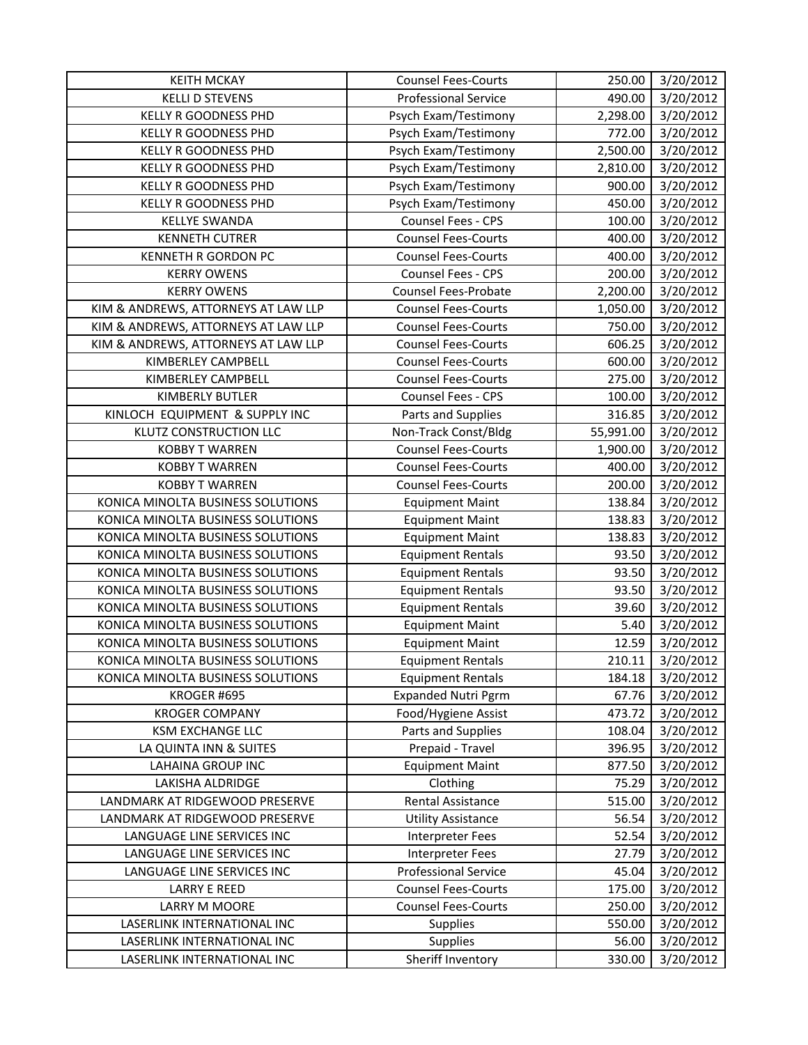| <b>KEITH MCKAY</b>                  | <b>Counsel Fees-Courts</b>  | 250.00    | 3/20/2012 |
|-------------------------------------|-----------------------------|-----------|-----------|
| <b>KELLI D STEVENS</b>              | <b>Professional Service</b> | 490.00    | 3/20/2012 |
| <b>KELLY R GOODNESS PHD</b>         | Psych Exam/Testimony        | 2,298.00  | 3/20/2012 |
| <b>KELLY R GOODNESS PHD</b>         | Psych Exam/Testimony        | 772.00    | 3/20/2012 |
| <b>KELLY R GOODNESS PHD</b>         | Psych Exam/Testimony        | 2,500.00  | 3/20/2012 |
| <b>KELLY R GOODNESS PHD</b>         | Psych Exam/Testimony        | 2,810.00  | 3/20/2012 |
| <b>KELLY R GOODNESS PHD</b>         | Psych Exam/Testimony        | 900.00    | 3/20/2012 |
| <b>KELLY R GOODNESS PHD</b>         | Psych Exam/Testimony        | 450.00    | 3/20/2012 |
| <b>KELLYE SWANDA</b>                | Counsel Fees - CPS          | 100.00    | 3/20/2012 |
| <b>KENNETH CUTRER</b>               | <b>Counsel Fees-Courts</b>  | 400.00    | 3/20/2012 |
| KENNETH R GORDON PC                 | <b>Counsel Fees-Courts</b>  | 400.00    | 3/20/2012 |
| <b>KERRY OWENS</b>                  | Counsel Fees - CPS          | 200.00    | 3/20/2012 |
| <b>KERRY OWENS</b>                  | <b>Counsel Fees-Probate</b> | 2,200.00  | 3/20/2012 |
| KIM & ANDREWS, ATTORNEYS AT LAW LLP | <b>Counsel Fees-Courts</b>  | 1,050.00  | 3/20/2012 |
| KIM & ANDREWS, ATTORNEYS AT LAW LLP | <b>Counsel Fees-Courts</b>  | 750.00    | 3/20/2012 |
| KIM & ANDREWS, ATTORNEYS AT LAW LLP | <b>Counsel Fees-Courts</b>  | 606.25    | 3/20/2012 |
| KIMBERLEY CAMPBELL                  | <b>Counsel Fees-Courts</b>  | 600.00    | 3/20/2012 |
| KIMBERLEY CAMPBELL                  | <b>Counsel Fees-Courts</b>  | 275.00    | 3/20/2012 |
| <b>KIMBERLY BUTLER</b>              | Counsel Fees - CPS          | 100.00    | 3/20/2012 |
| KINLOCH EQUIPMENT & SUPPLY INC      | Parts and Supplies          | 316.85    | 3/20/2012 |
| <b>KLUTZ CONSTRUCTION LLC</b>       | Non-Track Const/Bldg        | 55,991.00 | 3/20/2012 |
| <b>KOBBY T WARREN</b>               | <b>Counsel Fees-Courts</b>  | 1,900.00  | 3/20/2012 |
| <b>KOBBY T WARREN</b>               | <b>Counsel Fees-Courts</b>  | 400.00    | 3/20/2012 |
| <b>KOBBY T WARREN</b>               | <b>Counsel Fees-Courts</b>  | 200.00    | 3/20/2012 |
| KONICA MINOLTA BUSINESS SOLUTIONS   | <b>Equipment Maint</b>      | 138.84    | 3/20/2012 |
| KONICA MINOLTA BUSINESS SOLUTIONS   | <b>Equipment Maint</b>      | 138.83    | 3/20/2012 |
| KONICA MINOLTA BUSINESS SOLUTIONS   | <b>Equipment Maint</b>      | 138.83    | 3/20/2012 |
| KONICA MINOLTA BUSINESS SOLUTIONS   | <b>Equipment Rentals</b>    | 93.50     | 3/20/2012 |
| KONICA MINOLTA BUSINESS SOLUTIONS   | <b>Equipment Rentals</b>    | 93.50     | 3/20/2012 |
| KONICA MINOLTA BUSINESS SOLUTIONS   | <b>Equipment Rentals</b>    | 93.50     | 3/20/2012 |
| KONICA MINOLTA BUSINESS SOLUTIONS   | <b>Equipment Rentals</b>    | 39.60     | 3/20/2012 |
| KONICA MINOLTA BUSINESS SOLUTIONS   | <b>Equipment Maint</b>      | 5.40      | 3/20/2012 |
| KONICA MINOLTA BUSINESS SOLUTIONS   | <b>Equipment Maint</b>      | 12.59     | 3/20/2012 |
| KONICA MINOLTA BUSINESS SOLUTIONS   | <b>Equipment Rentals</b>    | 210.11    | 3/20/2012 |
| KONICA MINOLTA BUSINESS SOLUTIONS   | <b>Equipment Rentals</b>    | 184.18    | 3/20/2012 |
| KROGER #695                         | <b>Expanded Nutri Pgrm</b>  | 67.76     | 3/20/2012 |
| <b>KROGER COMPANY</b>               | Food/Hygiene Assist         | 473.72    | 3/20/2012 |
| <b>KSM EXCHANGE LLC</b>             | Parts and Supplies          | 108.04    | 3/20/2012 |
| LA QUINTA INN & SUITES              | Prepaid - Travel            | 396.95    | 3/20/2012 |
| <b>LAHAINA GROUP INC</b>            | <b>Equipment Maint</b>      | 877.50    | 3/20/2012 |
| LAKISHA ALDRIDGE                    | Clothing                    | 75.29     | 3/20/2012 |
| LANDMARK AT RIDGEWOOD PRESERVE      | Rental Assistance           | 515.00    | 3/20/2012 |
| LANDMARK AT RIDGEWOOD PRESERVE      | <b>Utility Assistance</b>   | 56.54     | 3/20/2012 |
| LANGUAGE LINE SERVICES INC          | Interpreter Fees            | 52.54     | 3/20/2012 |
| LANGUAGE LINE SERVICES INC          | <b>Interpreter Fees</b>     | 27.79     | 3/20/2012 |
| LANGUAGE LINE SERVICES INC          | <b>Professional Service</b> | 45.04     | 3/20/2012 |
| <b>LARRY E REED</b>                 | <b>Counsel Fees-Courts</b>  | 175.00    | 3/20/2012 |
| LARRY M MOORE                       | <b>Counsel Fees-Courts</b>  | 250.00    | 3/20/2012 |
| LASERLINK INTERNATIONAL INC         | <b>Supplies</b>             | 550.00    | 3/20/2012 |
| LASERLINK INTERNATIONAL INC         | <b>Supplies</b>             | 56.00     | 3/20/2012 |
| LASERLINK INTERNATIONAL INC         | Sheriff Inventory           | 330.00    | 3/20/2012 |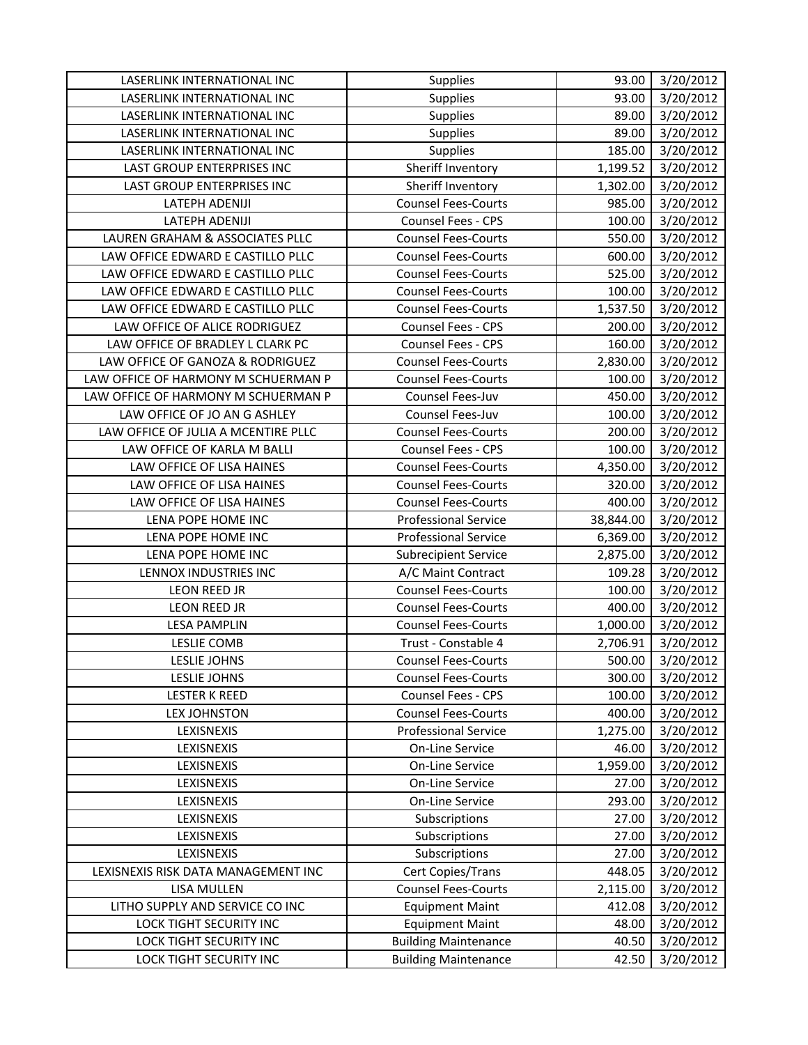| LASERLINK INTERNATIONAL INC         | <b>Supplies</b>                                       | 93.00           | 3/20/2012              |
|-------------------------------------|-------------------------------------------------------|-----------------|------------------------|
| LASERLINK INTERNATIONAL INC         | Supplies                                              | 93.00           | 3/20/2012              |
| LASERLINK INTERNATIONAL INC         | Supplies                                              | 89.00           | 3/20/2012              |
| LASERLINK INTERNATIONAL INC         | Supplies                                              | 89.00           | 3/20/2012              |
| LASERLINK INTERNATIONAL INC         | Supplies                                              | 185.00          | 3/20/2012              |
| LAST GROUP ENTERPRISES INC          | Sheriff Inventory                                     | 1,199.52        | 3/20/2012              |
| LAST GROUP ENTERPRISES INC          | Sheriff Inventory                                     | 1,302.00        | 3/20/2012              |
| LATEPH ADENIJI                      | <b>Counsel Fees-Courts</b>                            | 985.00          | 3/20/2012              |
| LATEPH ADENIJI                      | Counsel Fees - CPS                                    | 100.00          | 3/20/2012              |
| LAUREN GRAHAM & ASSOCIATES PLLC     | <b>Counsel Fees-Courts</b>                            | 550.00          | 3/20/2012              |
| LAW OFFICE EDWARD E CASTILLO PLLC   | <b>Counsel Fees-Courts</b>                            | 600.00          | 3/20/2012              |
| LAW OFFICE EDWARD E CASTILLO PLLC   | <b>Counsel Fees-Courts</b>                            | 525.00          | 3/20/2012              |
| LAW OFFICE EDWARD E CASTILLO PLLC   | <b>Counsel Fees-Courts</b>                            | 100.00          | 3/20/2012              |
| LAW OFFICE EDWARD E CASTILLO PLLC   | <b>Counsel Fees-Courts</b>                            | 1,537.50        | 3/20/2012              |
| LAW OFFICE OF ALICE RODRIGUEZ       | Counsel Fees - CPS                                    | 200.00          | 3/20/2012              |
| LAW OFFICE OF BRADLEY L CLARK PC    | Counsel Fees - CPS                                    | 160.00          | 3/20/2012              |
| LAW OFFICE OF GANOZA & RODRIGUEZ    | <b>Counsel Fees-Courts</b>                            | 2,830.00        | 3/20/2012              |
| LAW OFFICE OF HARMONY M SCHUERMAN P | <b>Counsel Fees-Courts</b>                            | 100.00          | 3/20/2012              |
| LAW OFFICE OF HARMONY M SCHUERMAN P | Counsel Fees-Juv                                      | 450.00          | 3/20/2012              |
| LAW OFFICE OF JO AN G ASHLEY        | Counsel Fees-Juv                                      | 100.00          | 3/20/2012              |
| LAW OFFICE OF JULIA A MCENTIRE PLLC | <b>Counsel Fees-Courts</b>                            | 200.00          | 3/20/2012              |
| LAW OFFICE OF KARLA M BALLI         | Counsel Fees - CPS                                    | 100.00          | 3/20/2012              |
| LAW OFFICE OF LISA HAINES           | <b>Counsel Fees-Courts</b>                            | 4,350.00        | 3/20/2012              |
| LAW OFFICE OF LISA HAINES           | <b>Counsel Fees-Courts</b>                            | 320.00          | 3/20/2012              |
| LAW OFFICE OF LISA HAINES           | <b>Counsel Fees-Courts</b>                            | 400.00          | 3/20/2012              |
| LENA POPE HOME INC                  | <b>Professional Service</b>                           | 38,844.00       | 3/20/2012              |
| LENA POPE HOME INC                  | <b>Professional Service</b>                           | 6,369.00        | 3/20/2012              |
| LENA POPE HOME INC                  | Subrecipient Service                                  | 2,875.00        | 3/20/2012              |
| LENNOX INDUSTRIES INC               | A/C Maint Contract                                    | 109.28          | 3/20/2012              |
| <b>LEON REED JR</b>                 | <b>Counsel Fees-Courts</b>                            | 100.00          | 3/20/2012              |
| LEON REED JR                        | <b>Counsel Fees-Courts</b>                            | 400.00          | 3/20/2012              |
| <b>LESA PAMPLIN</b>                 | <b>Counsel Fees-Courts</b>                            | 1,000.00        | 3/20/2012              |
| <b>LESLIE COMB</b>                  | Trust - Constable 4                                   | 2,706.91        | 3/20/2012              |
| <b>LESLIE JOHNS</b>                 | <b>Counsel Fees-Courts</b>                            | 500.00          | 3/20/2012              |
| LESLIE JOHNS                        | <b>Counsel Fees-Courts</b>                            | 300.00          | 3/20/2012              |
| <b>LESTER K REED</b>                | Counsel Fees - CPS                                    | 100.00          | 3/20/2012              |
| <b>LEX JOHNSTON</b>                 | <b>Counsel Fees-Courts</b>                            | 400.00          | 3/20/2012              |
| LEXISNEXIS<br>LEXISNEXIS            | <b>Professional Service</b><br><b>On-Line Service</b> | 1,275.00        | 3/20/2012              |
|                                     |                                                       | 46.00           | 3/20/2012              |
| LEXISNEXIS                          | On-Line Service                                       | 1,959.00        | 3/20/2012              |
| LEXISNEXIS<br>LEXISNEXIS            | On-Line Service<br>On-Line Service                    | 27.00<br>293.00 | 3/20/2012<br>3/20/2012 |
| LEXISNEXIS                          | Subscriptions                                         | 27.00           | 3/20/2012              |
|                                     |                                                       |                 |                        |
| LEXISNEXIS<br>LEXISNEXIS            | Subscriptions<br>Subscriptions                        | 27.00<br>27.00  | 3/20/2012<br>3/20/2012 |
| LEXISNEXIS RISK DATA MANAGEMENT INC | Cert Copies/Trans                                     | 448.05          | 3/20/2012              |
| LISA MULLEN                         | <b>Counsel Fees-Courts</b>                            | 2,115.00        | 3/20/2012              |
| LITHO SUPPLY AND SERVICE CO INC     | <b>Equipment Maint</b>                                | 412.08          | 3/20/2012              |
| LOCK TIGHT SECURITY INC             | <b>Equipment Maint</b>                                | 48.00           | 3/20/2012              |
| LOCK TIGHT SECURITY INC             | <b>Building Maintenance</b>                           | 40.50           |                        |
|                                     |                                                       |                 | 3/20/2012              |
| LOCK TIGHT SECURITY INC             | <b>Building Maintenance</b>                           | 42.50           | 3/20/2012              |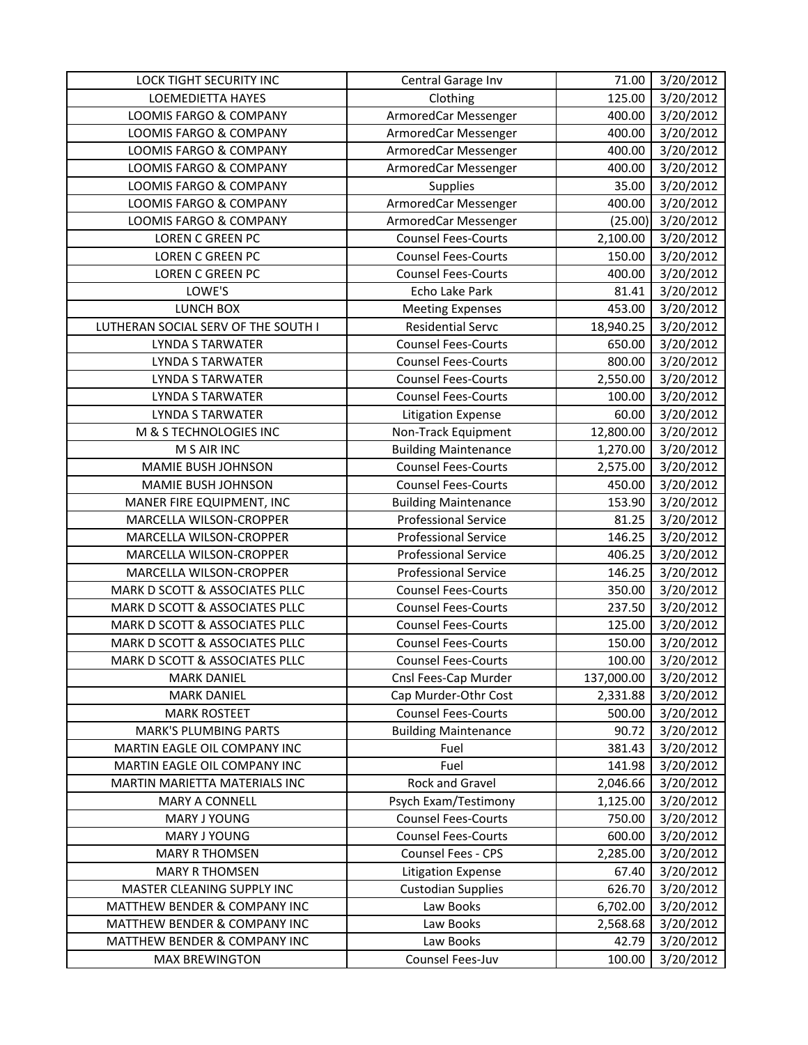| LOCK TIGHT SECURITY INC             | Central Garage Inv          | 71.00      | 3/20/2012 |
|-------------------------------------|-----------------------------|------------|-----------|
| <b>LOEMEDIETTA HAYES</b>            | Clothing                    | 125.00     | 3/20/2012 |
| LOOMIS FARGO & COMPANY              | ArmoredCar Messenger        | 400.00     | 3/20/2012 |
| LOOMIS FARGO & COMPANY              | ArmoredCar Messenger        | 400.00     | 3/20/2012 |
| LOOMIS FARGO & COMPANY              | ArmoredCar Messenger        | 400.00     | 3/20/2012 |
| LOOMIS FARGO & COMPANY              | ArmoredCar Messenger        | 400.00     | 3/20/2012 |
| LOOMIS FARGO & COMPANY              | Supplies                    | 35.00      | 3/20/2012 |
| LOOMIS FARGO & COMPANY              | ArmoredCar Messenger        | 400.00     | 3/20/2012 |
| <b>LOOMIS FARGO &amp; COMPANY</b>   | ArmoredCar Messenger        | (25.00)    | 3/20/2012 |
| <b>LOREN C GREEN PC</b>             | <b>Counsel Fees-Courts</b>  | 2,100.00   | 3/20/2012 |
| <b>LOREN C GREEN PC</b>             | <b>Counsel Fees-Courts</b>  | 150.00     | 3/20/2012 |
| LOREN C GREEN PC                    | <b>Counsel Fees-Courts</b>  | 400.00     | 3/20/2012 |
| LOWE'S                              | Echo Lake Park              | 81.41      | 3/20/2012 |
| LUNCH BOX                           | <b>Meeting Expenses</b>     | 453.00     | 3/20/2012 |
| LUTHERAN SOCIAL SERV OF THE SOUTH I | <b>Residential Servc</b>    | 18,940.25  | 3/20/2012 |
| <b>LYNDA S TARWATER</b>             | <b>Counsel Fees-Courts</b>  | 650.00     | 3/20/2012 |
| <b>LYNDA S TARWATER</b>             | <b>Counsel Fees-Courts</b>  | 800.00     | 3/20/2012 |
| LYNDA S TARWATER                    | <b>Counsel Fees-Courts</b>  | 2,550.00   | 3/20/2012 |
| LYNDA S TARWATER                    | <b>Counsel Fees-Courts</b>  | 100.00     | 3/20/2012 |
| <b>LYNDA S TARWATER</b>             | <b>Litigation Expense</b>   | 60.00      | 3/20/2012 |
| M & S TECHNOLOGIES INC              | Non-Track Equipment         | 12,800.00  | 3/20/2012 |
| M S AIR INC                         | <b>Building Maintenance</b> | 1,270.00   | 3/20/2012 |
| MAMIE BUSH JOHNSON                  | <b>Counsel Fees-Courts</b>  | 2,575.00   | 3/20/2012 |
| MAMIE BUSH JOHNSON                  | <b>Counsel Fees-Courts</b>  | 450.00     | 3/20/2012 |
| MANER FIRE EQUIPMENT, INC           | <b>Building Maintenance</b> | 153.90     | 3/20/2012 |
| MARCELLA WILSON-CROPPER             | <b>Professional Service</b> | 81.25      | 3/20/2012 |
| MARCELLA WILSON-CROPPER             | <b>Professional Service</b> | 146.25     | 3/20/2012 |
| MARCELLA WILSON-CROPPER             | <b>Professional Service</b> | 406.25     | 3/20/2012 |
| MARCELLA WILSON-CROPPER             | <b>Professional Service</b> | 146.25     | 3/20/2012 |
| MARK D SCOTT & ASSOCIATES PLLC      | <b>Counsel Fees-Courts</b>  | 350.00     | 3/20/2012 |
| MARK D SCOTT & ASSOCIATES PLLC      | <b>Counsel Fees-Courts</b>  | 237.50     | 3/20/2012 |
| MARK D SCOTT & ASSOCIATES PLLC      | <b>Counsel Fees-Courts</b>  | 125.00     | 3/20/2012 |
| MARK D SCOTT & ASSOCIATES PLLC      | <b>Counsel Fees-Courts</b>  | 150.00     | 3/20/2012 |
| MARK D SCOTT & ASSOCIATES PLLC      | <b>Counsel Fees-Courts</b>  | 100.00     | 3/20/2012 |
| <b>MARK DANIEL</b>                  | Cnsl Fees-Cap Murder        | 137,000.00 | 3/20/2012 |
| <b>MARK DANIEL</b>                  | Cap Murder-Othr Cost        | 2,331.88   | 3/20/2012 |
| <b>MARK ROSTEET</b>                 | <b>Counsel Fees-Courts</b>  | 500.00     | 3/20/2012 |
| <b>MARK'S PLUMBING PARTS</b>        | <b>Building Maintenance</b> | 90.72      | 3/20/2012 |
| MARTIN EAGLE OIL COMPANY INC        | Fuel                        | 381.43     | 3/20/2012 |
| MARTIN EAGLE OIL COMPANY INC        | Fuel                        | 141.98     | 3/20/2012 |
| MARTIN MARIETTA MATERIALS INC       | Rock and Gravel             | 2,046.66   | 3/20/2012 |
| <b>MARY A CONNELL</b>               | Psych Exam/Testimony        | 1,125.00   | 3/20/2012 |
| MARY J YOUNG                        | <b>Counsel Fees-Courts</b>  | 750.00     | 3/20/2012 |
| MARY J YOUNG                        | <b>Counsel Fees-Courts</b>  | 600.00     | 3/20/2012 |
| <b>MARY R THOMSEN</b>               | Counsel Fees - CPS          | 2,285.00   | 3/20/2012 |
| <b>MARY R THOMSEN</b>               | <b>Litigation Expense</b>   | 67.40      | 3/20/2012 |
| MASTER CLEANING SUPPLY INC          | <b>Custodian Supplies</b>   | 626.70     | 3/20/2012 |
| MATTHEW BENDER & COMPANY INC        | Law Books                   | 6,702.00   | 3/20/2012 |
| MATTHEW BENDER & COMPANY INC        | Law Books                   | 2,568.68   | 3/20/2012 |
| MATTHEW BENDER & COMPANY INC        | Law Books                   | 42.79      | 3/20/2012 |
| <b>MAX BREWINGTON</b>               | Counsel Fees-Juv            | 100.00     | 3/20/2012 |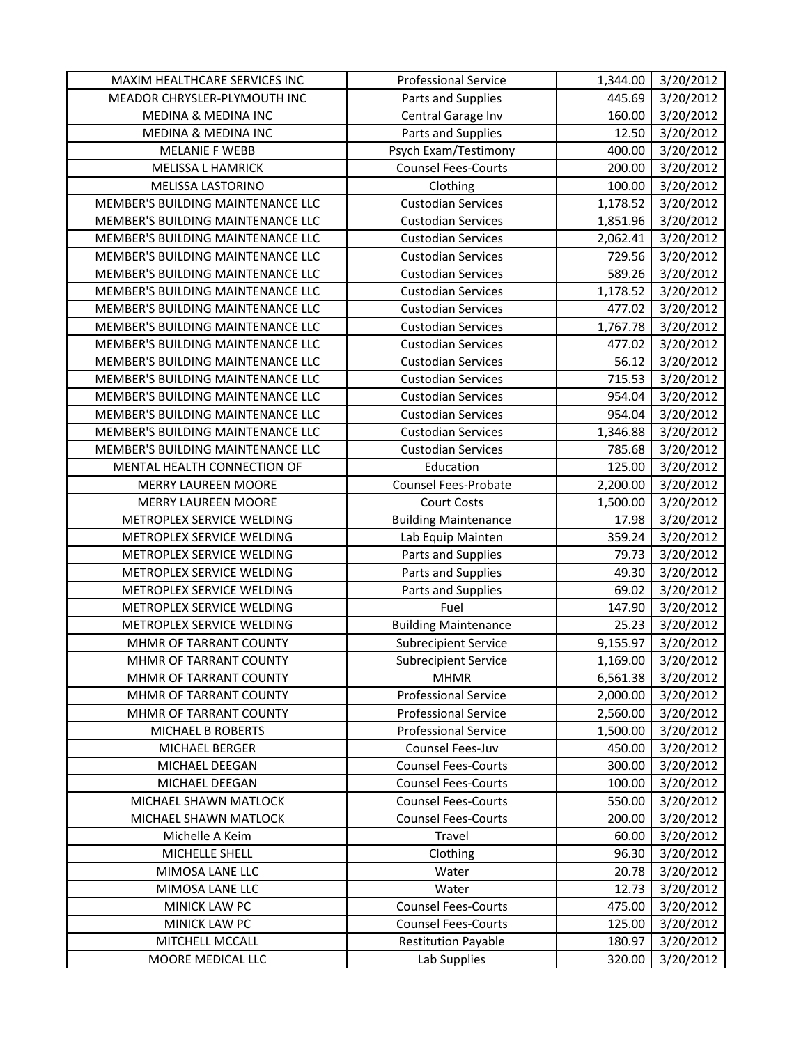| MAXIM HEALTHCARE SERVICES INC     | <b>Professional Service</b> | 1,344.00 | 3/20/2012          |
|-----------------------------------|-----------------------------|----------|--------------------|
| MEADOR CHRYSLER-PLYMOUTH INC      | Parts and Supplies          | 445.69   | 3/20/2012          |
| MEDINA & MEDINA INC               | Central Garage Inv          | 160.00   | 3/20/2012          |
| MEDINA & MEDINA INC               | Parts and Supplies          | 12.50    | 3/20/2012          |
| <b>MELANIE F WEBB</b>             | Psych Exam/Testimony        | 400.00   | 3/20/2012          |
| MELISSA L HAMRICK                 | <b>Counsel Fees-Courts</b>  | 200.00   | 3/20/2012          |
| MELISSA LASTORINO                 | Clothing                    | 100.00   | 3/20/2012          |
| MEMBER'S BUILDING MAINTENANCE LLC | <b>Custodian Services</b>   | 1,178.52 | 3/20/2012          |
| MEMBER'S BUILDING MAINTENANCE LLC | <b>Custodian Services</b>   | 1,851.96 | 3/20/2012          |
| MEMBER'S BUILDING MAINTENANCE LLC | <b>Custodian Services</b>   | 2,062.41 | 3/20/2012          |
| MEMBER'S BUILDING MAINTENANCE LLC | <b>Custodian Services</b>   | 729.56   | 3/20/2012          |
| MEMBER'S BUILDING MAINTENANCE LLC | <b>Custodian Services</b>   | 589.26   | 3/20/2012          |
| MEMBER'S BUILDING MAINTENANCE LLC | <b>Custodian Services</b>   | 1,178.52 | 3/20/2012          |
| MEMBER'S BUILDING MAINTENANCE LLC | <b>Custodian Services</b>   | 477.02   | 3/20/2012          |
| MEMBER'S BUILDING MAINTENANCE LLC | <b>Custodian Services</b>   | 1,767.78 | 3/20/2012          |
| MEMBER'S BUILDING MAINTENANCE LLC | <b>Custodian Services</b>   | 477.02   | 3/20/2012          |
| MEMBER'S BUILDING MAINTENANCE LLC | <b>Custodian Services</b>   | 56.12    | 3/20/2012          |
| MEMBER'S BUILDING MAINTENANCE LLC | <b>Custodian Services</b>   | 715.53   | 3/20/2012          |
| MEMBER'S BUILDING MAINTENANCE LLC | <b>Custodian Services</b>   | 954.04   | 3/20/2012          |
| MEMBER'S BUILDING MAINTENANCE LLC | <b>Custodian Services</b>   | 954.04   | 3/20/2012          |
| MEMBER'S BUILDING MAINTENANCE LLC | <b>Custodian Services</b>   | 1,346.88 | 3/20/2012          |
| MEMBER'S BUILDING MAINTENANCE LLC | <b>Custodian Services</b>   | 785.68   | 3/20/2012          |
| MENTAL HEALTH CONNECTION OF       | Education                   | 125.00   | 3/20/2012          |
| <b>MERRY LAUREEN MOORE</b>        | <b>Counsel Fees-Probate</b> | 2,200.00 | 3/20/2012          |
| <b>MERRY LAUREEN MOORE</b>        | <b>Court Costs</b>          | 1,500.00 | 3/20/2012          |
| METROPLEX SERVICE WELDING         | <b>Building Maintenance</b> | 17.98    | 3/20/2012          |
| METROPLEX SERVICE WELDING         | Lab Equip Mainten           | 359.24   | 3/20/2012          |
| METROPLEX SERVICE WELDING         | Parts and Supplies          | 79.73    | 3/20/2012          |
| METROPLEX SERVICE WELDING         | Parts and Supplies          | 49.30    | 3/20/2012          |
| METROPLEX SERVICE WELDING         | Parts and Supplies          | 69.02    | 3/20/2012          |
| METROPLEX SERVICE WELDING         | Fuel                        | 147.90   | 3/20/2012          |
| METROPLEX SERVICE WELDING         | <b>Building Maintenance</b> | 25.23    | 3/20/2012          |
| MHMR OF TARRANT COUNTY            | Subrecipient Service        | 9,155.97 | 3/20/2012          |
| MHMR OF TARRANT COUNTY            | <b>Subrecipient Service</b> |          | 1,169.00 3/20/2012 |
| MHMR OF TARRANT COUNTY            | <b>MHMR</b>                 | 6,561.38 | 3/20/2012          |
| MHMR OF TARRANT COUNTY            | <b>Professional Service</b> | 2,000.00 | 3/20/2012          |
| MHMR OF TARRANT COUNTY            | <b>Professional Service</b> | 2,560.00 | 3/20/2012          |
| MICHAEL B ROBERTS                 | <b>Professional Service</b> | 1,500.00 | 3/20/2012          |
| MICHAEL BERGER                    | Counsel Fees-Juv            | 450.00   | 3/20/2012          |
| MICHAEL DEEGAN                    | <b>Counsel Fees-Courts</b>  | 300.00   | 3/20/2012          |
| MICHAEL DEEGAN                    | <b>Counsel Fees-Courts</b>  | 100.00   | 3/20/2012          |
| MICHAEL SHAWN MATLOCK             | <b>Counsel Fees-Courts</b>  | 550.00   | 3/20/2012          |
| MICHAEL SHAWN MATLOCK             | <b>Counsel Fees-Courts</b>  | 200.00   | 3/20/2012          |
| Michelle A Keim                   | Travel                      | 60.00    | 3/20/2012          |
| MICHELLE SHELL                    | Clothing                    | 96.30    | 3/20/2012          |
| MIMOSA LANE LLC                   | Water                       | 20.78    | 3/20/2012          |
| MIMOSA LANE LLC                   | Water                       | 12.73    | 3/20/2012          |
| MINICK LAW PC                     | <b>Counsel Fees-Courts</b>  | 475.00   | 3/20/2012          |
| MINICK LAW PC                     | <b>Counsel Fees-Courts</b>  | 125.00   | 3/20/2012          |
| MITCHELL MCCALL                   | <b>Restitution Payable</b>  | 180.97   | 3/20/2012          |
| MOORE MEDICAL LLC                 | Lab Supplies                | 320.00   | 3/20/2012          |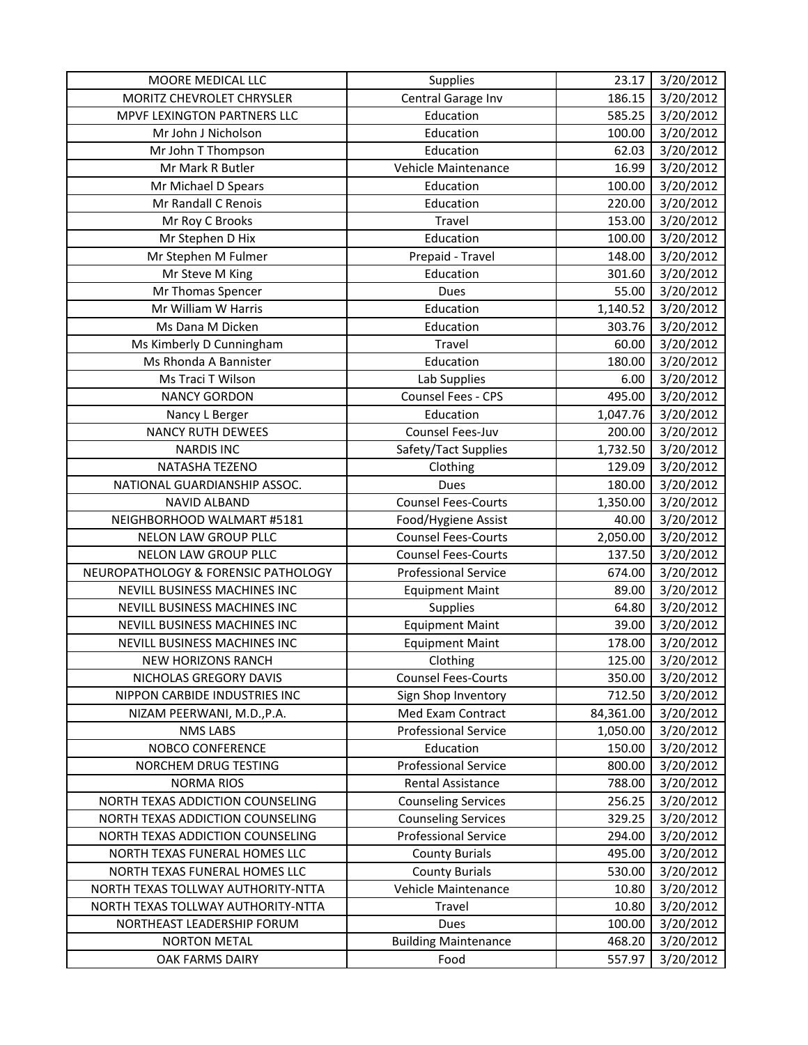| MOORE MEDICAL LLC                   | Supplies                    | 23.17     | 3/20/2012 |
|-------------------------------------|-----------------------------|-----------|-----------|
| MORITZ CHEVROLET CHRYSLER           | Central Garage Inv          | 186.15    | 3/20/2012 |
| MPVF LEXINGTON PARTNERS LLC         | Education                   | 585.25    | 3/20/2012 |
| Mr John J Nicholson                 | Education                   | 100.00    | 3/20/2012 |
| Mr John T Thompson                  | Education                   | 62.03     | 3/20/2012 |
| Mr Mark R Butler                    | Vehicle Maintenance         | 16.99     | 3/20/2012 |
| Mr Michael D Spears                 | Education                   | 100.00    | 3/20/2012 |
| Mr Randall C Renois                 | Education                   | 220.00    | 3/20/2012 |
| Mr Roy C Brooks                     | Travel                      | 153.00    | 3/20/2012 |
| Mr Stephen D Hix                    | Education                   | 100.00    | 3/20/2012 |
| Mr Stephen M Fulmer                 | Prepaid - Travel            | 148.00    | 3/20/2012 |
| Mr Steve M King                     | Education                   | 301.60    | 3/20/2012 |
| Mr Thomas Spencer                   | Dues                        | 55.00     | 3/20/2012 |
| Mr William W Harris                 | Education                   | 1,140.52  | 3/20/2012 |
| Ms Dana M Dicken                    | Education                   | 303.76    | 3/20/2012 |
| Ms Kimberly D Cunningham            | Travel                      | 60.00     | 3/20/2012 |
| Ms Rhonda A Bannister               | Education                   | 180.00    | 3/20/2012 |
| Ms Traci T Wilson                   | Lab Supplies                | 6.00      | 3/20/2012 |
| <b>NANCY GORDON</b>                 | Counsel Fees - CPS          | 495.00    | 3/20/2012 |
| Nancy L Berger                      | Education                   | 1,047.76  | 3/20/2012 |
| <b>NANCY RUTH DEWEES</b>            | Counsel Fees-Juv            | 200.00    | 3/20/2012 |
| <b>NARDIS INC</b>                   | Safety/Tact Supplies        | 1,732.50  | 3/20/2012 |
| NATASHA TEZENO                      | Clothing                    | 129.09    | 3/20/2012 |
| NATIONAL GUARDIANSHIP ASSOC.        | Dues                        | 180.00    | 3/20/2012 |
| <b>NAVID ALBAND</b>                 | <b>Counsel Fees-Courts</b>  | 1,350.00  | 3/20/2012 |
| NEIGHBORHOOD WALMART #5181          | Food/Hygiene Assist         | 40.00     | 3/20/2012 |
| <b>NELON LAW GROUP PLLC</b>         | <b>Counsel Fees-Courts</b>  | 2,050.00  | 3/20/2012 |
| <b>NELON LAW GROUP PLLC</b>         | <b>Counsel Fees-Courts</b>  | 137.50    | 3/20/2012 |
| NEUROPATHOLOGY & FORENSIC PATHOLOGY | <b>Professional Service</b> | 674.00    | 3/20/2012 |
| NEVILL BUSINESS MACHINES INC        | <b>Equipment Maint</b>      | 89.00     | 3/20/2012 |
| NEVILL BUSINESS MACHINES INC        | Supplies                    | 64.80     | 3/20/2012 |
| NEVILL BUSINESS MACHINES INC        | <b>Equipment Maint</b>      | 39.00     | 3/20/2012 |
| NEVILL BUSINESS MACHINES INC        | <b>Equipment Maint</b>      | 178.00    | 3/20/2012 |
| NEW HORIZONS RANCH                  | Clothing                    | 125.00    | 3/20/2012 |
| NICHOLAS GREGORY DAVIS              | <b>Counsel Fees-Courts</b>  | 350.00    | 3/20/2012 |
| NIPPON CARBIDE INDUSTRIES INC       | Sign Shop Inventory         | 712.50    | 3/20/2012 |
| NIZAM PEERWANI, M.D., P.A.          | Med Exam Contract           | 84,361.00 | 3/20/2012 |
| <b>NMS LABS</b>                     | <b>Professional Service</b> | 1,050.00  | 3/20/2012 |
| NOBCO CONFERENCE                    | Education                   | 150.00    | 3/20/2012 |
| NORCHEM DRUG TESTING                | <b>Professional Service</b> | 800.00    | 3/20/2012 |
| <b>NORMA RIOS</b>                   | Rental Assistance           | 788.00    | 3/20/2012 |
| NORTH TEXAS ADDICTION COUNSELING    | <b>Counseling Services</b>  | 256.25    | 3/20/2012 |
| NORTH TEXAS ADDICTION COUNSELING    | <b>Counseling Services</b>  | 329.25    | 3/20/2012 |
| NORTH TEXAS ADDICTION COUNSELING    | <b>Professional Service</b> | 294.00    | 3/20/2012 |
| NORTH TEXAS FUNERAL HOMES LLC       | <b>County Burials</b>       | 495.00    | 3/20/2012 |
| NORTH TEXAS FUNERAL HOMES LLC       | <b>County Burials</b>       | 530.00    | 3/20/2012 |
| NORTH TEXAS TOLLWAY AUTHORITY-NTTA  | Vehicle Maintenance         | 10.80     | 3/20/2012 |
| NORTH TEXAS TOLLWAY AUTHORITY-NTTA  | Travel                      | 10.80     | 3/20/2012 |
| NORTHEAST LEADERSHIP FORUM          | Dues                        | 100.00    | 3/20/2012 |
| <b>NORTON METAL</b>                 | <b>Building Maintenance</b> | 468.20    | 3/20/2012 |
| OAK FARMS DAIRY                     | Food                        | 557.97    | 3/20/2012 |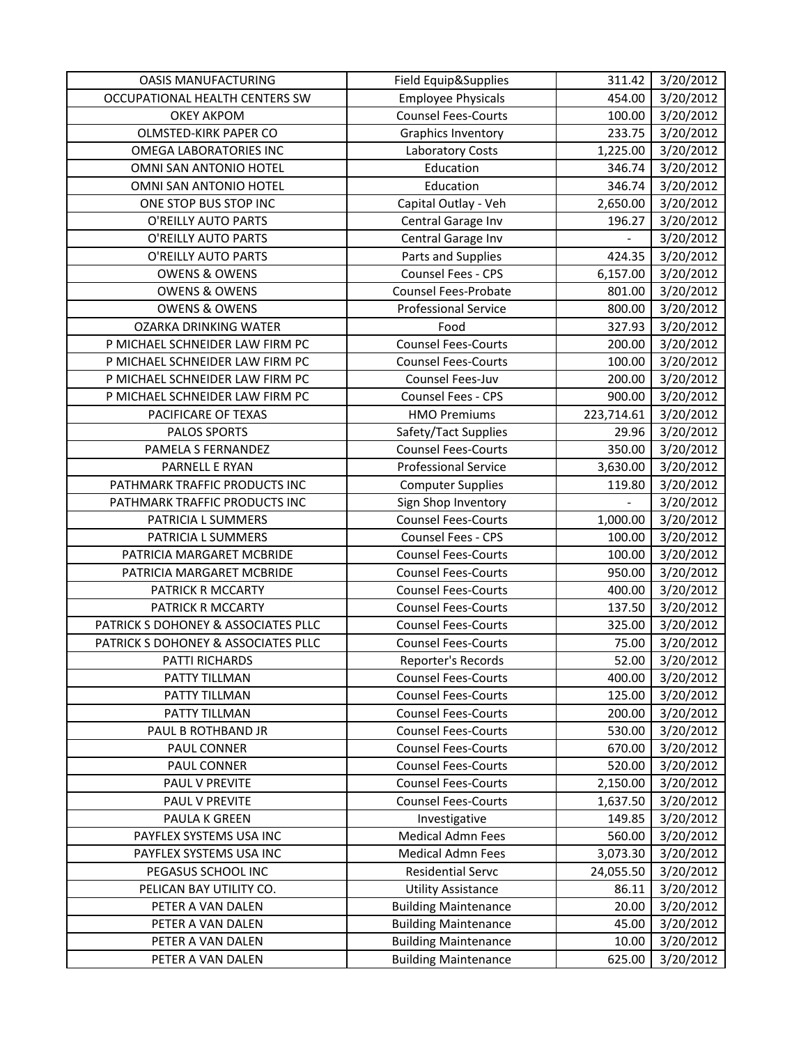| <b>OASIS MANUFACTURING</b>          | Field Equip&Supplies        | 311.42     | 3/20/2012             |
|-------------------------------------|-----------------------------|------------|-----------------------|
| OCCUPATIONAL HEALTH CENTERS SW      | <b>Employee Physicals</b>   | 454.00     | 3/20/2012             |
| <b>OKEY AKPOM</b>                   | <b>Counsel Fees-Courts</b>  | 100.00     | 3/20/2012             |
| OLMSTED-KIRK PAPER CO               | <b>Graphics Inventory</b>   | 233.75     | 3/20/2012             |
| OMEGA LABORATORIES INC              | Laboratory Costs            | 1,225.00   | 3/20/2012             |
| OMNI SAN ANTONIO HOTEL              | Education                   | 346.74     | 3/20/2012             |
| OMNI SAN ANTONIO HOTEL              | Education                   | 346.74     | 3/20/2012             |
| ONE STOP BUS STOP INC               | Capital Outlay - Veh        | 2,650.00   | 3/20/2012             |
| O'REILLY AUTO PARTS                 | Central Garage Inv          | 196.27     | 3/20/2012             |
| O'REILLY AUTO PARTS                 | Central Garage Inv          |            | 3/20/2012             |
| O'REILLY AUTO PARTS                 | Parts and Supplies          | 424.35     | 3/20/2012             |
| <b>OWENS &amp; OWENS</b>            | Counsel Fees - CPS          | 6,157.00   | $\frac{1}{3}/20/2012$ |
| <b>OWENS &amp; OWENS</b>            | Counsel Fees-Probate        | 801.00     | 3/20/2012             |
| <b>OWENS &amp; OWENS</b>            | Professional Service        | 800.00     | 3/20/2012             |
| <b>OZARKA DRINKING WATER</b>        | Food                        | 327.93     | 3/20/2012             |
| P MICHAEL SCHNEIDER LAW FIRM PC     | <b>Counsel Fees-Courts</b>  | 200.00     | 3/20/2012             |
| P MICHAEL SCHNEIDER LAW FIRM PC     | <b>Counsel Fees-Courts</b>  | 100.00     | 3/20/2012             |
| P MICHAEL SCHNEIDER LAW FIRM PC     | Counsel Fees-Juv            | 200.00     | 3/20/2012             |
| P MICHAEL SCHNEIDER LAW FIRM PC     | Counsel Fees - CPS          | 900.00     | 3/20/2012             |
| PACIFICARE OF TEXAS                 | <b>HMO Premiums</b>         | 223,714.61 | 3/20/2012             |
| PALOS SPORTS                        | Safety/Tact Supplies        | 29.96      | 3/20/2012             |
| PAMELA S FERNANDEZ                  | <b>Counsel Fees-Courts</b>  | 350.00     | 3/20/2012             |
| PARNELL E RYAN                      | <b>Professional Service</b> | 3,630.00   | 3/20/2012             |
| PATHMARK TRAFFIC PRODUCTS INC       | <b>Computer Supplies</b>    | 119.80     | 3/20/2012             |
| PATHMARK TRAFFIC PRODUCTS INC       | Sign Shop Inventory         |            | 3/20/2012             |
| PATRICIA L SUMMERS                  | <b>Counsel Fees-Courts</b>  | 1,000.00   | 3/20/2012             |
| PATRICIA L SUMMERS                  | Counsel Fees - CPS          | 100.00     | 3/20/2012             |
| PATRICIA MARGARET MCBRIDE           | <b>Counsel Fees-Courts</b>  | 100.00     | 3/20/2012             |
| PATRICIA MARGARET MCBRIDE           | <b>Counsel Fees-Courts</b>  | 950.00     | 3/20/2012             |
| PATRICK R MCCARTY                   | <b>Counsel Fees-Courts</b>  | 400.00     | 3/20/2012             |
| PATRICK R MCCARTY                   | <b>Counsel Fees-Courts</b>  | 137.50     | 3/20/2012             |
| PATRICK S DOHONEY & ASSOCIATES PLLC | <b>Counsel Fees-Courts</b>  | 325.00     | 3/20/2012             |
| PATRICK S DOHONEY & ASSOCIATES PLLC | <b>Counsel Fees-Courts</b>  | 75.00      | 3/20/2012             |
| PATTI RICHARDS                      | Reporter's Records          | 52.00      | 3/20/2012             |
| PATTY TILLMAN                       | <b>Counsel Fees-Courts</b>  | 400.00     | 3/20/2012             |
| PATTY TILLMAN                       | <b>Counsel Fees-Courts</b>  | 125.00     | 3/20/2012             |
| PATTY TILLMAN                       | <b>Counsel Fees-Courts</b>  | 200.00     | 3/20/2012             |
| PAUL B ROTHBAND JR                  | <b>Counsel Fees-Courts</b>  | 530.00     | 3/20/2012             |
| <b>PAUL CONNER</b>                  | <b>Counsel Fees-Courts</b>  | 670.00     | 3/20/2012             |
| PAUL CONNER                         | <b>Counsel Fees-Courts</b>  | 520.00     | 3/20/2012             |
| PAUL V PREVITE                      | <b>Counsel Fees-Courts</b>  | 2,150.00   | 3/20/2012             |
| PAUL V PREVITE                      | <b>Counsel Fees-Courts</b>  | 1,637.50   | 3/20/2012             |
| PAULA K GREEN                       | Investigative               | 149.85     | 3/20/2012             |
| PAYFLEX SYSTEMS USA INC             | Medical Admn Fees           | 560.00     | 3/20/2012             |
| PAYFLEX SYSTEMS USA INC             | <b>Medical Admn Fees</b>    | 3,073.30   | 3/20/2012             |
| PEGASUS SCHOOL INC                  | <b>Residential Servc</b>    | 24,055.50  | 3/20/2012             |
| PELICAN BAY UTILITY CO.             | <b>Utility Assistance</b>   | 86.11      | 3/20/2012             |
| PETER A VAN DALEN                   | <b>Building Maintenance</b> | 20.00      | 3/20/2012             |
| PETER A VAN DALEN                   | <b>Building Maintenance</b> | 45.00      | 3/20/2012             |
| PETER A VAN DALEN                   | <b>Building Maintenance</b> | 10.00      | 3/20/2012             |
| PETER A VAN DALEN                   | <b>Building Maintenance</b> | 625.00     | 3/20/2012             |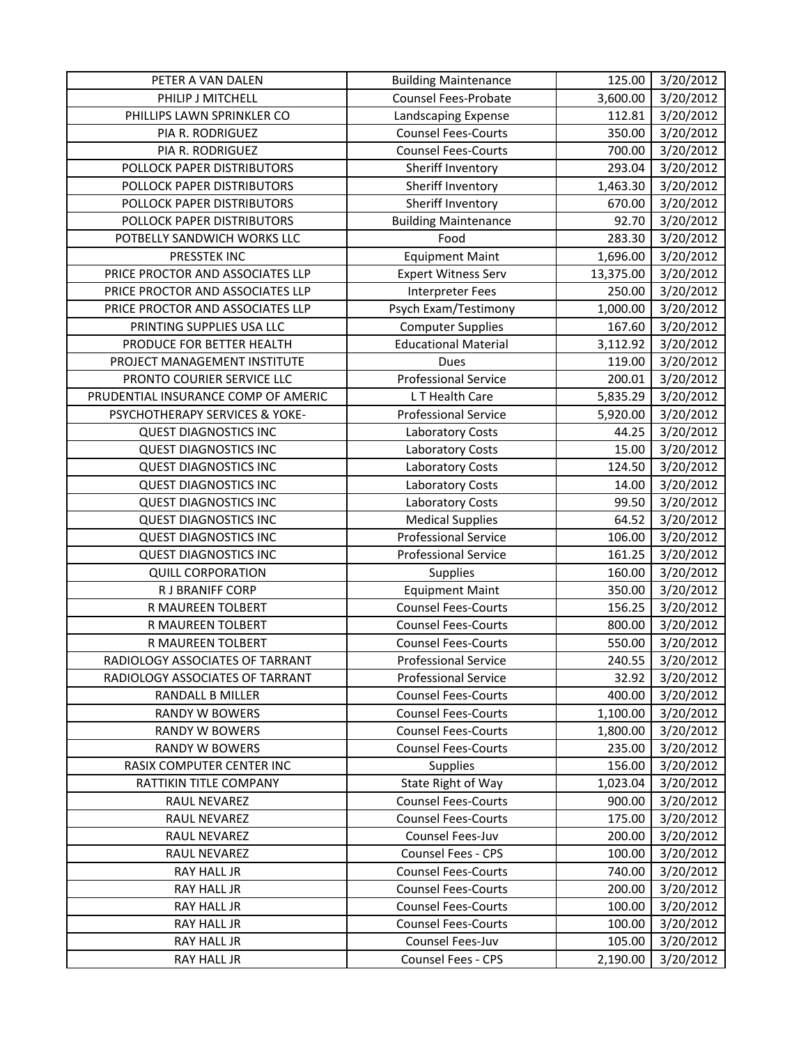| PETER A VAN DALEN                   | <b>Building Maintenance</b> | 125.00    | 3/20/2012 |
|-------------------------------------|-----------------------------|-----------|-----------|
| PHILIP J MITCHELL                   | <b>Counsel Fees-Probate</b> | 3,600.00  | 3/20/2012 |
| PHILLIPS LAWN SPRINKLER CO          | Landscaping Expense         | 112.81    | 3/20/2012 |
| PIA R. RODRIGUEZ                    | <b>Counsel Fees-Courts</b>  | 350.00    | 3/20/2012 |
| PIA R. RODRIGUEZ                    | <b>Counsel Fees-Courts</b>  | 700.00    | 3/20/2012 |
| POLLOCK PAPER DISTRIBUTORS          | Sheriff Inventory           | 293.04    | 3/20/2012 |
| POLLOCK PAPER DISTRIBUTORS          | Sheriff Inventory           | 1,463.30  | 3/20/2012 |
| POLLOCK PAPER DISTRIBUTORS          | Sheriff Inventory           | 670.00    | 3/20/2012 |
| POLLOCK PAPER DISTRIBUTORS          | <b>Building Maintenance</b> | 92.70     | 3/20/2012 |
| POTBELLY SANDWICH WORKS LLC         | Food                        | 283.30    | 3/20/2012 |
| PRESSTEK INC                        | <b>Equipment Maint</b>      | 1,696.00  | 3/20/2012 |
| PRICE PROCTOR AND ASSOCIATES LLP    | <b>Expert Witness Serv</b>  | 13,375.00 | 3/20/2012 |
| PRICE PROCTOR AND ASSOCIATES LLP    | Interpreter Fees            | 250.00    | 3/20/2012 |
| PRICE PROCTOR AND ASSOCIATES LLP    | Psych Exam/Testimony        | 1,000.00  | 3/20/2012 |
| PRINTING SUPPLIES USA LLC           | <b>Computer Supplies</b>    | 167.60    | 3/20/2012 |
| PRODUCE FOR BETTER HEALTH           | <b>Educational Material</b> | 3,112.92  | 3/20/2012 |
| PROJECT MANAGEMENT INSTITUTE        | Dues                        | 119.00    | 3/20/2012 |
| PRONTO COURIER SERVICE LLC          | <b>Professional Service</b> | 200.01    | 3/20/2012 |
| PRUDENTIAL INSURANCE COMP OF AMERIC | LT Health Care              | 5,835.29  | 3/20/2012 |
| PSYCHOTHERAPY SERVICES & YOKE-      | <b>Professional Service</b> | 5,920.00  | 3/20/2012 |
| <b>QUEST DIAGNOSTICS INC</b>        | Laboratory Costs            | 44.25     | 3/20/2012 |
| <b>QUEST DIAGNOSTICS INC</b>        | <b>Laboratory Costs</b>     | 15.00     | 3/20/2012 |
| <b>QUEST DIAGNOSTICS INC</b>        | Laboratory Costs            | 124.50    | 3/20/2012 |
| <b>QUEST DIAGNOSTICS INC</b>        | Laboratory Costs            | 14.00     | 3/20/2012 |
| <b>QUEST DIAGNOSTICS INC</b>        | <b>Laboratory Costs</b>     | 99.50     | 3/20/2012 |
| <b>QUEST DIAGNOSTICS INC</b>        | <b>Medical Supplies</b>     | 64.52     | 3/20/2012 |
| <b>QUEST DIAGNOSTICS INC</b>        | <b>Professional Service</b> | 106.00    | 3/20/2012 |
| <b>QUEST DIAGNOSTICS INC</b>        | <b>Professional Service</b> | 161.25    | 3/20/2012 |
| <b>QUILL CORPORATION</b>            | Supplies                    | 160.00    | 3/20/2012 |
| R J BRANIFF CORP                    | <b>Equipment Maint</b>      | 350.00    | 3/20/2012 |
| R MAUREEN TOLBERT                   | <b>Counsel Fees-Courts</b>  | 156.25    | 3/20/2012 |
| R MAUREEN TOLBERT                   | <b>Counsel Fees-Courts</b>  | 800.00    | 3/20/2012 |
| R MAUREEN TOLBERT                   | <b>Counsel Fees-Courts</b>  | 550.00    | 3/20/2012 |
| RADIOLOGY ASSOCIATES OF TARRANT     | <b>Professional Service</b> | 240.55    | 3/20/2012 |
| RADIOLOGY ASSOCIATES OF TARRANT     | <b>Professional Service</b> | 32.92     | 3/20/2012 |
| RANDALL B MILLER                    | <b>Counsel Fees-Courts</b>  | 400.00    | 3/20/2012 |
| RANDY W BOWERS                      | <b>Counsel Fees-Courts</b>  | 1,100.00  | 3/20/2012 |
| <b>RANDY W BOWERS</b>               | <b>Counsel Fees-Courts</b>  | 1,800.00  | 3/20/2012 |
| <b>RANDY W BOWERS</b>               | <b>Counsel Fees-Courts</b>  | 235.00    | 3/20/2012 |
| RASIX COMPUTER CENTER INC           | Supplies                    | 156.00    | 3/20/2012 |
| RATTIKIN TITLE COMPANY              | State Right of Way          | 1,023.04  | 3/20/2012 |
| RAUL NEVAREZ                        | <b>Counsel Fees-Courts</b>  | 900.00    | 3/20/2012 |
| RAUL NEVAREZ                        | <b>Counsel Fees-Courts</b>  | 175.00    | 3/20/2012 |
| RAUL NEVAREZ                        | Counsel Fees-Juv            | 200.00    | 3/20/2012 |
| RAUL NEVAREZ                        | Counsel Fees - CPS          | 100.00    | 3/20/2012 |
| RAY HALL JR                         | <b>Counsel Fees-Courts</b>  | 740.00    | 3/20/2012 |
| RAY HALL JR                         | <b>Counsel Fees-Courts</b>  | 200.00    | 3/20/2012 |
| RAY HALL JR                         | <b>Counsel Fees-Courts</b>  | 100.00    | 3/20/2012 |
| RAY HALL JR                         | <b>Counsel Fees-Courts</b>  | 100.00    | 3/20/2012 |
| RAY HALL JR                         | Counsel Fees-Juv            | 105.00    | 3/20/2012 |
| RAY HALL JR                         | Counsel Fees - CPS          | 2,190.00  | 3/20/2012 |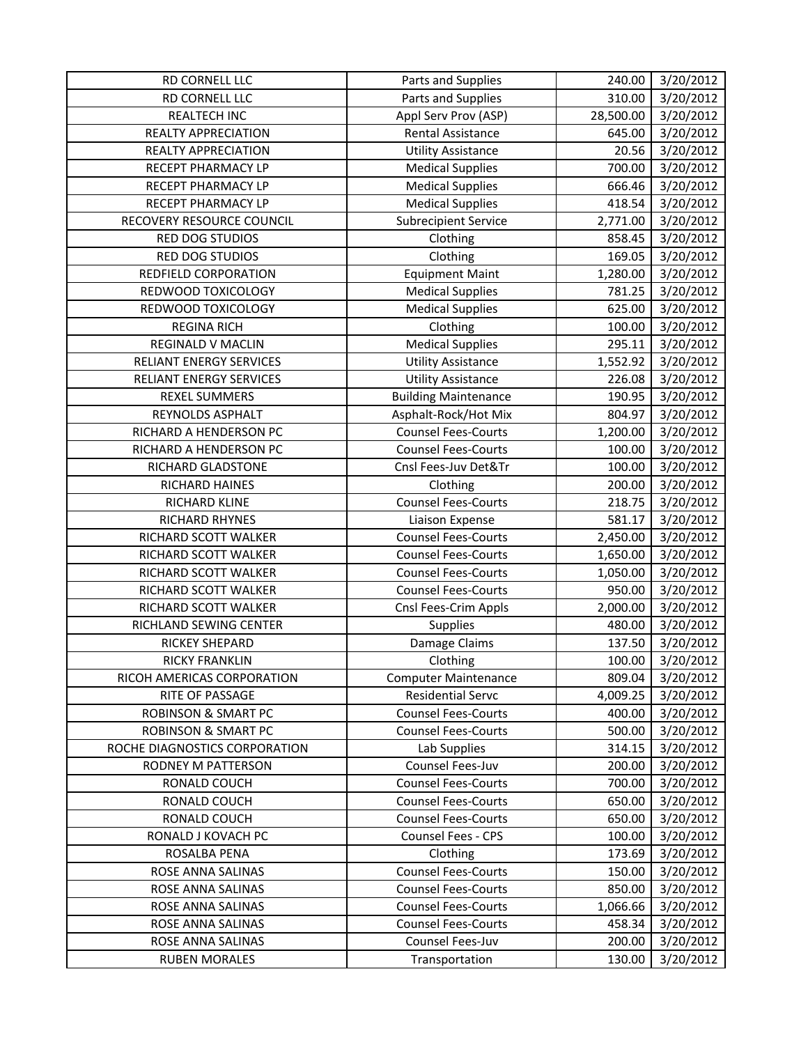| RD CORNELL LLC                 | Parts and Supplies          | 240.00    | 3/20/2012             |
|--------------------------------|-----------------------------|-----------|-----------------------|
| RD CORNELL LLC                 | Parts and Supplies          | 310.00    | 3/20/2012             |
| <b>REALTECH INC</b>            | Appl Serv Prov (ASP)        | 28,500.00 | 3/20/2012             |
| REALTY APPRECIATION            | <b>Rental Assistance</b>    | 645.00    | 3/20/2012             |
| REALTY APPRECIATION            | <b>Utility Assistance</b>   | 20.56     | 3/20/2012             |
| RECEPT PHARMACY LP             | <b>Medical Supplies</b>     | 700.00    | 3/20/2012             |
| RECEPT PHARMACY LP             | <b>Medical Supplies</b>     | 666.46    | 3/20/2012             |
| RECEPT PHARMACY LP             | <b>Medical Supplies</b>     | 418.54    | 3/20/2012             |
| RECOVERY RESOURCE COUNCIL      | <b>Subrecipient Service</b> | 2,771.00  | 3/20/2012             |
| RED DOG STUDIOS                | Clothing                    | 858.45    | 3/20/2012             |
| RED DOG STUDIOS                | Clothing                    | 169.05    | 3/20/2012             |
| REDFIELD CORPORATION           | <b>Equipment Maint</b>      | 1,280.00  | 3/20/2012             |
| REDWOOD TOXICOLOGY             | <b>Medical Supplies</b>     | 781.25    | 3/20/2012             |
| REDWOOD TOXICOLOGY             | <b>Medical Supplies</b>     | 625.00    | 3/20/2012             |
| <b>REGINA RICH</b>             | Clothing                    | 100.00    | 3/20/2012             |
| <b>REGINALD V MACLIN</b>       | <b>Medical Supplies</b>     | 295.11    | 3/20/2012             |
| <b>RELIANT ENERGY SERVICES</b> | <b>Utility Assistance</b>   | 1,552.92  | 3/20/2012             |
| RELIANT ENERGY SERVICES        | <b>Utility Assistance</b>   | 226.08    | 3/20/2012             |
| <b>REXEL SUMMERS</b>           | <b>Building Maintenance</b> | 190.95    | 3/20/2012             |
| REYNOLDS ASPHALT               | Asphalt-Rock/Hot Mix        | 804.97    | 3/20/2012             |
| RICHARD A HENDERSON PC         | <b>Counsel Fees-Courts</b>  | 1,200.00  | $\frac{1}{3}/20/2012$ |
| RICHARD A HENDERSON PC         | <b>Counsel Fees-Courts</b>  | 100.00    | 3/20/2012             |
| RICHARD GLADSTONE              | Cnsl Fees-Juv Det&Tr        | 100.00    | 3/20/2012             |
| RICHARD HAINES                 | Clothing                    | 200.00    | 3/20/2012             |
| RICHARD KLINE                  | <b>Counsel Fees-Courts</b>  | 218.75    | 3/20/2012             |
| RICHARD RHYNES                 | Liaison Expense             | 581.17    | 3/20/2012             |
| RICHARD SCOTT WALKER           | <b>Counsel Fees-Courts</b>  | 2,450.00  | 3/20/2012             |
| RICHARD SCOTT WALKER           | <b>Counsel Fees-Courts</b>  | 1,650.00  | 3/20/2012             |
| RICHARD SCOTT WALKER           | <b>Counsel Fees-Courts</b>  | 1,050.00  | 3/20/2012             |
| RICHARD SCOTT WALKER           | <b>Counsel Fees-Courts</b>  | 950.00    | 3/20/2012             |
| RICHARD SCOTT WALKER           | Cnsl Fees-Crim Appls        | 2,000.00  | 3/20/2012             |
| RICHLAND SEWING CENTER         | Supplies                    | 480.00    | 3/20/2012             |
| <b>RICKEY SHEPARD</b>          | Damage Claims               | 137.50    | 3/20/2012             |
| <b>RICKY FRANKLIN</b>          | Clothing                    | 100.00    | 3/20/2012             |
| RICOH AMERICAS CORPORATION     | <b>Computer Maintenance</b> | 809.04    | 3/20/2012             |
| RITE OF PASSAGE                | <b>Residential Servc</b>    | 4,009.25  | 3/20/2012             |
| <b>ROBINSON &amp; SMART PC</b> | <b>Counsel Fees-Courts</b>  | 400.00    | 3/20/2012             |
| <b>ROBINSON &amp; SMART PC</b> | <b>Counsel Fees-Courts</b>  | 500.00    | 3/20/2012             |
| ROCHE DIAGNOSTICS CORPORATION  | Lab Supplies                | 314.15    | 3/20/2012             |
| <b>RODNEY M PATTERSON</b>      | Counsel Fees-Juv            | 200.00    | 3/20/2012             |
| RONALD COUCH                   | <b>Counsel Fees-Courts</b>  | 700.00    | 3/20/2012             |
| RONALD COUCH                   | <b>Counsel Fees-Courts</b>  | 650.00    | 3/20/2012             |
| RONALD COUCH                   | <b>Counsel Fees-Courts</b>  | 650.00    | 3/20/2012             |
| RONALD J KOVACH PC             | Counsel Fees - CPS          | 100.00    | 3/20/2012             |
| ROSALBA PENA                   | Clothing                    | 173.69    | 3/20/2012             |
| ROSE ANNA SALINAS              | <b>Counsel Fees-Courts</b>  | 150.00    | 3/20/2012             |
| ROSE ANNA SALINAS              | <b>Counsel Fees-Courts</b>  | 850.00    | 3/20/2012             |
| ROSE ANNA SALINAS              | <b>Counsel Fees-Courts</b>  | 1,066.66  | 3/20/2012             |
| ROSE ANNA SALINAS              | <b>Counsel Fees-Courts</b>  | 458.34    | 3/20/2012             |
| ROSE ANNA SALINAS              | Counsel Fees-Juv            | 200.00    | 3/20/2012             |
| <b>RUBEN MORALES</b>           | Transportation              | 130.00    | 3/20/2012             |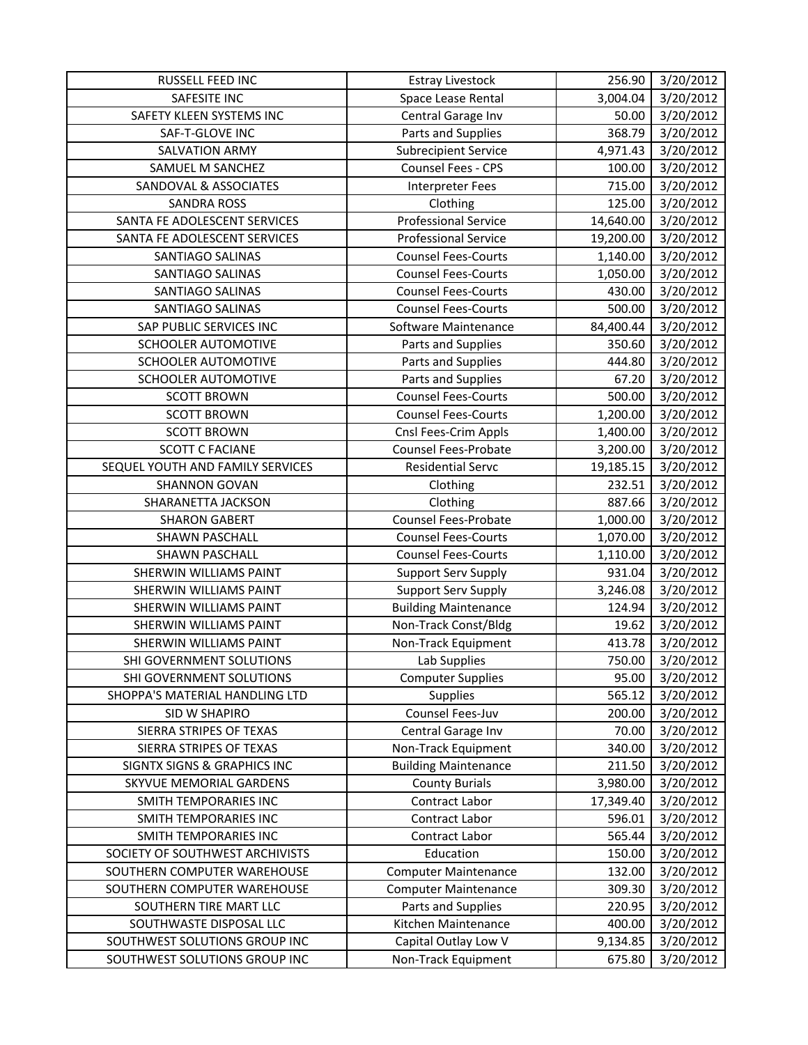| RUSSELL FEED INC                       | <b>Estray Livestock</b>     | 256.90    | 3/20/2012             |
|----------------------------------------|-----------------------------|-----------|-----------------------|
| <b>SAFESITE INC</b>                    | Space Lease Rental          | 3,004.04  | 3/20/2012             |
| SAFETY KLEEN SYSTEMS INC               | Central Garage Inv          | 50.00     | 3/20/2012             |
| SAF-T-GLOVE INC                        | Parts and Supplies          | 368.79    | 3/20/2012             |
| <b>SALVATION ARMY</b>                  | <b>Subrecipient Service</b> | 4,971.43  | 3/20/2012             |
| SAMUEL M SANCHEZ                       | Counsel Fees - CPS          | 100.00    | 3/20/2012             |
| SANDOVAL & ASSOCIATES                  | <b>Interpreter Fees</b>     | 715.00    | 3/20/2012             |
| <b>SANDRA ROSS</b>                     | Clothing                    | 125.00    | 3/20/2012             |
| SANTA FE ADOLESCENT SERVICES           | <b>Professional Service</b> | 14,640.00 | 3/20/2012             |
| SANTA FE ADOLESCENT SERVICES           | <b>Professional Service</b> | 19,200.00 | 3/20/2012             |
| SANTIAGO SALINAS                       | <b>Counsel Fees-Courts</b>  | 1,140.00  | 3/20/2012             |
| SANTIAGO SALINAS                       | <b>Counsel Fees-Courts</b>  | 1,050.00  | 3/20/2012             |
| SANTIAGO SALINAS                       | <b>Counsel Fees-Courts</b>  | 430.00    | 3/20/2012             |
| SANTIAGO SALINAS                       | <b>Counsel Fees-Courts</b>  | 500.00    | 3/20/2012             |
| SAP PUBLIC SERVICES INC                | Software Maintenance        | 84,400.44 | 3/20/2012             |
| SCHOOLER AUTOMOTIVE                    | Parts and Supplies          | 350.60    | 3/20/2012             |
| <b>SCHOOLER AUTOMOTIVE</b>             | Parts and Supplies          | 444.80    | 3/20/2012             |
| SCHOOLER AUTOMOTIVE                    | Parts and Supplies          | 67.20     | 3/20/2012             |
| <b>SCOTT BROWN</b>                     | <b>Counsel Fees-Courts</b>  | 500.00    | 3/20/2012             |
| <b>SCOTT BROWN</b>                     | <b>Counsel Fees-Courts</b>  | 1,200.00  | 3/20/2012             |
| <b>SCOTT BROWN</b>                     | Cnsl Fees-Crim Appls        | 1,400.00  | $\frac{1}{3}/20/2012$ |
| <b>SCOTT C FACIANE</b>                 | <b>Counsel Fees-Probate</b> | 3,200.00  | 3/20/2012             |
| SEQUEL YOUTH AND FAMILY SERVICES       | <b>Residential Servc</b>    | 19,185.15 | 3/20/2012             |
| <b>SHANNON GOVAN</b>                   | Clothing                    | 232.51    | 3/20/2012             |
| SHARANETTA JACKSON                     | Clothing                    | 887.66    | 3/20/2012             |
| <b>SHARON GABERT</b>                   | Counsel Fees-Probate        | 1,000.00  | 3/20/2012             |
| <b>SHAWN PASCHALL</b>                  | <b>Counsel Fees-Courts</b>  | 1,070.00  | 3/20/2012             |
| <b>SHAWN PASCHALL</b>                  | <b>Counsel Fees-Courts</b>  | 1,110.00  | 3/20/2012             |
| SHERWIN WILLIAMS PAINT                 | <b>Support Serv Supply</b>  | 931.04    | 3/20/2012             |
| SHERWIN WILLIAMS PAINT                 | Support Serv Supply         | 3,246.08  | 3/20/2012             |
| <b>SHERWIN WILLIAMS PAINT</b>          | <b>Building Maintenance</b> | 124.94    | 3/20/2012             |
| SHERWIN WILLIAMS PAINT                 | Non-Track Const/Bldg        | 19.62     | 3/20/2012             |
| SHERWIN WILLIAMS PAINT                 | Non-Track Equipment         | 413.78    | 3/20/2012             |
| SHI GOVERNMENT SOLUTIONS               | Lab Supplies                | 750.00    | 3/20/2012             |
| SHI GOVERNMENT SOLUTIONS               | <b>Computer Supplies</b>    | 95.00     | 3/20/2012             |
| SHOPPA'S MATERIAL HANDLING LTD         | Supplies                    | 565.12    | 3/20/2012             |
| SID W SHAPIRO                          | Counsel Fees-Juv            | 200.00    | 3/20/2012             |
| SIERRA STRIPES OF TEXAS                | Central Garage Inv          | 70.00     | 3/20/2012             |
| SIERRA STRIPES OF TEXAS                | Non-Track Equipment         | 340.00    | 3/20/2012             |
| <b>SIGNTX SIGNS &amp; GRAPHICS INC</b> | <b>Building Maintenance</b> | 211.50    | 3/20/2012             |
| SKYVUE MEMORIAL GARDENS                | <b>County Burials</b>       | 3,980.00  | 3/20/2012             |
| SMITH TEMPORARIES INC                  | Contract Labor              | 17,349.40 | 3/20/2012             |
| SMITH TEMPORARIES INC                  | Contract Labor              | 596.01    | 3/20/2012             |
| SMITH TEMPORARIES INC                  | Contract Labor              | 565.44    | 3/20/2012             |
| SOCIETY OF SOUTHWEST ARCHIVISTS        | Education                   | 150.00    | 3/20/2012             |
| SOUTHERN COMPUTER WAREHOUSE            | <b>Computer Maintenance</b> | 132.00    | 3/20/2012             |
| SOUTHERN COMPUTER WAREHOUSE            | <b>Computer Maintenance</b> | 309.30    | 3/20/2012             |
| SOUTHERN TIRE MART LLC                 | Parts and Supplies          | 220.95    | 3/20/2012             |
| SOUTHWASTE DISPOSAL LLC                | Kitchen Maintenance         | 400.00    | 3/20/2012             |
| SOUTHWEST SOLUTIONS GROUP INC          | Capital Outlay Low V        | 9,134.85  | 3/20/2012             |
| SOUTHWEST SOLUTIONS GROUP INC          | Non-Track Equipment         | 675.80    | 3/20/2012             |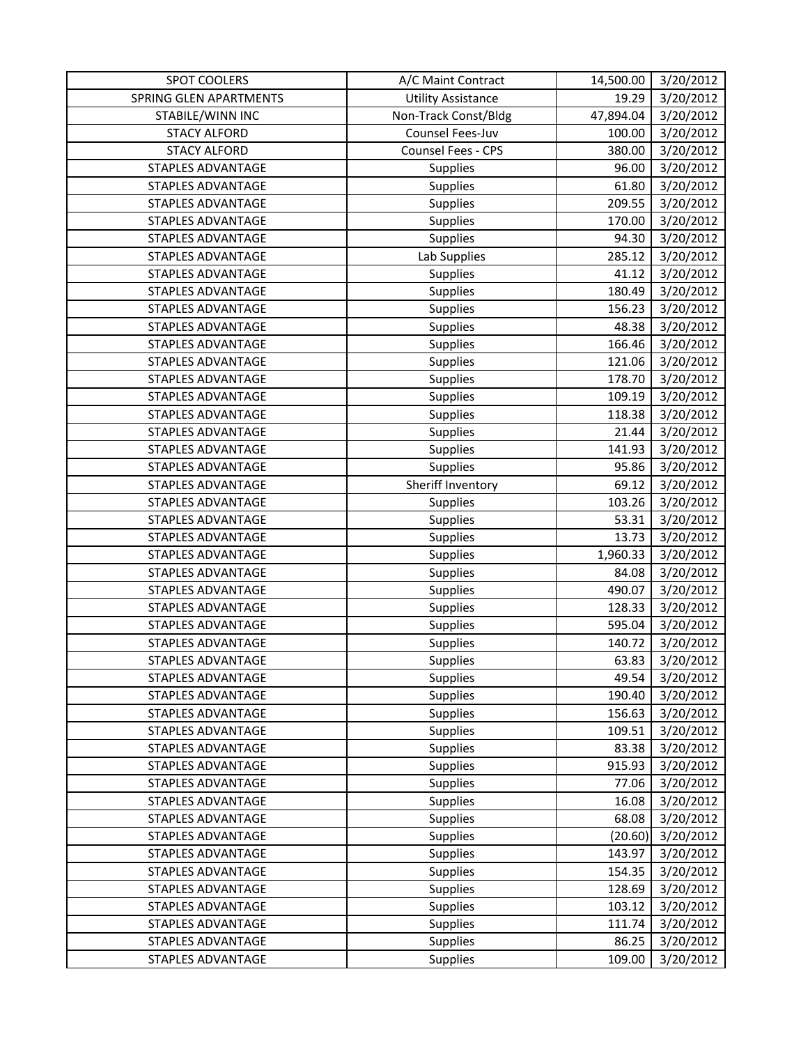| <b>SPOT COOLERS</b>      | A/C Maint Contract        | 14,500.00 | 3/20/2012             |
|--------------------------|---------------------------|-----------|-----------------------|
| SPRING GLEN APARTMENTS   | <b>Utility Assistance</b> | 19.29     | 3/20/2012             |
| STABILE/WINN INC         | Non-Track Const/Bldg      | 47,894.04 | 3/20/2012             |
| <b>STACY ALFORD</b>      | Counsel Fees-Juv          | 100.00    | 3/20/2012             |
| <b>STACY ALFORD</b>      | Counsel Fees - CPS        | 380.00    | 3/20/2012             |
| STAPLES ADVANTAGE        | <b>Supplies</b>           | 96.00     | 3/20/2012             |
| <b>STAPLES ADVANTAGE</b> | Supplies                  | 61.80     | 3/20/2012             |
| <b>STAPLES ADVANTAGE</b> | Supplies                  | 209.55    | 3/20/2012             |
| STAPLES ADVANTAGE        | Supplies                  | 170.00    | 3/20/2012             |
| <b>STAPLES ADVANTAGE</b> | Supplies                  | 94.30     | 3/20/2012             |
| <b>STAPLES ADVANTAGE</b> | Lab Supplies              | 285.12    | 3/20/2012             |
| <b>STAPLES ADVANTAGE</b> | Supplies                  | 41.12     | $\frac{1}{3}/20/2012$ |
| <b>STAPLES ADVANTAGE</b> | Supplies                  | 180.49    | 3/20/2012             |
| <b>STAPLES ADVANTAGE</b> | <b>Supplies</b>           | 156.23    | 3/20/2012             |
| <b>STAPLES ADVANTAGE</b> | <b>Supplies</b>           | 48.38     | 3/20/2012             |
| <b>STAPLES ADVANTAGE</b> | Supplies                  | 166.46    | 3/20/2012             |
| <b>STAPLES ADVANTAGE</b> | Supplies                  | 121.06    | 3/20/2012             |
| STAPLES ADVANTAGE        | Supplies                  | 178.70    | 3/20/2012             |
| <b>STAPLES ADVANTAGE</b> | Supplies                  | 109.19    | 3/20/2012             |
| STAPLES ADVANTAGE        | <b>Supplies</b>           | 118.38    | 3/20/2012             |
| <b>STAPLES ADVANTAGE</b> | Supplies                  | 21.44     | 3/20/2012             |
| <b>STAPLES ADVANTAGE</b> | Supplies                  | 141.93    | 3/20/2012             |
| <b>STAPLES ADVANTAGE</b> | Supplies                  | 95.86     | 3/20/2012             |
| <b>STAPLES ADVANTAGE</b> | Sheriff Inventory         | 69.12     | 3/20/2012             |
| <b>STAPLES ADVANTAGE</b> | Supplies                  | 103.26    | 3/20/2012             |
| <b>STAPLES ADVANTAGE</b> | <b>Supplies</b>           | 53.31     | 3/20/2012             |
| STAPLES ADVANTAGE        | <b>Supplies</b>           | 13.73     | 3/20/2012             |
| <b>STAPLES ADVANTAGE</b> | <b>Supplies</b>           | 1,960.33  | 3/20/2012             |
| STAPLES ADVANTAGE        | Supplies                  | 84.08     | 3/20/2012             |
| <b>STAPLES ADVANTAGE</b> | <b>Supplies</b>           | 490.07    | 3/20/2012             |
| <b>STAPLES ADVANTAGE</b> | Supplies                  | 128.33    | 3/20/2012             |
| <b>STAPLES ADVANTAGE</b> | Supplies                  | 595.04    | 3/20/2012             |
| <b>STAPLES ADVANTAGE</b> | Supplies                  | 140.72    | 3/20/2012             |
| STAPLES ADVANTAGE        | Supplies                  | 63.83     | 3/20/2012             |
| <b>STAPLES ADVANTAGE</b> | <b>Supplies</b>           | 49.54     | 3/20/2012             |
| STAPLES ADVANTAGE        | <b>Supplies</b>           | 190.40    | 3/20/2012             |
| <b>STAPLES ADVANTAGE</b> | Supplies                  | 156.63    | 3/20/2012             |
| <b>STAPLES ADVANTAGE</b> | <b>Supplies</b>           | 109.51    | 3/20/2012             |
| <b>STAPLES ADVANTAGE</b> | <b>Supplies</b>           | 83.38     | 3/20/2012             |
| <b>STAPLES ADVANTAGE</b> | Supplies                  | 915.93    | 3/20/2012             |
| STAPLES ADVANTAGE        | <b>Supplies</b>           | 77.06     | 3/20/2012             |
| STAPLES ADVANTAGE        | <b>Supplies</b>           | 16.08     | 3/20/2012             |
| <b>STAPLES ADVANTAGE</b> | <b>Supplies</b>           | 68.08     | 3/20/2012             |
| <b>STAPLES ADVANTAGE</b> | <b>Supplies</b>           | (20.60)   | 3/20/2012             |
| STAPLES ADVANTAGE        | <b>Supplies</b>           | 143.97    | 3/20/2012             |
| <b>STAPLES ADVANTAGE</b> | <b>Supplies</b>           | 154.35    | 3/20/2012             |
| STAPLES ADVANTAGE        | <b>Supplies</b>           | 128.69    | 3/20/2012             |
| <b>STAPLES ADVANTAGE</b> | <b>Supplies</b>           | 103.12    | 3/20/2012             |
| <b>STAPLES ADVANTAGE</b> | Supplies                  | 111.74    | 3/20/2012             |
| STAPLES ADVANTAGE        | <b>Supplies</b>           | 86.25     | 3/20/2012             |
| STAPLES ADVANTAGE        | Supplies                  | 109.00    | 3/20/2012             |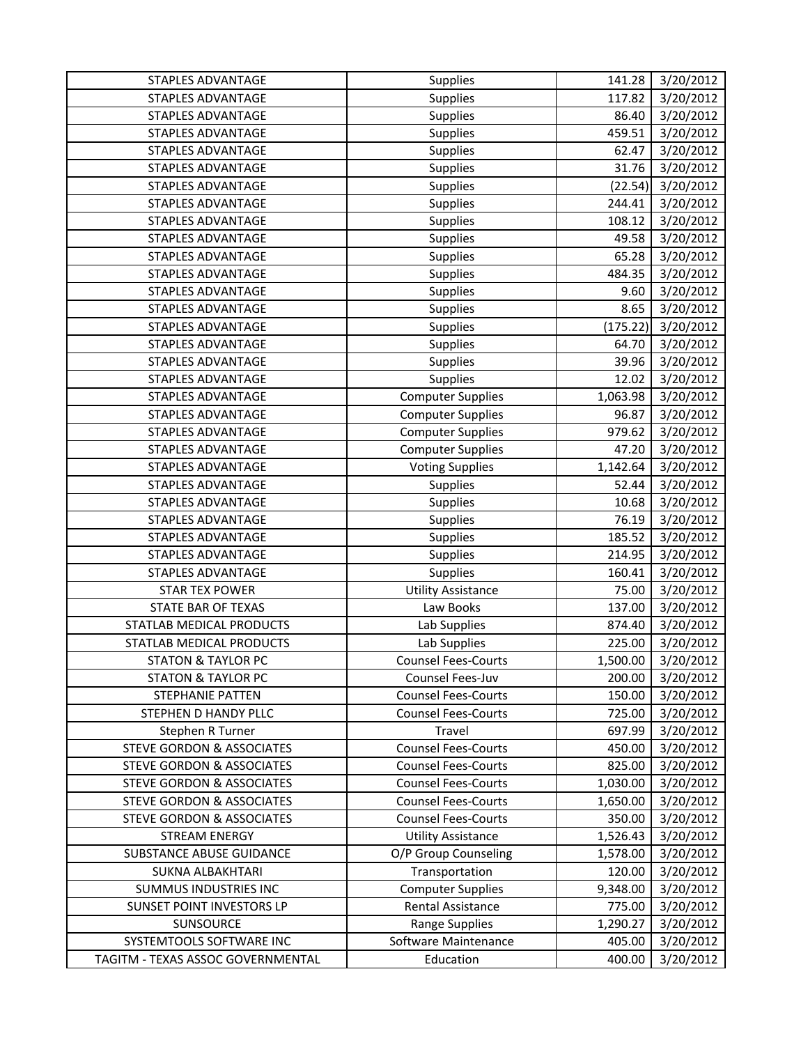| STAPLES ADVANTAGE                    | <b>Supplies</b>            | 141.28   | 3/20/2012 |
|--------------------------------------|----------------------------|----------|-----------|
| STAPLES ADVANTAGE                    | Supplies                   | 117.82   | 3/20/2012 |
| <b>STAPLES ADVANTAGE</b>             | Supplies                   | 86.40    | 3/20/2012 |
| <b>STAPLES ADVANTAGE</b>             | Supplies                   | 459.51   | 3/20/2012 |
| <b>STAPLES ADVANTAGE</b>             | Supplies                   | 62.47    | 3/20/2012 |
| <b>STAPLES ADVANTAGE</b>             | <b>Supplies</b>            | 31.76    | 3/20/2012 |
| <b>STAPLES ADVANTAGE</b>             | Supplies                   | (22.54)  | 3/20/2012 |
| <b>STAPLES ADVANTAGE</b>             | Supplies                   | 244.41   | 3/20/2012 |
| STAPLES ADVANTAGE                    | Supplies                   | 108.12   | 3/20/2012 |
| <b>STAPLES ADVANTAGE</b>             | Supplies                   | 49.58    | 3/20/2012 |
| <b>STAPLES ADVANTAGE</b>             | Supplies                   | 65.28    | 3/20/2012 |
| <b>STAPLES ADVANTAGE</b>             | <b>Supplies</b>            | 484.35   | 3/20/2012 |
| <b>STAPLES ADVANTAGE</b>             | Supplies                   | 9.60     | 3/20/2012 |
| <b>STAPLES ADVANTAGE</b>             | <b>Supplies</b>            | 8.65     | 3/20/2012 |
| <b>STAPLES ADVANTAGE</b>             | <b>Supplies</b>            | (175.22) | 3/20/2012 |
| <b>STAPLES ADVANTAGE</b>             | Supplies                   | 64.70    | 3/20/2012 |
| <b>STAPLES ADVANTAGE</b>             | Supplies                   | 39.96    | 3/20/2012 |
| <b>STAPLES ADVANTAGE</b>             | Supplies                   | 12.02    | 3/20/2012 |
| <b>STAPLES ADVANTAGE</b>             | <b>Computer Supplies</b>   | 1,063.98 | 3/20/2012 |
| STAPLES ADVANTAGE                    | <b>Computer Supplies</b>   | 96.87    | 3/20/2012 |
| <b>STAPLES ADVANTAGE</b>             | <b>Computer Supplies</b>   | 979.62   | 3/20/2012 |
| <b>STAPLES ADVANTAGE</b>             | <b>Computer Supplies</b>   | 47.20    | 3/20/2012 |
| <b>STAPLES ADVANTAGE</b>             | <b>Voting Supplies</b>     | 1,142.64 | 3/20/2012 |
| <b>STAPLES ADVANTAGE</b>             | <b>Supplies</b>            | 52.44    | 3/20/2012 |
| <b>STAPLES ADVANTAGE</b>             | Supplies                   | 10.68    | 3/20/2012 |
| <b>STAPLES ADVANTAGE</b>             | <b>Supplies</b>            | 76.19    | 3/20/2012 |
| STAPLES ADVANTAGE                    | Supplies                   | 185.52   | 3/20/2012 |
| STAPLES ADVANTAGE                    | <b>Supplies</b>            | 214.95   | 3/20/2012 |
| STAPLES ADVANTAGE                    | <b>Supplies</b>            | 160.41   | 3/20/2012 |
| <b>STAR TEX POWER</b>                | <b>Utility Assistance</b>  | 75.00    | 3/20/2012 |
| STATE BAR OF TEXAS                   | Law Books                  | 137.00   | 3/20/2012 |
| STATLAB MEDICAL PRODUCTS             | Lab Supplies               | 874.40   | 3/20/2012 |
| STATLAB MEDICAL PRODUCTS             | Lab Supplies               | 225.00   | 3/20/2012 |
| <b>STATON &amp; TAYLOR PC</b>        | <b>Counsel Fees-Courts</b> | 1,500.00 | 3/20/2012 |
| <b>STATON &amp; TAYLOR PC</b>        | Counsel Fees-Juv           | 200.00   | 3/20/2012 |
| STEPHANIE PATTEN                     | <b>Counsel Fees-Courts</b> | 150.00   | 3/20/2012 |
| STEPHEN D HANDY PLLC                 | <b>Counsel Fees-Courts</b> | 725.00   | 3/20/2012 |
| Stephen R Turner                     | Travel                     | 697.99   | 3/20/2012 |
| <b>STEVE GORDON &amp; ASSOCIATES</b> | <b>Counsel Fees-Courts</b> | 450.00   | 3/20/2012 |
| <b>STEVE GORDON &amp; ASSOCIATES</b> | <b>Counsel Fees-Courts</b> | 825.00   | 3/20/2012 |
| <b>STEVE GORDON &amp; ASSOCIATES</b> | <b>Counsel Fees-Courts</b> | 1,030.00 | 3/20/2012 |
| <b>STEVE GORDON &amp; ASSOCIATES</b> | <b>Counsel Fees-Courts</b> | 1,650.00 | 3/20/2012 |
| <b>STEVE GORDON &amp; ASSOCIATES</b> | <b>Counsel Fees-Courts</b> | 350.00   | 3/20/2012 |
| <b>STREAM ENERGY</b>                 | <b>Utility Assistance</b>  | 1,526.43 | 3/20/2012 |
| SUBSTANCE ABUSE GUIDANCE             | O/P Group Counseling       | 1,578.00 | 3/20/2012 |
| SUKNA ALBAKHTARI                     | Transportation             | 120.00   | 3/20/2012 |
| <b>SUMMUS INDUSTRIES INC</b>         | <b>Computer Supplies</b>   | 9,348.00 | 3/20/2012 |
| SUNSET POINT INVESTORS LP            | Rental Assistance          | 775.00   | 3/20/2012 |
| <b>SUNSOURCE</b>                     | Range Supplies             | 1,290.27 | 3/20/2012 |
| SYSTEMTOOLS SOFTWARE INC             | Software Maintenance       | 405.00   | 3/20/2012 |
| TAGITM - TEXAS ASSOC GOVERNMENTAL    | Education                  | 400.00   | 3/20/2012 |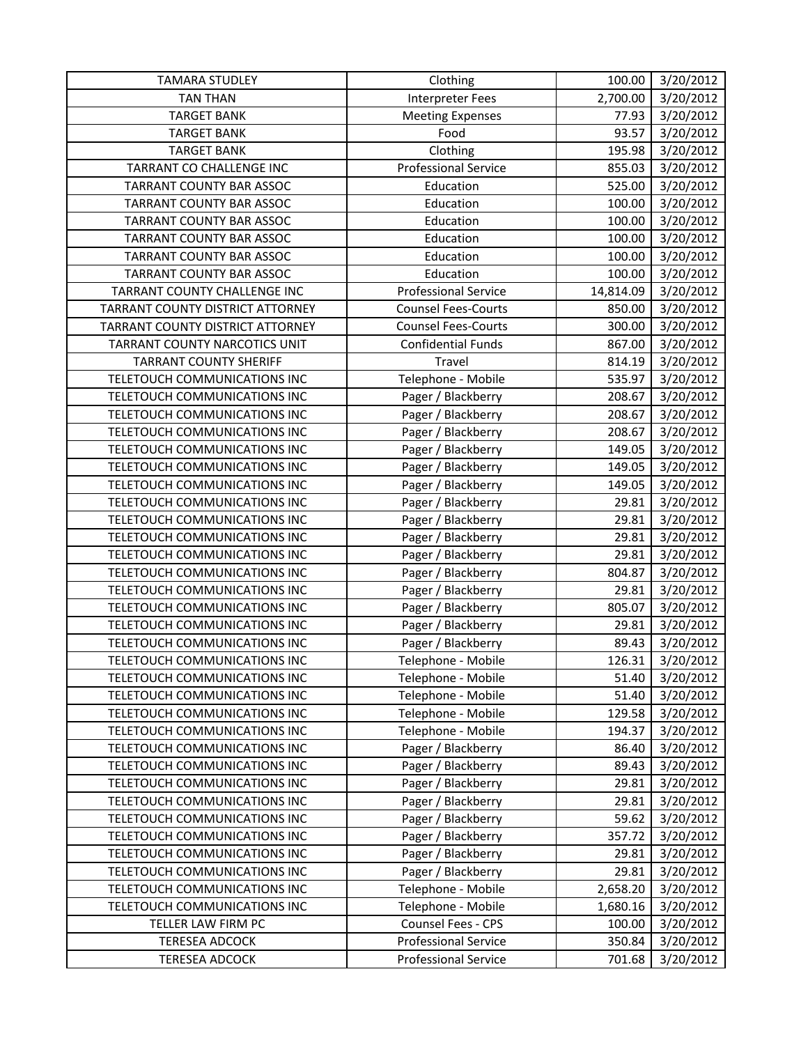| <b>TAMARA STUDLEY</b>            | Clothing                    | 100.00    | 3/20/2012 |
|----------------------------------|-----------------------------|-----------|-----------|
| <b>TAN THAN</b>                  | <b>Interpreter Fees</b>     | 2,700.00  | 3/20/2012 |
| <b>TARGET BANK</b>               | <b>Meeting Expenses</b>     | 77.93     | 3/20/2012 |
| <b>TARGET BANK</b>               | Food                        | 93.57     | 3/20/2012 |
| <b>TARGET BANK</b>               | Clothing                    | 195.98    | 3/20/2012 |
| TARRANT CO CHALLENGE INC         | <b>Professional Service</b> | 855.03    | 3/20/2012 |
| TARRANT COUNTY BAR ASSOC         | Education                   | 525.00    | 3/20/2012 |
| TARRANT COUNTY BAR ASSOC         | Education                   | 100.00    | 3/20/2012 |
| <b>TARRANT COUNTY BAR ASSOC</b>  | Education                   | 100.00    | 3/20/2012 |
| <b>TARRANT COUNTY BAR ASSOC</b>  | Education                   | 100.00    | 3/20/2012 |
| TARRANT COUNTY BAR ASSOC         | Education                   | 100.00    | 3/20/2012 |
| TARRANT COUNTY BAR ASSOC         | Education                   | 100.00    | 3/20/2012 |
| TARRANT COUNTY CHALLENGE INC     | <b>Professional Service</b> | 14,814.09 | 3/20/2012 |
| TARRANT COUNTY DISTRICT ATTORNEY | <b>Counsel Fees-Courts</b>  | 850.00    | 3/20/2012 |
| TARRANT COUNTY DISTRICT ATTORNEY | <b>Counsel Fees-Courts</b>  | 300.00    | 3/20/2012 |
| TARRANT COUNTY NARCOTICS UNIT    | Confidential Funds          | 867.00    | 3/20/2012 |
| <b>TARRANT COUNTY SHERIFF</b>    | Travel                      | 814.19    | 3/20/2012 |
| TELETOUCH COMMUNICATIONS INC     | Telephone - Mobile          | 535.97    | 3/20/2012 |
| TELETOUCH COMMUNICATIONS INC     | Pager / Blackberry          | 208.67    | 3/20/2012 |
| TELETOUCH COMMUNICATIONS INC     | Pager / Blackberry          | 208.67    | 3/20/2012 |
| TELETOUCH COMMUNICATIONS INC     | Pager / Blackberry          | 208.67    | 3/20/2012 |
| TELETOUCH COMMUNICATIONS INC     | Pager / Blackberry          | 149.05    | 3/20/2012 |
| TELETOUCH COMMUNICATIONS INC     | Pager / Blackberry          | 149.05    | 3/20/2012 |
| TELETOUCH COMMUNICATIONS INC     | Pager / Blackberry          | 149.05    | 3/20/2012 |
| TELETOUCH COMMUNICATIONS INC     | Pager / Blackberry          | 29.81     | 3/20/2012 |
| TELETOUCH COMMUNICATIONS INC     | Pager / Blackberry          | 29.81     | 3/20/2012 |
| TELETOUCH COMMUNICATIONS INC     | Pager / Blackberry          | 29.81     | 3/20/2012 |
| TELETOUCH COMMUNICATIONS INC     | Pager / Blackberry          | 29.81     | 3/20/2012 |
| TELETOUCH COMMUNICATIONS INC     | Pager / Blackberry          | 804.87    | 3/20/2012 |
| TELETOUCH COMMUNICATIONS INC     | Pager / Blackberry          | 29.81     | 3/20/2012 |
| TELETOUCH COMMUNICATIONS INC     | Pager / Blackberry          | 805.07    | 3/20/2012 |
| TELETOUCH COMMUNICATIONS INC     | Pager / Blackberry          | 29.81     | 3/20/2012 |
| TELETOUCH COMMUNICATIONS INC     | Pager / Blackberry          | 89.43     | 3/20/2012 |
| TELETOUCH COMMUNICATIONS INC     | Telephone - Mobile          | 126.31    | 3/20/2012 |
| TELETOUCH COMMUNICATIONS INC     | Telephone - Mobile          | 51.40     | 3/20/2012 |
| TELETOUCH COMMUNICATIONS INC     | Telephone - Mobile          | 51.40     | 3/20/2012 |
| TELETOUCH COMMUNICATIONS INC     | Telephone - Mobile          | 129.58    | 3/20/2012 |
| TELETOUCH COMMUNICATIONS INC     | Telephone - Mobile          | 194.37    | 3/20/2012 |
| TELETOUCH COMMUNICATIONS INC     | Pager / Blackberry          | 86.40     | 3/20/2012 |
| TELETOUCH COMMUNICATIONS INC     | Pager / Blackberry          | 89.43     | 3/20/2012 |
| TELETOUCH COMMUNICATIONS INC     | Pager / Blackberry          | 29.81     | 3/20/2012 |
| TELETOUCH COMMUNICATIONS INC     | Pager / Blackberry          | 29.81     | 3/20/2012 |
| TELETOUCH COMMUNICATIONS INC     | Pager / Blackberry          | 59.62     | 3/20/2012 |
| TELETOUCH COMMUNICATIONS INC     | Pager / Blackberry          | 357.72    | 3/20/2012 |
| TELETOUCH COMMUNICATIONS INC     | Pager / Blackberry          | 29.81     | 3/20/2012 |
| TELETOUCH COMMUNICATIONS INC     | Pager / Blackberry          | 29.81     | 3/20/2012 |
| TELETOUCH COMMUNICATIONS INC     | Telephone - Mobile          | 2,658.20  | 3/20/2012 |
| TELETOUCH COMMUNICATIONS INC     | Telephone - Mobile          | 1,680.16  | 3/20/2012 |
| TELLER LAW FIRM PC               | Counsel Fees - CPS          | 100.00    | 3/20/2012 |
| <b>TERESEA ADCOCK</b>            | <b>Professional Service</b> | 350.84    | 3/20/2012 |
| <b>TERESEA ADCOCK</b>            | <b>Professional Service</b> | 701.68    | 3/20/2012 |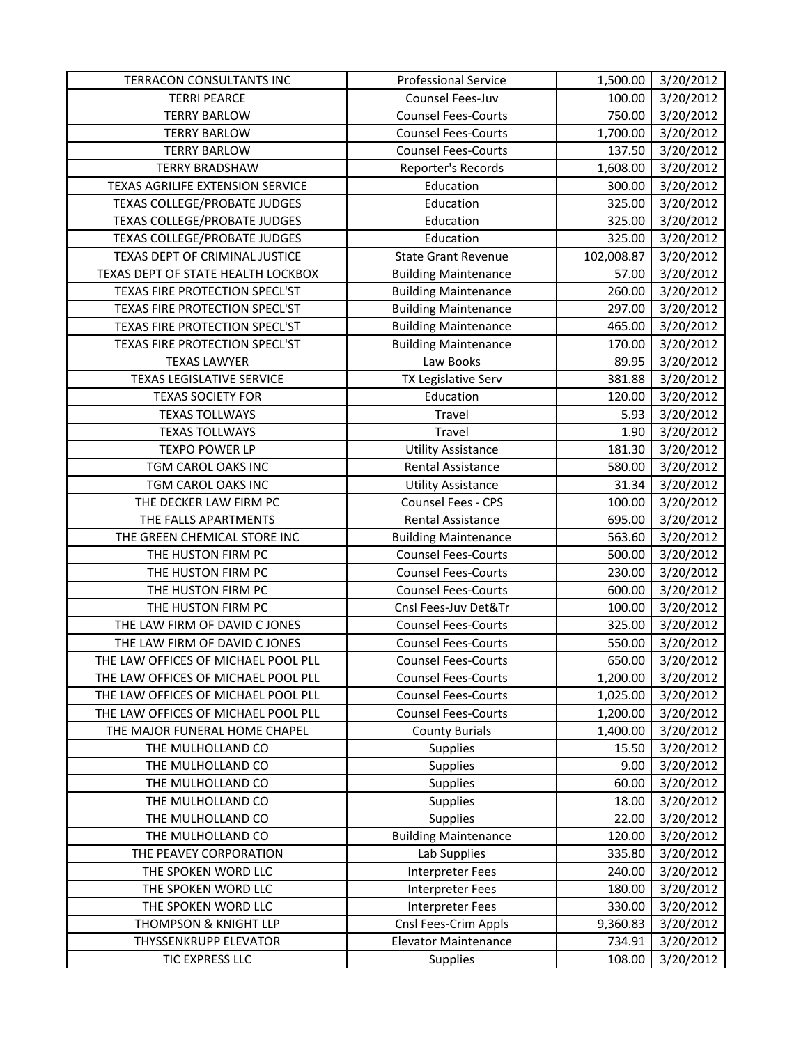| TERRACON CONSULTANTS INC            | <b>Professional Service</b> | 1,500.00   | 3/20/2012 |
|-------------------------------------|-----------------------------|------------|-----------|
| <b>TERRI PEARCE</b>                 | Counsel Fees-Juv            | 100.00     | 3/20/2012 |
| <b>TERRY BARLOW</b>                 | <b>Counsel Fees-Courts</b>  | 750.00     | 3/20/2012 |
| <b>TERRY BARLOW</b>                 | <b>Counsel Fees-Courts</b>  | 1,700.00   | 3/20/2012 |
| <b>TERRY BARLOW</b>                 | <b>Counsel Fees-Courts</b>  | 137.50     | 3/20/2012 |
| <b>TERRY BRADSHAW</b>               | Reporter's Records          | 1,608.00   | 3/20/2012 |
| TEXAS AGRILIFE EXTENSION SERVICE    | Education                   | 300.00     | 3/20/2012 |
| TEXAS COLLEGE/PROBATE JUDGES        | Education                   | 325.00     | 3/20/2012 |
| TEXAS COLLEGE/PROBATE JUDGES        | Education                   | 325.00     | 3/20/2012 |
| <b>TEXAS COLLEGE/PROBATE JUDGES</b> | Education                   | 325.00     | 3/20/2012 |
| TEXAS DEPT OF CRIMINAL JUSTICE      | <b>State Grant Revenue</b>  | 102,008.87 | 3/20/2012 |
| TEXAS DEPT OF STATE HEALTH LOCKBOX  | <b>Building Maintenance</b> | 57.00      | 3/20/2012 |
| TEXAS FIRE PROTECTION SPECL'ST      | <b>Building Maintenance</b> | 260.00     | 3/20/2012 |
| TEXAS FIRE PROTECTION SPECL'ST      | <b>Building Maintenance</b> | 297.00     | 3/20/2012 |
| TEXAS FIRE PROTECTION SPECL'ST      | <b>Building Maintenance</b> | 465.00     | 3/20/2012 |
| TEXAS FIRE PROTECTION SPECL'ST      | <b>Building Maintenance</b> | 170.00     | 3/20/2012 |
| <b>TEXAS LAWYER</b>                 | Law Books                   | 89.95      | 3/20/2012 |
| <b>TEXAS LEGISLATIVE SERVICE</b>    | TX Legislative Serv         | 381.88     | 3/20/2012 |
| <b>TEXAS SOCIETY FOR</b>            | Education                   | 120.00     | 3/20/2012 |
| <b>TEXAS TOLLWAYS</b>               | Travel                      | 5.93       | 3/20/2012 |
| <b>TEXAS TOLLWAYS</b>               | Travel                      | 1.90       | 3/20/2012 |
| <b>TEXPO POWER LP</b>               | <b>Utility Assistance</b>   | 181.30     | 3/20/2012 |
| TGM CAROL OAKS INC                  | Rental Assistance           | 580.00     | 3/20/2012 |
| TGM CAROL OAKS INC                  | <b>Utility Assistance</b>   | 31.34      | 3/20/2012 |
| THE DECKER LAW FIRM PC              | Counsel Fees - CPS          | 100.00     | 3/20/2012 |
| THE FALLS APARTMENTS                | Rental Assistance           | 695.00     | 3/20/2012 |
| THE GREEN CHEMICAL STORE INC        | <b>Building Maintenance</b> | 563.60     | 3/20/2012 |
| THE HUSTON FIRM PC                  | <b>Counsel Fees-Courts</b>  | 500.00     | 3/20/2012 |
| THE HUSTON FIRM PC                  | <b>Counsel Fees-Courts</b>  | 230.00     | 3/20/2012 |
| THE HUSTON FIRM PC                  | <b>Counsel Fees-Courts</b>  | 600.00     | 3/20/2012 |
| THE HUSTON FIRM PC                  | Cnsl Fees-Juv Det&Tr        | 100.00     | 3/20/2012 |
| THE LAW FIRM OF DAVID C JONES       | <b>Counsel Fees-Courts</b>  | 325.00     | 3/20/2012 |
| THE LAW FIRM OF DAVID C JONES       | <b>Counsel Fees-Courts</b>  | 550.00     | 3/20/2012 |
| THE LAW OFFICES OF MICHAEL POOL PLL | <b>Counsel Fees-Courts</b>  | 650.00     | 3/20/2012 |
| THE LAW OFFICES OF MICHAEL POOL PLL | <b>Counsel Fees-Courts</b>  | 1,200.00   | 3/20/2012 |
| THE LAW OFFICES OF MICHAEL POOL PLL | <b>Counsel Fees-Courts</b>  | 1,025.00   | 3/20/2012 |
| THE LAW OFFICES OF MICHAEL POOL PLL | <b>Counsel Fees-Courts</b>  | 1,200.00   | 3/20/2012 |
| THE MAJOR FUNERAL HOME CHAPEL       | <b>County Burials</b>       | 1,400.00   | 3/20/2012 |
| THE MULHOLLAND CO                   | Supplies                    | 15.50      | 3/20/2012 |
| THE MULHOLLAND CO                   | <b>Supplies</b>             | 9.00       | 3/20/2012 |
| THE MULHOLLAND CO                   | <b>Supplies</b>             | 60.00      | 3/20/2012 |
| THE MULHOLLAND CO                   | <b>Supplies</b>             | 18.00      | 3/20/2012 |
| THE MULHOLLAND CO                   | <b>Supplies</b>             | 22.00      | 3/20/2012 |
| THE MULHOLLAND CO                   | <b>Building Maintenance</b> | 120.00     | 3/20/2012 |
| THE PEAVEY CORPORATION              | Lab Supplies                | 335.80     | 3/20/2012 |
| THE SPOKEN WORD LLC                 | Interpreter Fees            | 240.00     | 3/20/2012 |
| THE SPOKEN WORD LLC                 | Interpreter Fees            | 180.00     | 3/20/2012 |
| THE SPOKEN WORD LLC                 | <b>Interpreter Fees</b>     | 330.00     | 3/20/2012 |
| THOMPSON & KNIGHT LLP               | Cnsl Fees-Crim Appls        | 9,360.83   | 3/20/2012 |
| THYSSENKRUPP ELEVATOR               | <b>Elevator Maintenance</b> | 734.91     | 3/20/2012 |
| TIC EXPRESS LLC                     | Supplies                    | 108.00     | 3/20/2012 |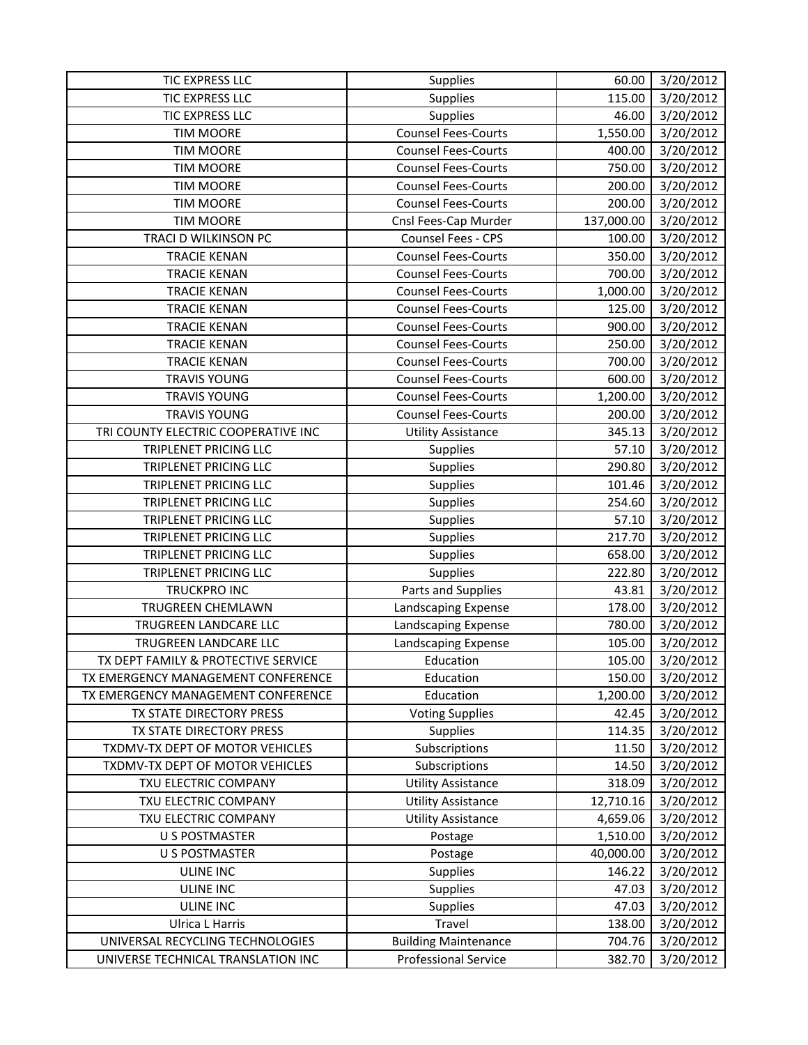| TIC EXPRESS LLC                     | Supplies                    | 60.00      | 3/20/2012 |
|-------------------------------------|-----------------------------|------------|-----------|
| TIC EXPRESS LLC                     | Supplies                    | 115.00     | 3/20/2012 |
| TIC EXPRESS LLC                     | Supplies                    | 46.00      | 3/20/2012 |
| <b>TIM MOORE</b>                    | <b>Counsel Fees-Courts</b>  | 1,550.00   | 3/20/2012 |
| <b>TIM MOORE</b>                    | <b>Counsel Fees-Courts</b>  | 400.00     | 3/20/2012 |
| <b>TIM MOORE</b>                    | <b>Counsel Fees-Courts</b>  | 750.00     | 3/20/2012 |
| <b>TIM MOORE</b>                    | <b>Counsel Fees-Courts</b>  | 200.00     | 3/20/2012 |
| <b>TIM MOORE</b>                    | <b>Counsel Fees-Courts</b>  | 200.00     | 3/20/2012 |
| <b>TIM MOORE</b>                    | Cnsl Fees-Cap Murder        | 137,000.00 | 3/20/2012 |
| TRACI D WILKINSON PC                | Counsel Fees - CPS          | 100.00     | 3/20/2012 |
| <b>TRACIE KENAN</b>                 | <b>Counsel Fees-Courts</b>  | 350.00     | 3/20/2012 |
| <b>TRACIE KENAN</b>                 | <b>Counsel Fees-Courts</b>  | 700.00     | 3/20/2012 |
| <b>TRACIE KENAN</b>                 | <b>Counsel Fees-Courts</b>  | 1,000.00   | 3/20/2012 |
| <b>TRACIE KENAN</b>                 | <b>Counsel Fees-Courts</b>  | 125.00     | 3/20/2012 |
| <b>TRACIE KENAN</b>                 | <b>Counsel Fees-Courts</b>  | 900.00     | 3/20/2012 |
| <b>TRACIE KENAN</b>                 | <b>Counsel Fees-Courts</b>  | 250.00     | 3/20/2012 |
| <b>TRACIE KENAN</b>                 | <b>Counsel Fees-Courts</b>  | 700.00     | 3/20/2012 |
| <b>TRAVIS YOUNG</b>                 | <b>Counsel Fees-Courts</b>  | 600.00     | 3/20/2012 |
| <b>TRAVIS YOUNG</b>                 | <b>Counsel Fees-Courts</b>  | 1,200.00   | 3/20/2012 |
| <b>TRAVIS YOUNG</b>                 | <b>Counsel Fees-Courts</b>  | 200.00     | 3/20/2012 |
| TRI COUNTY ELECTRIC COOPERATIVE INC | <b>Utility Assistance</b>   | 345.13     | 3/20/2012 |
| TRIPLENET PRICING LLC               | Supplies                    | 57.10      | 3/20/2012 |
| TRIPLENET PRICING LLC               | Supplies                    | 290.80     | 3/20/2012 |
| TRIPLENET PRICING LLC               | Supplies                    | 101.46     | 3/20/2012 |
| <b>TRIPLENET PRICING LLC</b>        | Supplies                    | 254.60     | 3/20/2012 |
| TRIPLENET PRICING LLC               | Supplies                    | 57.10      | 3/20/2012 |
| TRIPLENET PRICING LLC               | Supplies                    | 217.70     | 3/20/2012 |
| TRIPLENET PRICING LLC               | Supplies                    | 658.00     | 3/20/2012 |
| TRIPLENET PRICING LLC               | Supplies                    | 222.80     | 3/20/2012 |
| <b>TRUCKPRO INC</b>                 | Parts and Supplies          | 43.81      | 3/20/2012 |
| <b>TRUGREEN CHEMLAWN</b>            | Landscaping Expense         | 178.00     | 3/20/2012 |
| TRUGREEN LANDCARE LLC               | Landscaping Expense         | 780.00     | 3/20/2012 |
| TRUGREEN LANDCARE LLC               | Landscaping Expense         | 105.00     | 3/20/2012 |
| TX DEPT FAMILY & PROTECTIVE SERVICE | Education                   | 105.00     | 3/20/2012 |
| TX EMERGENCY MANAGEMENT CONFERENCE  | Education                   | 150.00     | 3/20/2012 |
| TX EMERGENCY MANAGEMENT CONFERENCE  | Education                   | 1,200.00   | 3/20/2012 |
| TX STATE DIRECTORY PRESS            | <b>Voting Supplies</b>      | 42.45      | 3/20/2012 |
| TX STATE DIRECTORY PRESS            | Supplies                    | 114.35     | 3/20/2012 |
| TXDMV-TX DEPT OF MOTOR VEHICLES     | Subscriptions               | 11.50      | 3/20/2012 |
| TXDMV-TX DEPT OF MOTOR VEHICLES     | Subscriptions               | 14.50      | 3/20/2012 |
| TXU ELECTRIC COMPANY                | <b>Utility Assistance</b>   | 318.09     | 3/20/2012 |
| TXU ELECTRIC COMPANY                | <b>Utility Assistance</b>   | 12,710.16  | 3/20/2012 |
| TXU ELECTRIC COMPANY                | <b>Utility Assistance</b>   | 4,659.06   | 3/20/2012 |
| <b>U S POSTMASTER</b>               | Postage                     | 1,510.00   | 3/20/2012 |
| <b>U S POSTMASTER</b>               | Postage                     | 40,000.00  | 3/20/2012 |
| <b>ULINE INC</b>                    | <b>Supplies</b>             | 146.22     | 3/20/2012 |
| <b>ULINE INC</b>                    | <b>Supplies</b>             | 47.03      | 3/20/2012 |
| <b>ULINE INC</b>                    | Supplies                    | 47.03      | 3/20/2012 |
| <b>Ulrica L Harris</b>              | Travel                      | 138.00     | 3/20/2012 |
| UNIVERSAL RECYCLING TECHNOLOGIES    | <b>Building Maintenance</b> | 704.76     | 3/20/2012 |
| UNIVERSE TECHNICAL TRANSLATION INC  | <b>Professional Service</b> | 382.70     | 3/20/2012 |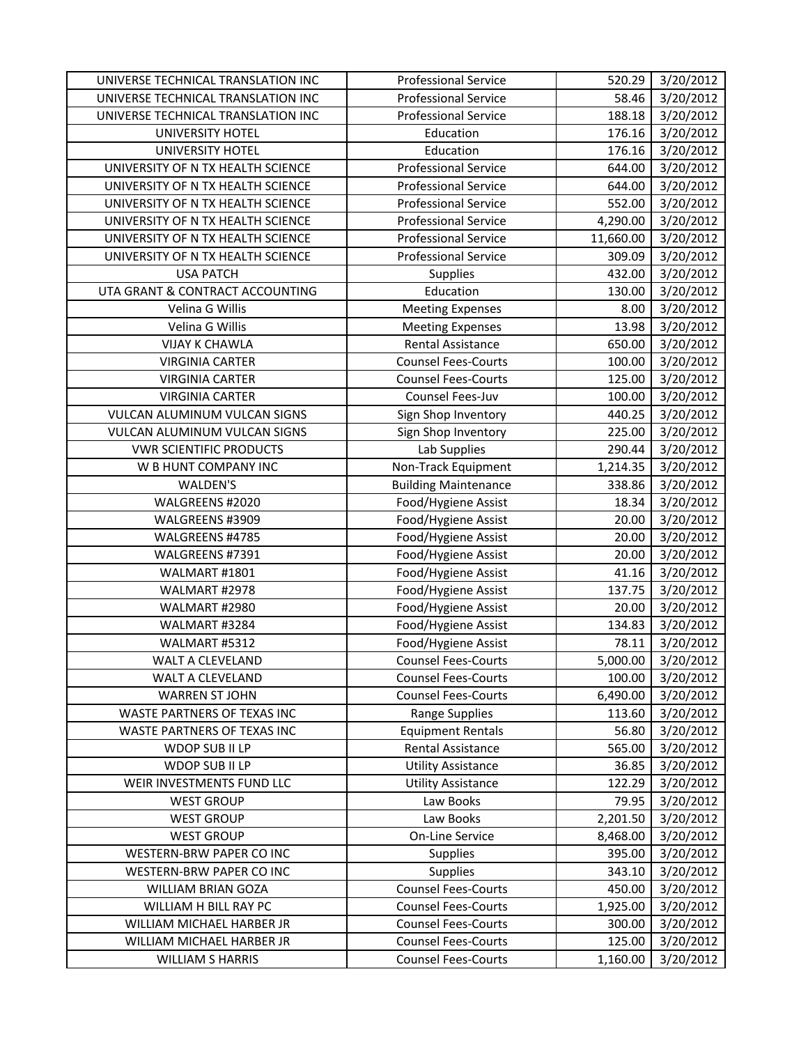| UNIVERSE TECHNICAL TRANSLATION INC | <b>Professional Service</b> | 520.29    | 3/20/2012 |
|------------------------------------|-----------------------------|-----------|-----------|
| UNIVERSE TECHNICAL TRANSLATION INC | <b>Professional Service</b> | 58.46     | 3/20/2012 |
| UNIVERSE TECHNICAL TRANSLATION INC | <b>Professional Service</b> | 188.18    | 3/20/2012 |
| UNIVERSITY HOTEL                   | Education                   | 176.16    | 3/20/2012 |
| <b>UNIVERSITY HOTEL</b>            | Education                   | 176.16    | 3/20/2012 |
| UNIVERSITY OF N TX HEALTH SCIENCE  | <b>Professional Service</b> | 644.00    | 3/20/2012 |
| UNIVERSITY OF N TX HEALTH SCIENCE  | Professional Service        | 644.00    | 3/20/2012 |
| UNIVERSITY OF N TX HEALTH SCIENCE  | <b>Professional Service</b> | 552.00    | 3/20/2012 |
| UNIVERSITY OF N TX HEALTH SCIENCE  | <b>Professional Service</b> | 4,290.00  | 3/20/2012 |
| UNIVERSITY OF N TX HEALTH SCIENCE  | Professional Service        | 11,660.00 | 3/20/2012 |
| UNIVERSITY OF N TX HEALTH SCIENCE  | <b>Professional Service</b> | 309.09    | 3/20/2012 |
| <b>USA PATCH</b>                   | Supplies                    | 432.00    | 3/20/2012 |
| UTA GRANT & CONTRACT ACCOUNTING    | Education                   | 130.00    | 3/20/2012 |
| Velina G Willis                    | <b>Meeting Expenses</b>     | 8.00      | 3/20/2012 |
| Velina G Willis                    | <b>Meeting Expenses</b>     | 13.98     | 3/20/2012 |
| <b>VIJAY K CHAWLA</b>              | <b>Rental Assistance</b>    | 650.00    | 3/20/2012 |
| <b>VIRGINIA CARTER</b>             | <b>Counsel Fees-Courts</b>  | 100.00    | 3/20/2012 |
| <b>VIRGINIA CARTER</b>             | <b>Counsel Fees-Courts</b>  | 125.00    | 3/20/2012 |
| <b>VIRGINIA CARTER</b>             | Counsel Fees-Juv            | 100.00    | 3/20/2012 |
| VULCAN ALUMINUM VULCAN SIGNS       | Sign Shop Inventory         | 440.25    | 3/20/2012 |
| VULCAN ALUMINUM VULCAN SIGNS       | Sign Shop Inventory         | 225.00    | 3/20/2012 |
| <b>VWR SCIENTIFIC PRODUCTS</b>     | Lab Supplies                | 290.44    | 3/20/2012 |
| W B HUNT COMPANY INC               | Non-Track Equipment         | 1,214.35  | 3/20/2012 |
| WALDEN'S                           | <b>Building Maintenance</b> | 338.86    | 3/20/2012 |
| WALGREENS #2020                    | Food/Hygiene Assist         | 18.34     | 3/20/2012 |
| WALGREENS #3909                    | Food/Hygiene Assist         | 20.00     | 3/20/2012 |
| WALGREENS #4785                    | Food/Hygiene Assist         | 20.00     | 3/20/2012 |
| WALGREENS #7391                    | Food/Hygiene Assist         | 20.00     | 3/20/2012 |
| WALMART #1801                      | Food/Hygiene Assist         | 41.16     | 3/20/2012 |
| WALMART #2978                      | Food/Hygiene Assist         | 137.75    | 3/20/2012 |
| WALMART #2980                      | Food/Hygiene Assist         | 20.00     | 3/20/2012 |
| WALMART #3284                      | Food/Hygiene Assist         | 134.83    | 3/20/2012 |
| WALMART #5312                      | Food/Hygiene Assist         | 78.11     | 3/20/2012 |
| WALT A CLEVELAND                   | <b>Counsel Fees-Courts</b>  | 5,000.00  | 3/20/2012 |
| WALT A CLEVELAND                   | <b>Counsel Fees-Courts</b>  | 100.00    | 3/20/2012 |
| <b>WARREN ST JOHN</b>              | <b>Counsel Fees-Courts</b>  | 6,490.00  | 3/20/2012 |
| WASTE PARTNERS OF TEXAS INC        | <b>Range Supplies</b>       | 113.60    | 3/20/2012 |
| WASTE PARTNERS OF TEXAS INC        | <b>Equipment Rentals</b>    | 56.80     | 3/20/2012 |
| WDOP SUB II LP                     | Rental Assistance           | 565.00    | 3/20/2012 |
| WDOP SUB II LP                     | <b>Utility Assistance</b>   | 36.85     | 3/20/2012 |
| WEIR INVESTMENTS FUND LLC          | <b>Utility Assistance</b>   | 122.29    | 3/20/2012 |
| <b>WEST GROUP</b>                  | Law Books                   | 79.95     | 3/20/2012 |
| <b>WEST GROUP</b>                  | Law Books                   | 2,201.50  | 3/20/2012 |
| <b>WEST GROUP</b>                  | On-Line Service             | 8,468.00  | 3/20/2012 |
| WESTERN-BRW PAPER CO INC           | <b>Supplies</b>             | 395.00    | 3/20/2012 |
| WESTERN-BRW PAPER CO INC           | <b>Supplies</b>             | 343.10    | 3/20/2012 |
| WILLIAM BRIAN GOZA                 | <b>Counsel Fees-Courts</b>  | 450.00    | 3/20/2012 |
| WILLIAM H BILL RAY PC              | <b>Counsel Fees-Courts</b>  | 1,925.00  | 3/20/2012 |
| WILLIAM MICHAEL HARBER JR          | <b>Counsel Fees-Courts</b>  | 300.00    | 3/20/2012 |
| WILLIAM MICHAEL HARBER JR          | <b>Counsel Fees-Courts</b>  | 125.00    | 3/20/2012 |
| <b>WILLIAM S HARRIS</b>            | <b>Counsel Fees-Courts</b>  | 1,160.00  | 3/20/2012 |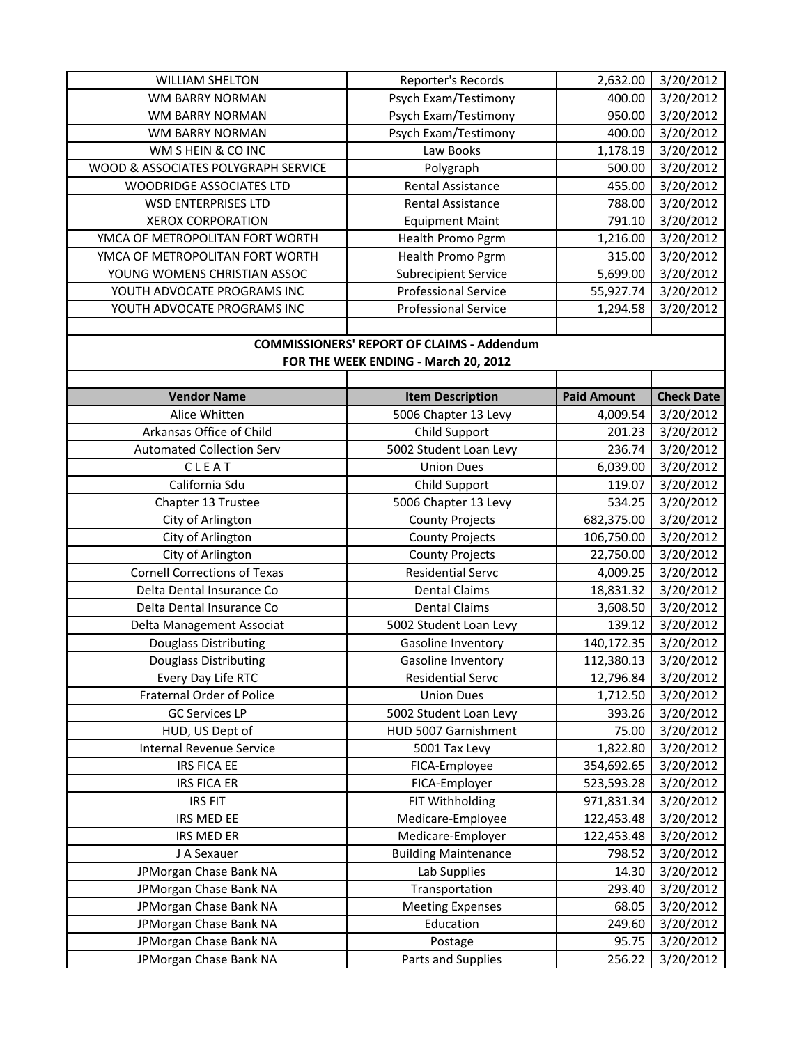| <b>WILLIAM SHELTON</b>              | Reporter's Records                                | 2,632.00           | 3/20/2012         |
|-------------------------------------|---------------------------------------------------|--------------------|-------------------|
| <b>WM BARRY NORMAN</b>              | Psych Exam/Testimony                              | 400.00             | 3/20/2012         |
| <b>WM BARRY NORMAN</b>              | Psych Exam/Testimony                              | 950.00             | 3/20/2012         |
| WM BARRY NORMAN                     | Psych Exam/Testimony                              | 400.00             | 3/20/2012         |
| WM S HEIN & CO INC                  | Law Books                                         | 1,178.19           | 3/20/2012         |
| WOOD & ASSOCIATES POLYGRAPH SERVICE | Polygraph                                         | 500.00             | 3/20/2012         |
| WOODRIDGE ASSOCIATES LTD            | Rental Assistance                                 | 455.00             | 3/20/2012         |
| <b>WSD ENTERPRISES LTD</b>          | <b>Rental Assistance</b>                          | 788.00             | 3/20/2012         |
| <b>XEROX CORPORATION</b>            | <b>Equipment Maint</b>                            | 791.10             | 3/20/2012         |
| YMCA OF METROPOLITAN FORT WORTH     | Health Promo Pgrm                                 | 1,216.00           | 3/20/2012         |
| YMCA OF METROPOLITAN FORT WORTH     | Health Promo Pgrm                                 | 315.00             | 3/20/2012         |
| YOUNG WOMENS CHRISTIAN ASSOC        | <b>Subrecipient Service</b>                       | 5,699.00           | 3/20/2012         |
| YOUTH ADVOCATE PROGRAMS INC         | <b>Professional Service</b>                       | 55,927.74          | 3/20/2012         |
| YOUTH ADVOCATE PROGRAMS INC         | <b>Professional Service</b>                       | 1,294.58           | 3/20/2012         |
|                                     |                                                   |                    |                   |
|                                     | <b>COMMISSIONERS' REPORT OF CLAIMS - Addendum</b> |                    |                   |
|                                     | FOR THE WEEK ENDING - March 20, 2012              |                    |                   |
|                                     |                                                   |                    |                   |
| <b>Vendor Name</b>                  | <b>Item Description</b>                           | <b>Paid Amount</b> | <b>Check Date</b> |
| Alice Whitten                       | 5006 Chapter 13 Levy                              | 4,009.54           | 3/20/2012         |
| Arkansas Office of Child            | Child Support                                     | 201.23             | 3/20/2012         |
| <b>Automated Collection Serv</b>    | 5002 Student Loan Levy                            | 236.74             | 3/20/2012         |
| CLEAT                               | <b>Union Dues</b>                                 | 6,039.00           | 3/20/2012         |
| California Sdu                      | Child Support                                     | 119.07             | 3/20/2012         |
| Chapter 13 Trustee                  | 5006 Chapter 13 Levy                              | 534.25             | 3/20/2012         |
| City of Arlington                   | <b>County Projects</b>                            | 682,375.00         | 3/20/2012         |
| City of Arlington                   | <b>County Projects</b>                            | 106,750.00         | 3/20/2012         |
| City of Arlington                   | <b>County Projects</b>                            | 22,750.00          | 3/20/2012         |
| <b>Cornell Corrections of Texas</b> | <b>Residential Servc</b>                          | 4,009.25           | 3/20/2012         |
| Delta Dental Insurance Co           | <b>Dental Claims</b>                              | 18,831.32          | 3/20/2012         |
| Delta Dental Insurance Co           | <b>Dental Claims</b>                              | 3,608.50           | 3/20/2012         |
| Delta Management Associat           | 5002 Student Loan Levy                            | 139.12             | 3/20/2012         |
| Douglass Distributing               | Gasoline Inventory                                | 140,172.35         | 3/20/2012         |
| Douglass Distributing               | Gasoline Inventory                                | 112,380.13         | 3/20/2012         |
| Every Day Life RTC                  | <b>Residential Servc</b>                          | 12,796.84          | 3/20/2012         |
| Fraternal Order of Police           | <b>Union Dues</b>                                 | 1,712.50           | 3/20/2012         |
| <b>GC Services LP</b>               | 5002 Student Loan Levy                            | 393.26             | 3/20/2012         |
| HUD, US Dept of                     | HUD 5007 Garnishment                              | 75.00              | 3/20/2012         |
| Internal Revenue Service            | 5001 Tax Levy                                     | 1,822.80           | 3/20/2012         |
| <b>IRS FICA EE</b>                  | FICA-Employee                                     | 354,692.65         | 3/20/2012         |
| <b>IRS FICA ER</b>                  | FICA-Employer                                     | 523,593.28         | 3/20/2012         |
| <b>IRS FIT</b>                      | FIT Withholding                                   | 971,831.34         | 3/20/2012         |
| IRS MED EE                          | Medicare-Employee                                 | 122,453.48         | 3/20/2012         |
| IRS MED ER                          | Medicare-Employer                                 | 122,453.48         | 3/20/2012         |
| J A Sexauer                         | <b>Building Maintenance</b>                       | 798.52             | 3/20/2012         |
| JPMorgan Chase Bank NA              | Lab Supplies                                      | 14.30              | 3/20/2012         |
| JPMorgan Chase Bank NA              | Transportation                                    | 293.40             | 3/20/2012         |
| JPMorgan Chase Bank NA              | <b>Meeting Expenses</b>                           | 68.05              | 3/20/2012         |
| JPMorgan Chase Bank NA              | Education                                         | 249.60             | 3/20/2012         |
| JPMorgan Chase Bank NA              | Postage                                           | 95.75              | 3/20/2012         |
| JPMorgan Chase Bank NA              | Parts and Supplies                                | 256.22             | 3/20/2012         |